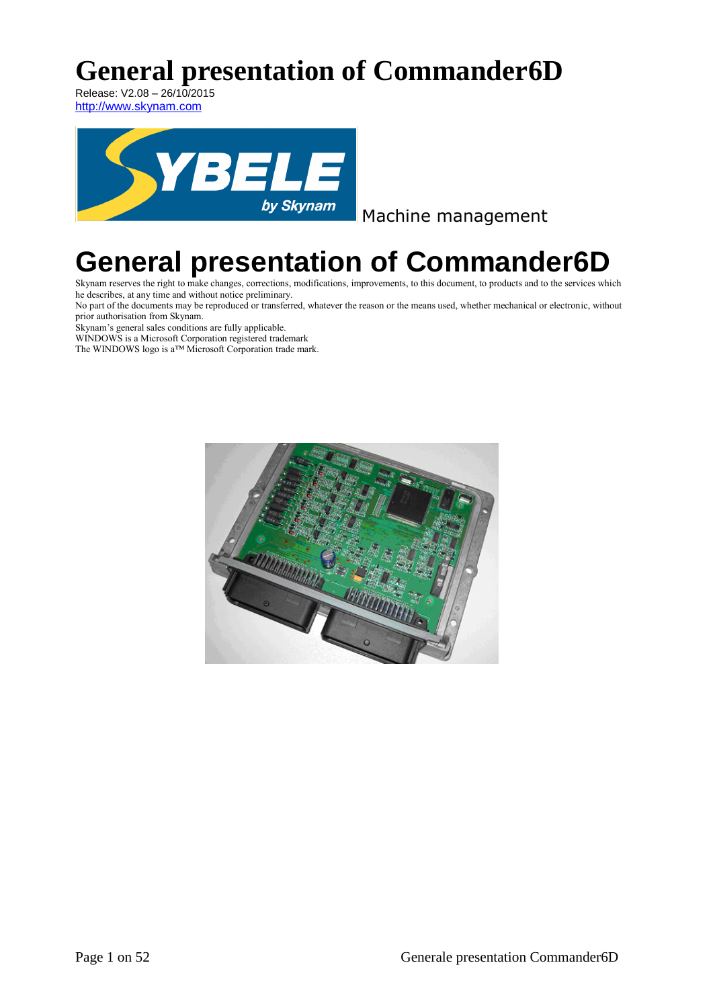# **General presentation of Commander6D**

Release: V2.08 – 26/10/2015 [http://www.skynam.com](http://wwwskynam.com/)



Machine management

# **General presentation of Commander6D**

Skynam reserves the right to make changes, corrections, modifications, improvements, to this document, to products and to the services which he describes, at any time and without notice preliminary.

No part of the documents may be reproduced or transferred, whatever the reason or the means used, whether mechanical or electronic, without prior authorisation from Skynam.

Skynam's general sales conditions are fully applicable.

WINDOWS is a Microsoft Corporation registered trademark

The WINDOWS logo is a™ Microsoft Corporation trade mark.

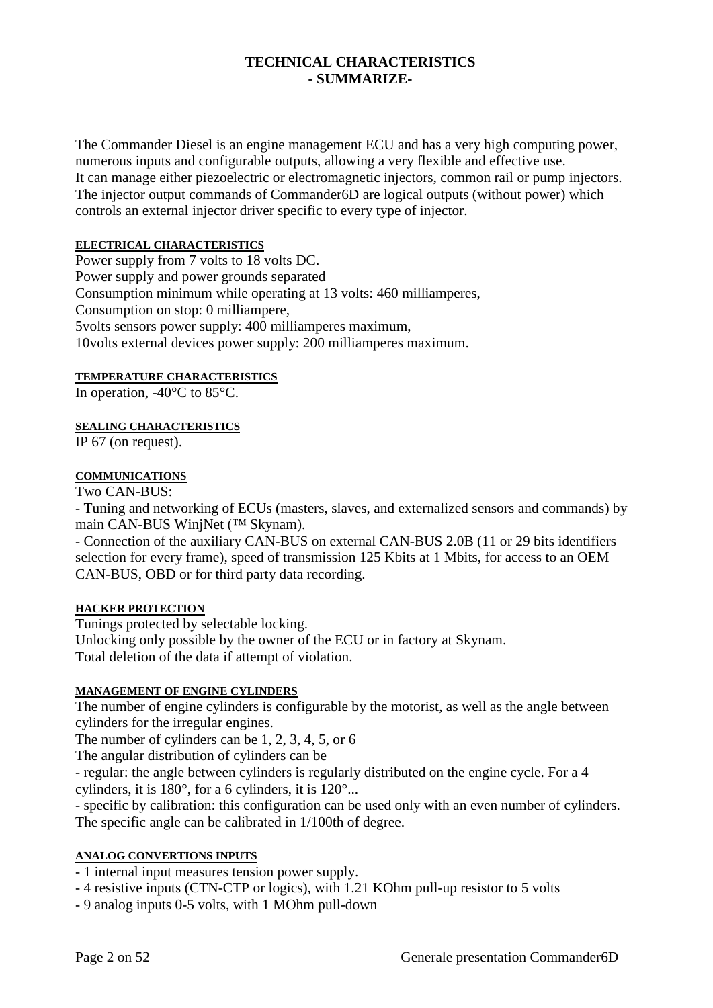# **TECHNICAL CHARACTERISTICS - SUMMARIZE-**

The Commander Diesel is an engine management ECU and has a very high computing power, numerous inputs and configurable outputs, allowing a very flexible and effective use. It can manage either piezoelectric or electromagnetic injectors, common rail or pump injectors. The injector output commands of Commander6D are logical outputs (without power) which controls an external injector driver specific to every type of injector.

#### **ELECTRICAL CHARACTERISTICS**

Power supply from 7 volts to  $18$  volts DC. Power supply and power grounds separated Consumption minimum while operating at 13 volts: 460 milliamperes, Consumption on stop: 0 milliampere, 5volts sensors power supply: 400 milliamperes maximum, 10volts external devices power supply: 200 milliamperes maximum.

#### **TEMPERATURE CHARACTERISTICS**

In operation,  $-40^{\circ}$ C to 85 $^{\circ}$ C.

#### **SEALING CHARACTERISTICS**

IP 67 (on request).

#### **COMMUNICATIONS**

Two CAN-BUS:

- Tuning and networking of ECUs (masters, slaves, and externalized sensors and commands) by main CAN-BUS WinjNet (™ Skynam).

- Connection of the auxiliary CAN-BUS on external CAN-BUS 2.0B (11 or 29 bits identifiers selection for every frame), speed of transmission 125 Kbits at 1 Mbits, for access to an OEM CAN-BUS, OBD or for third party data recording.

#### **HACKER PROTECTION**

Tunings protected by selectable locking.

Unlocking only possible by the owner of the ECU or in factory at Skynam. Total deletion of the data if attempt of violation.

#### **MANAGEMENT OF ENGINE CYLINDERS**

The number of engine cylinders is configurable by the motorist, as well as the angle between cylinders for the irregular engines.

The number of cylinders can be 1, 2, 3, 4, 5, or 6

The angular distribution of cylinders can be

- regular: the angle between cylinders is regularly distributed on the engine cycle. For a 4 cylinders, it is 180°, for a 6 cylinders, it is 120°...

- specific by calibration: this configuration can be used only with an even number of cylinders. The specific angle can be calibrated in 1/100th of degree.

#### **ANALOG CONVERTIONS INPUTS**

- 1 internal input measures tension power supply.

- 4 resistive inputs (CTN-CTP or logics), with 1.21 KOhm pull-up resistor to 5 volts

- 9 analog inputs 0-5 volts, with 1 MOhm pull-down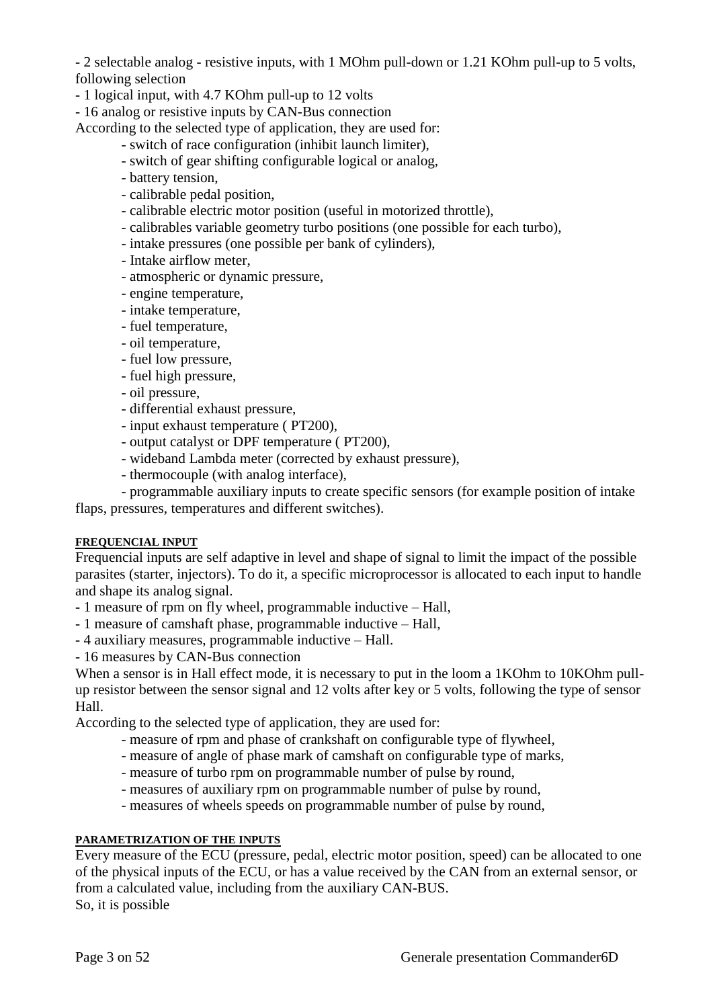- 2 selectable analog - resistive inputs, with 1 MOhm pull-down or 1.21 KOhm pull-up to 5 volts, following selection

- 1 logical input, with 4.7 KOhm pull-up to 12 volts

- 16 analog or resistive inputs by CAN-Bus connection

According to the selected type of application, they are used for:

- switch of race configuration (inhibit launch limiter),
- switch of gear shifting configurable logical or analog,
- battery tension,
- calibrable pedal position,
- calibrable electric motor position (useful in motorized throttle),
- calibrables variable geometry turbo positions (one possible for each turbo),
- intake pressures (one possible per bank of cylinders),
- Intake airflow meter,
- atmospheric or dynamic pressure,
- engine temperature,
- intake temperature,
- fuel temperature,
- oil temperature,
- fuel low pressure,
- fuel high pressure,
- oil pressure,
- differential exhaust pressure,
- input exhaust temperature ( PT200),
- output catalyst or DPF temperature ( PT200),
- wideband Lambda meter (corrected by exhaust pressure),
- thermocouple (with analog interface),

- programmable auxiliary inputs to create specific sensors (for example position of intake flaps, pressures, temperatures and different switches).

#### **FREQUENCIAL INPUT**

Frequencial inputs are self adaptive in level and shape of signal to limit the impact of the possible parasites (starter, injectors). To do it, a specific microprocessor is allocated to each input to handle and shape its analog signal.

- 1 measure of rpm on fly wheel, programmable inductive Hall,
- 1 measure of camshaft phase, programmable inductive Hall,
- 4 auxiliary measures, programmable inductive Hall.
- 16 measures by CAN-Bus connection

When a sensor is in Hall effect mode, it is necessary to put in the loom a 1KOhm to 10KOhm pullup resistor between the sensor signal and 12 volts after key or 5 volts, following the type of sensor Hall.

According to the selected type of application, they are used for:

- measure of rpm and phase of crankshaft on configurable type of flywheel,
- measure of angle of phase mark of camshaft on configurable type of marks,
- measure of turbo rpm on programmable number of pulse by round,
- measures of auxiliary rpm on programmable number of pulse by round,
- measures of wheels speeds on programmable number of pulse by round,

#### **PARAMETRIZATION OF THE INPUTS**

Every measure of the ECU (pressure, pedal, electric motor position, speed) can be allocated to one of the physical inputs of the ECU, or has a value received by the CAN from an external sensor, or from a calculated value, including from the auxiliary CAN-BUS. So, it is possible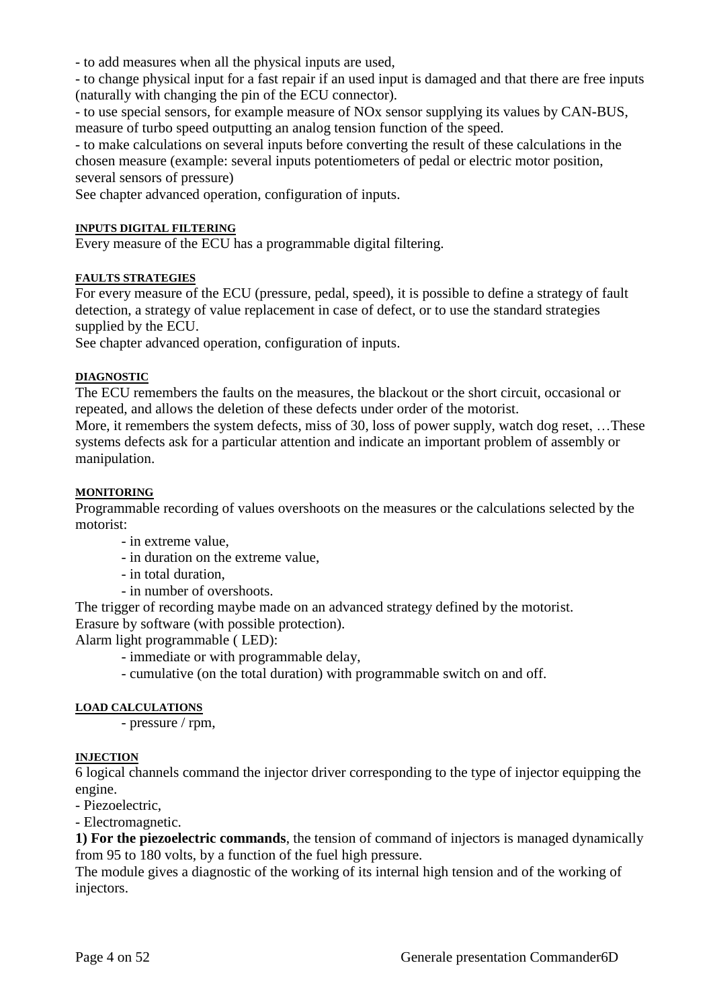- to add measures when all the physical inputs are used,

- to change physical input for a fast repair if an used input is damaged and that there are free inputs (naturally with changing the pin of the ECU connector).

- to use special sensors, for example measure of NOx sensor supplying its values by CAN-BUS, measure of turbo speed outputting an analog tension function of the speed.

- to make calculations on several inputs before converting the result of these calculations in the chosen measure (example: several inputs potentiometers of pedal or electric motor position, several sensors of pressure)

See chapter advanced operation, configuration of inputs.

#### **INPUTS DIGITAL FILTERING**

Every measure of the ECU has a programmable digital filtering.

#### **FAULTS STRATEGIES**

For every measure of the ECU (pressure, pedal, speed), it is possible to define a strategy of fault detection, a strategy of value replacement in case of defect, or to use the standard strategies supplied by the ECU.

See chapter advanced operation, configuration of inputs.

#### **DIAGNOSTIC**

The ECU remembers the faults on the measures, the blackout or the short circuit, occasional or repeated, and allows the deletion of these defects under order of the motorist.

More, it remembers the system defects, miss of 30, loss of power supply, watch dog reset, …These systems defects ask for a particular attention and indicate an important problem of assembly or manipulation.

#### **MONITORING**

Programmable recording of values overshoots on the measures or the calculations selected by the motorist:

- in extreme value,

- in duration on the extreme value,
- in total duration,
- in number of overshoots.

The trigger of recording maybe made on an advanced strategy defined by the motorist. Erasure by software (with possible protection).

Alarm light programmable ( LED):

- immediate or with programmable delay,
- cumulative (on the total duration) with programmable switch on and off.

#### **LOAD CALCULATIONS**

- pressure / rpm,

#### **INJECTION**

6 logical channels command the injector driver corresponding to the type of injector equipping the engine.

- Piezoelectric,

- Electromagnetic.

**1) For the piezoelectric commands**, the tension of command of injectors is managed dynamically from 95 to 180 volts, by a function of the fuel high pressure.

The module gives a diagnostic of the working of its internal high tension and of the working of injectors.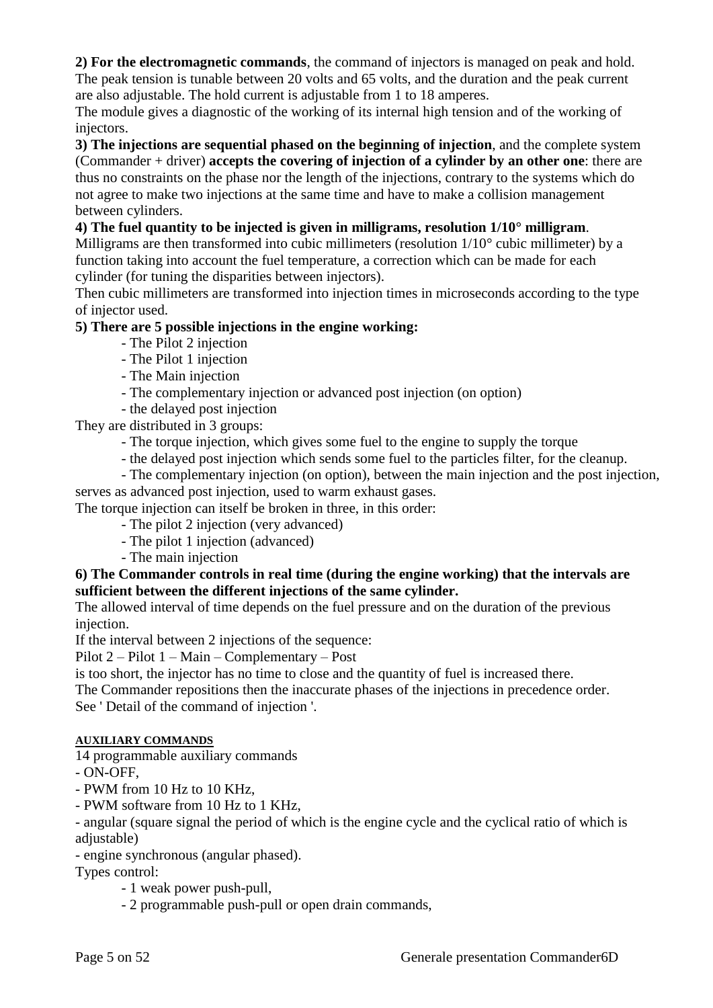**2) For the electromagnetic commands**, the command of injectors is managed on peak and hold. The peak tension is tunable between 20 volts and 65 volts, and the duration and the peak current are also adjustable. The hold current is adjustable from 1 to 18 amperes.

The module gives a diagnostic of the working of its internal high tension and of the working of injectors.

**3) The injections are sequential phased on the beginning of injection**, and the complete system (Commander + driver) **accepts the covering of injection of a cylinder by an other one**: there are thus no constraints on the phase nor the length of the injections, contrary to the systems which do not agree to make two injections at the same time and have to make a collision management between cylinders.

# **4) The fuel quantity to be injected is given in milligrams, resolution 1/10° milligram**.

Milligrams are then transformed into cubic millimeters (resolution 1/10° cubic millimeter) by a function taking into account the fuel temperature, a correction which can be made for each cylinder (for tuning the disparities between injectors).

Then cubic millimeters are transformed into injection times in microseconds according to the type of injector used.

# **5) There are 5 possible injections in the engine working:**

- The Pilot 2 injection
- The Pilot 1 injection
- The Main injection
- The complementary injection or advanced post injection (on option)
- the delayed post injection

They are distributed in 3 groups:

- The torque injection, which gives some fuel to the engine to supply the torque
- the delayed post injection which sends some fuel to the particles filter, for the cleanup.
- The complementary injection (on option), between the main injection and the post injection, serves as advanced post injection, used to warm exhaust gases.

The torque injection can itself be broken in three, in this order:

- The pilot 2 injection (very advanced)
- The pilot 1 injection (advanced)
- The main injection

# **6) The Commander controls in real time (during the engine working) that the intervals are sufficient between the different injections of the same cylinder.**

The allowed interval of time depends on the fuel pressure and on the duration of the previous injection.

If the interval between 2 injections of the sequence:

Pilot 2 – Pilot 1 – Main – Complementary – Post

is too short, the injector has no time to close and the quantity of fuel is increased there.

The Commander repositions then the inaccurate phases of the injections in precedence order. See ' Detail of the command of injection '.

# **AUXILIARY COMMANDS**

14 programmable auxiliary commands

- ON-OFF,
- PWM from 10 Hz to 10 KHz,
- PWM software from 10 Hz to 1 KHz,

- angular (square signal the period of which is the engine cycle and the cyclical ratio of which is adjustable)

- engine synchronous (angular phased).

Types control:

- 1 weak power push-pull,
- 2 programmable push-pull or open drain commands,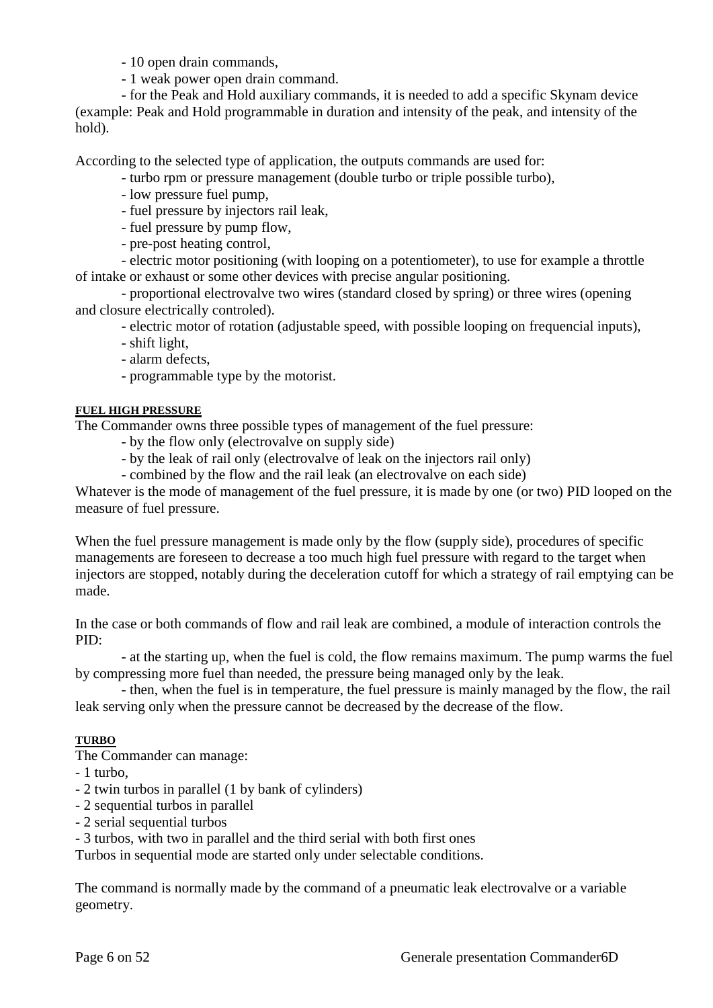- 10 open drain commands,

- 1 weak power open drain command.

- for the Peak and Hold auxiliary commands, it is needed to add a specific Skynam device (example: Peak and Hold programmable in duration and intensity of the peak, and intensity of the hold).

According to the selected type of application, the outputs commands are used for:

- turbo rpm or pressure management (double turbo or triple possible turbo),

- low pressure fuel pump,
- fuel pressure by injectors rail leak,
- fuel pressure by pump flow,
- pre-post heating control,

- electric motor positioning (with looping on a potentiometer), to use for example a throttle of intake or exhaust or some other devices with precise angular positioning.

- proportional electrovalve two wires (standard closed by spring) or three wires (opening and closure electrically controled).

- electric motor of rotation (adjustable speed, with possible looping on frequencial inputs),
- shift light,
- alarm defects,
- programmable type by the motorist.

# **FUEL HIGH PRESSURE**

The Commander owns three possible types of management of the fuel pressure:

- by the flow only (electrovalve on supply side)
- by the leak of rail only (electrovalve of leak on the injectors rail only)
- combined by the flow and the rail leak (an electrovalve on each side)

Whatever is the mode of management of the fuel pressure, it is made by one (or two) PID looped on the measure of fuel pressure.

When the fuel pressure management is made only by the flow (supply side), procedures of specific managements are foreseen to decrease a too much high fuel pressure with regard to the target when injectors are stopped, notably during the deceleration cutoff for which a strategy of rail emptying can be made.

In the case or both commands of flow and rail leak are combined, a module of interaction controls the PID:

- at the starting up, when the fuel is cold, the flow remains maximum. The pump warms the fuel by compressing more fuel than needed, the pressure being managed only by the leak.

- then, when the fuel is in temperature, the fuel pressure is mainly managed by the flow, the rail leak serving only when the pressure cannot be decreased by the decrease of the flow.

# **TURBO**

The Commander can manage:

- 1 turbo,
- 2 twin turbos in parallel (1 by bank of cylinders)
- 2 sequential turbos in parallel
- 2 serial sequential turbos

- 3 turbos, with two in parallel and the third serial with both first ones

Turbos in sequential mode are started only under selectable conditions.

The command is normally made by the command of a pneumatic leak electrovalve or a variable geometry.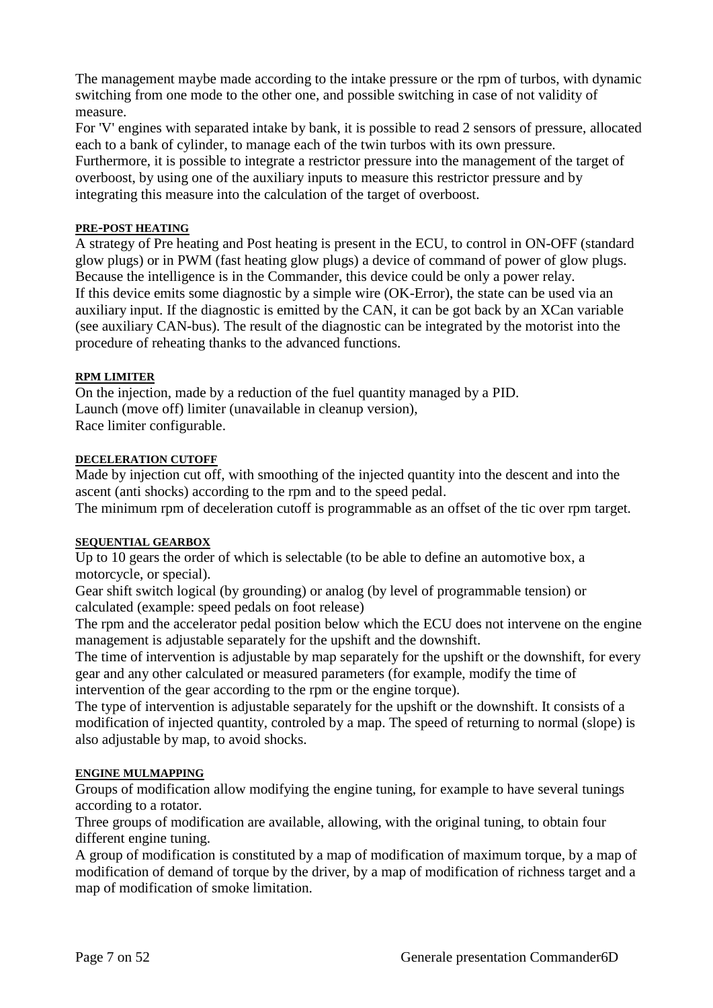The management maybe made according to the intake pressure or the rpm of turbos, with dynamic switching from one mode to the other one, and possible switching in case of not validity of measure.

For 'V' engines with separated intake by bank, it is possible to read 2 sensors of pressure, allocated each to a bank of cylinder, to manage each of the twin turbos with its own pressure. Furthermore, it is possible to integrate a restrictor pressure into the management of the target of overboost, by using one of the auxiliary inputs to measure this restrictor pressure and by integrating this measure into the calculation of the target of overboost.

#### **PRE-POST HEATING**

A strategy of Pre heating and Post heating is present in the ECU, to control in ON-OFF (standard glow plugs) or in PWM (fast heating glow plugs) a device of command of power of glow plugs. Because the intelligence is in the Commander, this device could be only a power relay. If this device emits some diagnostic by a simple wire (OK-Error), the state can be used via an auxiliary input. If the diagnostic is emitted by the CAN, it can be got back by an XCan variable (see auxiliary CAN-bus). The result of the diagnostic can be integrated by the motorist into the procedure of reheating thanks to the advanced functions.

# **RPM LIMITER**

On the injection, made by a reduction of the fuel quantity managed by a PID. Launch (move off) limiter (unavailable in cleanup version), Race limiter configurable.

#### **DECELERATION CUTOFF**

Made by injection cut off, with smoothing of the injected quantity into the descent and into the ascent (anti shocks) according to the rpm and to the speed pedal.

The minimum rpm of deceleration cutoff is programmable as an offset of the tic over rpm target.

#### **SEQUENTIAL GEARBOX**

Up to 10 gears the order of which is selectable (to be able to define an automotive box, a motorcycle, or special).

Gear shift switch logical (by grounding) or analog (by level of programmable tension) or calculated (example: speed pedals on foot release)

The rpm and the accelerator pedal position below which the ECU does not intervene on the engine management is adjustable separately for the upshift and the downshift.

The time of intervention is adjustable by map separately for the upshift or the downshift, for every gear and any other calculated or measured parameters (for example, modify the time of intervention of the gear according to the rpm or the engine torque).

The type of intervention is adjustable separately for the upshift or the downshift. It consists of a modification of injected quantity, controled by a map. The speed of returning to normal (slope) is also adjustable by map, to avoid shocks.

#### **ENGINE MULMAPPING**

Groups of modification allow modifying the engine tuning, for example to have several tunings according to a rotator.

Three groups of modification are available, allowing, with the original tuning, to obtain four different engine tuning.

A group of modification is constituted by a map of modification of maximum torque, by a map of modification of demand of torque by the driver, by a map of modification of richness target and a map of modification of smoke limitation.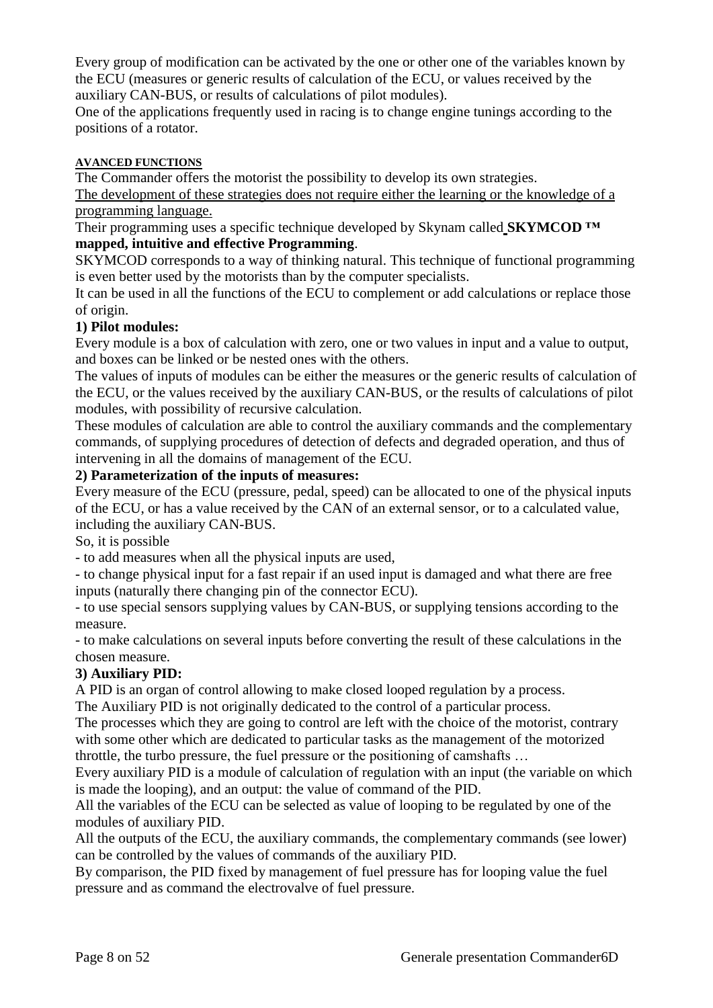Every group of modification can be activated by the one or other one of the variables known by the ECU (measures or generic results of calculation of the ECU, or values received by the auxiliary CAN-BUS, or results of calculations of pilot modules).

One of the applications frequently used in racing is to change engine tunings according to the positions of a rotator.

# **AVANCED FUNCTIONS**

The Commander offers the motorist the possibility to develop its own strategies.

The development of these strategies does not require either the learning or the knowledge of a programming language.

Their programming uses a specific technique developed by Skynam called **SKYMCOD ™ mapped, intuitive and effective Programming**.

SKYMCOD corresponds to a way of thinking natural. This technique of functional programming is even better used by the motorists than by the computer specialists.

It can be used in all the functions of the ECU to complement or add calculations or replace those of origin.

# **1) Pilot modules:**

Every module is a box of calculation with zero, one or two values in input and a value to output, and boxes can be linked or be nested ones with the others.

The values of inputs of modules can be either the measures or the generic results of calculation of the ECU, or the values received by the auxiliary CAN-BUS, or the results of calculations of pilot modules, with possibility of recursive calculation.

These modules of calculation are able to control the auxiliary commands and the complementary commands, of supplying procedures of detection of defects and degraded operation, and thus of intervening in all the domains of management of the ECU.

# **2) Parameterization of the inputs of measures:**

Every measure of the ECU (pressure, pedal, speed) can be allocated to one of the physical inputs of the ECU, or has a value received by the CAN of an external sensor, or to a calculated value, including the auxiliary CAN-BUS.

So, it is possible

- to add measures when all the physical inputs are used,

- to change physical input for a fast repair if an used input is damaged and what there are free inputs (naturally there changing pin of the connector ECU).

- to use special sensors supplying values by CAN-BUS, or supplying tensions according to the measure.

- to make calculations on several inputs before converting the result of these calculations in the chosen measure.

# **3) Auxiliary PID:**

A PID is an organ of control allowing to make closed looped [regulation](http://fr.wikipedia.org/wiki/R%C3%A9gulation) by a process.

The Auxiliary PID is not originally dedicated to the control of a particular process.

The processes which they are going to control are left with the choice of the motorist, contrary with some other which are dedicated to particular tasks as the management of the motorized throttle, the turbo pressure, the fuel pressure or the positioning of camshafts …

Every auxiliary PID is a module of calculation of regulation with an input (the variable on which is made the looping), and an output: the value of command of the PID.

All the variables of the ECU can be selected as value of looping to be regulated by one of the modules of auxiliary PID.

All the outputs of the ECU, the auxiliary commands, the complementary commands (see lower) can be controlled by the values of commands of the auxiliary PID.

By comparison, the PID fixed by management of fuel pressure has for looping value the fuel pressure and as command the electrovalve of fuel pressure.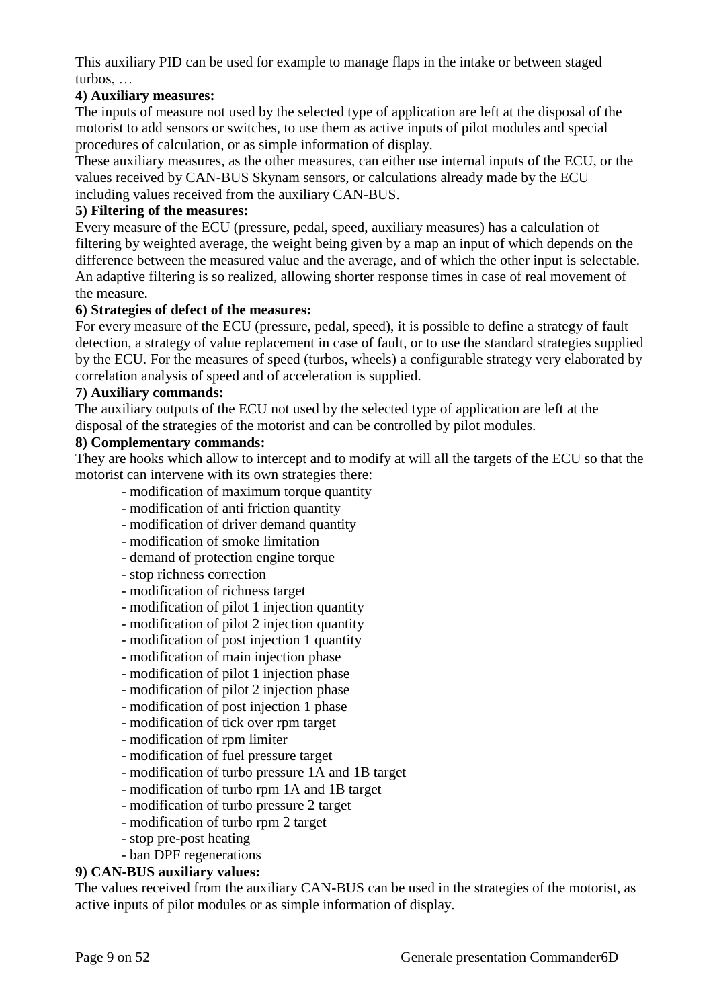This auxiliary PID can be used for example to manage flaps in the intake or between staged turbos, …

# **4) Auxiliary measures:**

The inputs of measure not used by the selected type of application are left at the disposal of the motorist to add sensors or switches, to use them as active inputs of pilot modules and special procedures of calculation, or as simple information of display.

These auxiliary measures, as the other measures, can either use internal inputs of the ECU, or the values received by CAN-BUS Skynam sensors, or calculations already made by the ECU including values received from the auxiliary CAN-BUS.

#### **5) Filtering of the measures:**

Every measure of the ECU (pressure, pedal, speed, auxiliary measures) has a calculation of filtering by weighted average, the weight being given by a map an input of which depends on the difference between the measured value and the average, and of which the other input is selectable. An adaptive filtering is so realized, allowing shorter response times in case of real movement of the measure.

#### **6) Strategies of defect of the measures:**

For every measure of the ECU (pressure, pedal, speed), it is possible to define a strategy of fault detection, a strategy of value replacement in case of fault, or to use the standard strategies supplied by the ECU. For the measures of speed (turbos, wheels) a configurable strategy very elaborated by correlation analysis of speed and of acceleration is supplied.

#### **7) Auxiliary commands:**

The auxiliary outputs of the ECU not used by the selected type of application are left at the disposal of the strategies of the motorist and can be controlled by pilot modules.

#### **8) Complementary commands:**

They are hooks which allow to intercept and to modify at will all the targets of the ECU so that the motorist can intervene with its own strategies there:

- modification of maximum torque quantity
- modification of anti friction quantity
- modification of driver demand quantity
- modification of smoke limitation
- demand of protection engine torque
- stop richness correction
- modification of richness target
- modification of pilot 1 injection quantity
- modification of pilot 2 injection quantity
- modification of post injection 1 quantity
- modification of main injection phase
- modification of pilot 1 injection phase
- modification of pilot 2 injection phase
- modification of post injection 1 phase
- modification of tick over rpm target
- modification of rpm limiter
- modification of fuel pressure target
- modification of turbo pressure 1A and 1B target
- modification of turbo rpm 1A and 1B target
- modification of turbo pressure 2 target
- modification of turbo rpm 2 target
- stop pre-post heating
- ban DPF regenerations

# **9) CAN-BUS auxiliary values:**

The values received from the auxiliary CAN-BUS can be used in the strategies of the motorist, as active inputs of pilot modules or as simple information of display.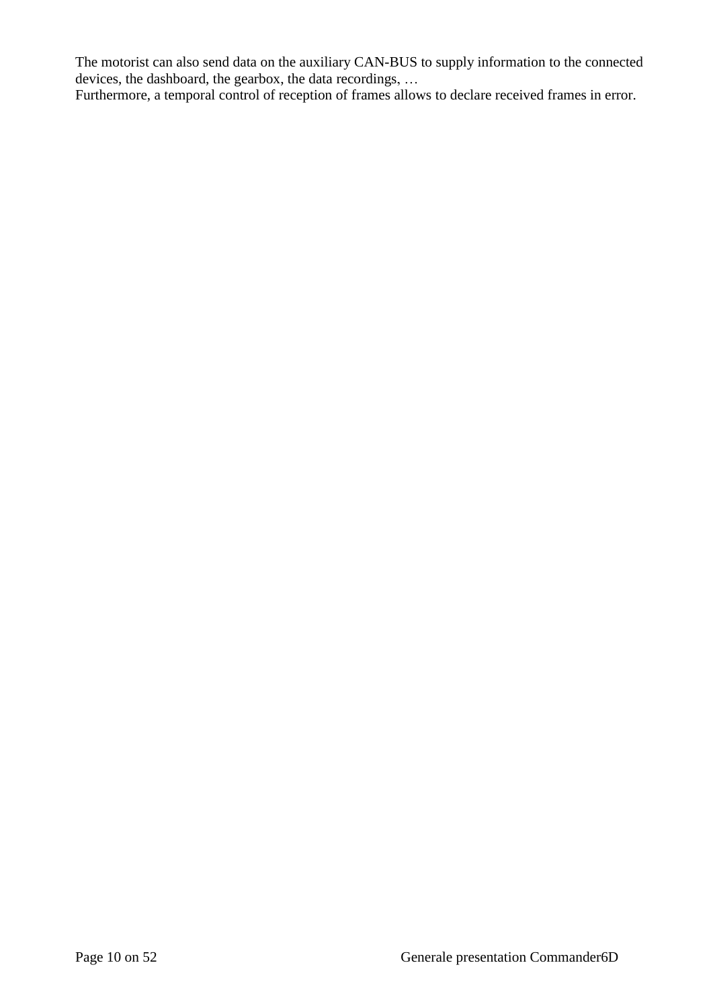The motorist can also send data on the auxiliary CAN-BUS to supply information to the connected devices, the dashboard, the gearbox, the data recordings, …

Furthermore, a temporal control of reception of frames allows to declare received frames in error.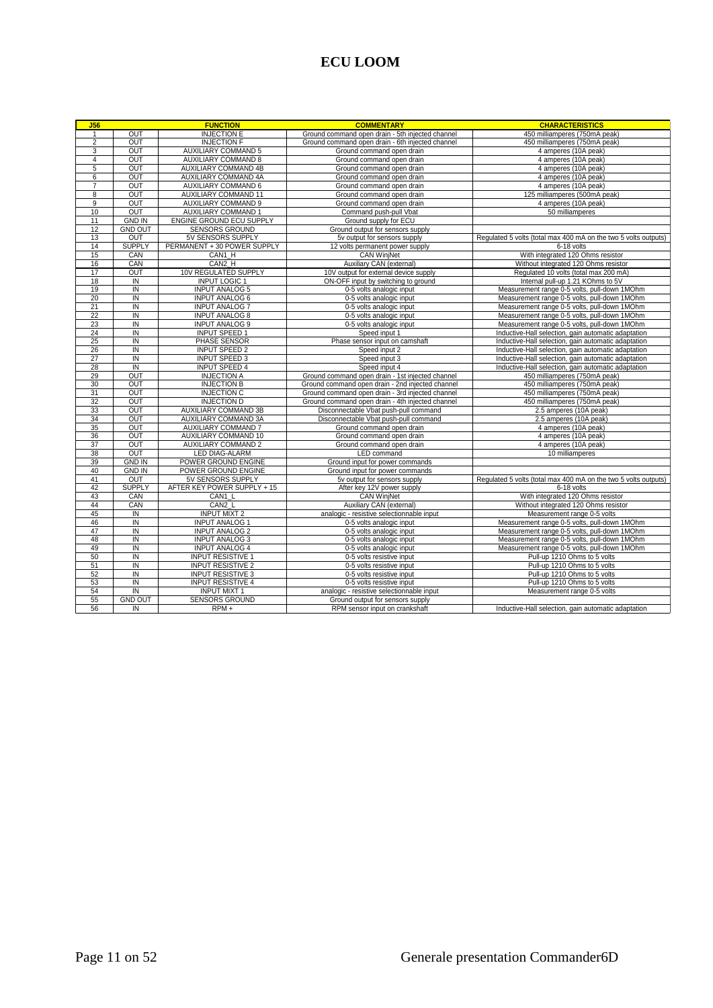# **ECU LOOM**

| J56             |                         | <b>FUNCTION</b>                                | <b>COMMENTARY</b>                                                     | <b>CHARACTERISTICS</b>                                                                       |  |  |  |  |  |  |
|-----------------|-------------------------|------------------------------------------------|-----------------------------------------------------------------------|----------------------------------------------------------------------------------------------|--|--|--|--|--|--|
| $\mathbf{1}$    | OUT                     | <b>INJECTION E</b>                             | Ground command open drain - 5th injected channel                      | 450 milliamperes (750mA peak)                                                                |  |  |  |  |  |  |
| $\overline{2}$  | OUT                     | <b>INJECTION F</b>                             | Ground command open drain - 6th injected channel                      | 450 milliamperes (750mA peak)                                                                |  |  |  |  |  |  |
| 3               | OUT                     | <b>AUXILIARY COMMAND 5</b>                     | Ground command open drain                                             | 4 amperes (10A peak)                                                                         |  |  |  |  |  |  |
| 4               | OUT                     | <b>AUXILIARY COMMAND 8</b>                     | Ground command open drain                                             | 4 amperes (10A peak)                                                                         |  |  |  |  |  |  |
| 5               | OUT                     | <b>AUXILIARY COMMAND 4B</b>                    | Ground command open drain                                             | 4 amperes (10A peak)                                                                         |  |  |  |  |  |  |
| $6\overline{6}$ | OUT                     | <b>AUXILIARY COMMAND 4A</b>                    | Ground command open drain                                             | 4 amperes (10A peak)                                                                         |  |  |  |  |  |  |
| $\overline{7}$  | OUT                     | <b>AUXILIARY COMMAND 6</b>                     | Ground command open drain                                             | 4 amperes (10A peak)                                                                         |  |  |  |  |  |  |
| 8               | OUT                     | <b>AUXILIARY COMMAND 11</b>                    | Ground command open drain                                             | 125 milliamperes (500mA peak)                                                                |  |  |  |  |  |  |
| $\overline{9}$  | OUT                     | <b>AUXILIARY COMMAND 9</b>                     | Ground command open drain                                             | 4 amperes (10A peak)                                                                         |  |  |  |  |  |  |
| 10              | OUT                     | <b>AUXILIARY COMMAND 1</b>                     | Command push-pull Vbat                                                | 50 milliamperes                                                                              |  |  |  |  |  |  |
| 11              | <b>GND IN</b>           | ENGINE GROUND ECU SUPPLY                       | Ground supply for ECU                                                 |                                                                                              |  |  |  |  |  |  |
| 12              | <b>GND OUT</b>          | <b>SENSORS GROUND</b>                          | Ground output for sensors supply                                      |                                                                                              |  |  |  |  |  |  |
| 13              | OUT                     | 5V SENSORS SUPPLY                              | 5v output for sensors supply                                          | Regulated 5 volts (total max 400 mA on the two 5 volts outputs)                              |  |  |  |  |  |  |
| 14              | <b>SUPPLY</b>           | PERMANENT + 30 POWER SUPPLY                    | 12 volts permanent power supply                                       | 6-18 volts                                                                                   |  |  |  |  |  |  |
| 15              | CAN                     | CAN1 H                                         | <b>CAN WinjNet</b>                                                    | With integrated 120 Ohms resistor                                                            |  |  |  |  |  |  |
| 16              | CAN                     | CAN2 H                                         | Auxiliary CAN (external)                                              | Without integrated 120 Ohms resistor                                                         |  |  |  |  |  |  |
| 17              | OUT                     | 10V REGULATED SUPPLY                           | 10V output for external device supply                                 | Regulated 10 volts (total max 200 mA)                                                        |  |  |  |  |  |  |
| 18              | IN                      | <b>INPUT LOGIC 1</b>                           | ON-OFF input by switching to ground                                   | Internal pull-up 1.21 KOhms to 5V                                                            |  |  |  |  |  |  |
| 19              | IN                      | <b>INPUT ANALOG 5</b>                          | 0-5 volts analogic input                                              | Measurement range 0-5 volts, pull-down 1MOhm                                                 |  |  |  |  |  |  |
| 20              | IN                      | <b>INPUT ANALOG 6</b>                          | 0-5 volts analogic input                                              | Measurement range 0-5 volts, pull-down 1MOhm                                                 |  |  |  |  |  |  |
| 21              | $\overline{N}$          | <b>INPUT ANALOG 7</b>                          | 0-5 volts analogic input                                              | Measurement range 0-5 volts, pull-down 1MOhm                                                 |  |  |  |  |  |  |
| 22              | $\overline{N}$          | <b>INPUT ANALOG 8</b>                          | 0-5 volts analogic input                                              | Measurement range 0-5 volts, pull-down 1MOhm                                                 |  |  |  |  |  |  |
| 23              | ΪN                      | <b>INPUT ANALOG 9</b>                          | 0-5 volts analogic input                                              | Measurement range 0-5 volts, pull-down 1MOhm                                                 |  |  |  |  |  |  |
| 24              | IN                      | <b>INPUT SPEED 1</b>                           | Speed input 1                                                         | Inductive-Hall selection, gain automatic adaptation                                          |  |  |  |  |  |  |
| 25              | IN                      | PHASE SENSOR                                   | Phase sensor input on camshaft                                        | Inductive-Hall selection, gain automatic adaptation                                          |  |  |  |  |  |  |
| 26              | IN                      | <b>INPUT SPEED 2</b>                           | Speed input 2                                                         | Inductive-Hall selection, gain automatic adaptation                                          |  |  |  |  |  |  |
| 27              | $\overline{N}$          | INPUT SPEED 3                                  | Speed input 3                                                         | Inductive-Hall selection, gain automatic adaptation                                          |  |  |  |  |  |  |
| 28              | IN                      | <b>INPUT SPEED 4</b>                           | Speed input 4                                                         | Inductive-Hall selection, gain automatic adaptation                                          |  |  |  |  |  |  |
| 29              | OUT                     | <b>INJECTION A</b>                             | Ground command open drain - 1st injected channel                      | 450 milliamperes (750mA peak)                                                                |  |  |  |  |  |  |
| 30              | OUT                     | <b>INJECTION B</b>                             | Ground command open drain - 2nd injected channel                      | 450 milliamperes (750mA peak)                                                                |  |  |  |  |  |  |
| 31              | OUT                     | <b>INJECTION C</b>                             | Ground command open drain - 3rd injected channel                      | 450 milliamperes (750mA peak)                                                                |  |  |  |  |  |  |
| 32              | OUT                     | <b>INJECTION D</b>                             | Ground command open drain - 4th injected channel                      | 450 milliamperes (750mA peak)                                                                |  |  |  |  |  |  |
| 33              | OUT                     | <b>AUXILIARY COMMAND 3B</b>                    | Disconnectable Vbat push-pull command                                 | 2.5 amperes (10A peak)                                                                       |  |  |  |  |  |  |
| 34              | OUT                     | <b>AUXILIARY COMMAND 3A</b>                    | Disconnectable Vbat push-pull command                                 | 2.5 amperes (10A peak)                                                                       |  |  |  |  |  |  |
| 35              | OUT                     | AUXILIARY COMMAND 7                            | Ground command open drain                                             | 4 amperes (10A peak)                                                                         |  |  |  |  |  |  |
| 36              | OUT                     | <b>AUXILIARY COMMAND 10</b>                    | Ground command open drain                                             | 4 amperes (10A peak)                                                                         |  |  |  |  |  |  |
| 37              | OUT                     | <b>AUXILIARY COMMAND 2</b>                     | Ground command open drain                                             | 4 amperes (10A peak)                                                                         |  |  |  |  |  |  |
| 38              | OUT                     | LED DIAG-ALARM                                 | LED command                                                           | 10 milliamperes                                                                              |  |  |  |  |  |  |
| 39              | <b>GND IN</b>           | POWER GROUND ENGINE                            | Ground input for power commands                                       |                                                                                              |  |  |  |  |  |  |
| 40              | <b>GND IN</b>           | POWER GROUND ENGINE                            | Ground input for power commands                                       |                                                                                              |  |  |  |  |  |  |
| 41              | OUT                     | 5V SENSORS SUPPLY                              | 5v output for sensors supply                                          | Regulated 5 volts (total max 400 mA on the two 5 volts outputs)                              |  |  |  |  |  |  |
| 42              | <b>SUPPLY</b>           | AFTER KEY POWER SUPPLY + 15                    | After key 12V power supply                                            | 6-18 volts                                                                                   |  |  |  |  |  |  |
| 43<br>44        | CAN                     | CAN1 L                                         | <b>CAN WinjNet</b>                                                    | With integrated 120 Ohms resistor                                                            |  |  |  |  |  |  |
|                 | CAN                     | CAN <sub>2</sub> L                             | Auxiliary CAN (external)                                              | Without integrated 120 Ohms resistor                                                         |  |  |  |  |  |  |
| 45<br>46        | IN<br>$\overline{N}$    | <b>INPUT MIXT 2</b><br><b>INPUT ANALOG 1</b>   | analogic - resistive selectionnable input<br>0-5 volts analogic input | Measurement range 0-5 volts<br>Measurement range 0-5 volts, pull-down 1MOhm                  |  |  |  |  |  |  |
|                 |                         |                                                |                                                                       |                                                                                              |  |  |  |  |  |  |
| 47<br>48        | IN<br>IN                | <b>INPUT ANALOG 2</b><br><b>INPUT ANALOG 3</b> | 0-5 volts analogic input<br>0-5 volts analogic input                  | Measurement range 0-5 volts, pull-down 1MOhm<br>Measurement range 0-5 volts, pull-down 1MOhm |  |  |  |  |  |  |
| 49              | $\overline{N}$          | <b>INPUT ANALOG 4</b>                          | 0-5 volts analogic input                                              | Measurement range 0-5 volts, pull-down 1MOhm                                                 |  |  |  |  |  |  |
| 50              | IN                      | <b>INPUT RESISTIVE 1</b>                       | 0-5 volts resistive input                                             | Pull-up 1210 Ohms to 5 volts                                                                 |  |  |  |  |  |  |
| 51              | IN                      | <b>INPUT RESISTIVE 2</b>                       | 0-5 volts resistive input                                             | Pull-up 1210 Ohms to 5 volts                                                                 |  |  |  |  |  |  |
| 52              | IN                      | <b>INPUT RESISTIVE 3</b>                       | 0-5 volts resistive input                                             | Pull-up 1210 Ohms to 5 volts                                                                 |  |  |  |  |  |  |
| 53              | $\overline{\mathsf{N}}$ | <b>INPUT RESISTIVE 4</b>                       | 0-5 volts resistive input                                             | Pull-up 1210 Ohms to 5 volts                                                                 |  |  |  |  |  |  |
| 54              | IN                      | <b>INPUT MIXT 1</b>                            | analogic - resistive selectionnable input                             | Measurement range 0-5 volts                                                                  |  |  |  |  |  |  |
| 55              | <b>GND OUT</b>          | <b>SENSORS GROUND</b>                          | Ground output for sensors supply                                      |                                                                                              |  |  |  |  |  |  |
| 56              | IN                      | RPM+                                           | RPM sensor input on crankshaft                                        | Inductive-Hall selection, gain automatic adaptation                                          |  |  |  |  |  |  |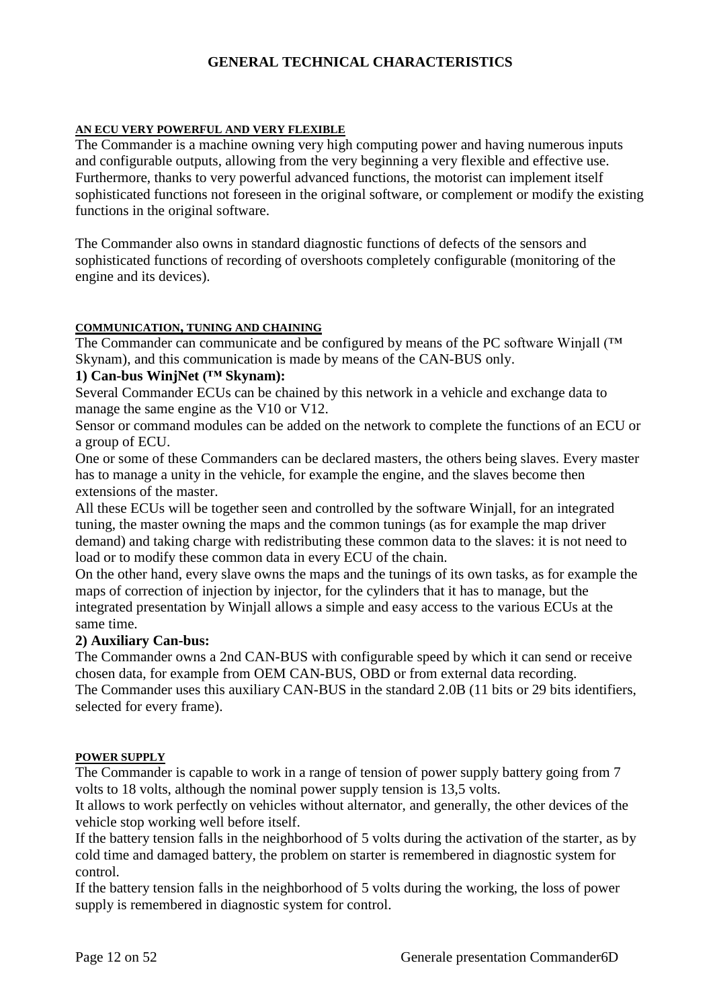# **GENERAL TECHNICAL CHARACTERISTICS**

#### **AN ECU VERY POWERFUL AND VERY FLEXIBLE**

The Commander is a machine owning very high computing power and having numerous inputs and configurable outputs, allowing from the very beginning a very flexible and effective use. Furthermore, thanks to very powerful advanced functions, the motorist can implement itself sophisticated functions not foreseen in the original software, or complement or modify the existing functions in the original software.

The Commander also owns in standard diagnostic functions of defects of the sensors and sophisticated functions of recording of overshoots completely configurable (monitoring of the engine and its devices).

#### **COMMUNICATION, TUNING AND CHAINING**

The Commander can communicate and be configured by means of the PC software Winjall (™ Skynam), and this communication is made by means of the CAN-BUS only.

# **1) Can-bus WinjNet (™ Skynam):**

Several Commander ECUs can be chained by this network in a vehicle and exchange data to manage the same engine as the V10 or V12.

Sensor or command modules can be added on the network to complete the functions of an ECU or a group of ECU.

One or some of these Commanders can be declared masters, the others being slaves. Every master has to manage a unity in the vehicle, for example the engine, and the slaves become then extensions of the master.

All these ECUs will be together seen and controlled by the software Winjall, for an integrated tuning, the master owning the maps and the common tunings (as for example the map driver demand) and taking charge with redistributing these common data to the slaves: it is not need to load or to modify these common data in every ECU of the chain.

On the other hand, every slave owns the maps and the tunings of its own tasks, as for example the maps of correction of injection by injector, for the cylinders that it has to manage, but the integrated presentation by Winjall allows a simple and easy access to the various ECUs at the same time.

#### **2) Auxiliary Can-bus:**

The Commander owns a 2nd CAN-BUS with configurable speed by which it can send or receive chosen data, for example from OEM CAN-BUS, OBD or from external data recording. The Commander uses this auxiliary CAN-BUS in the standard 2.0B (11 bits or 29 bits identifiers, selected for every frame).

#### **POWER SUPPLY**

The Commander is capable to work in a range of tension of power supply battery going from 7 volts to 18 volts, although the nominal power supply tension is 13,5 volts.

It allows to work perfectly on vehicles without alternator, and generally, the other devices of the vehicle stop working well before itself.

If the battery tension falls in the neighborhood of 5 volts during the activation of the starter, as by cold time and damaged battery, the problem on starter is remembered in diagnostic system for control.

If the battery tension falls in the neighborhood of 5 volts during the working, the loss of power supply is remembered in diagnostic system for control.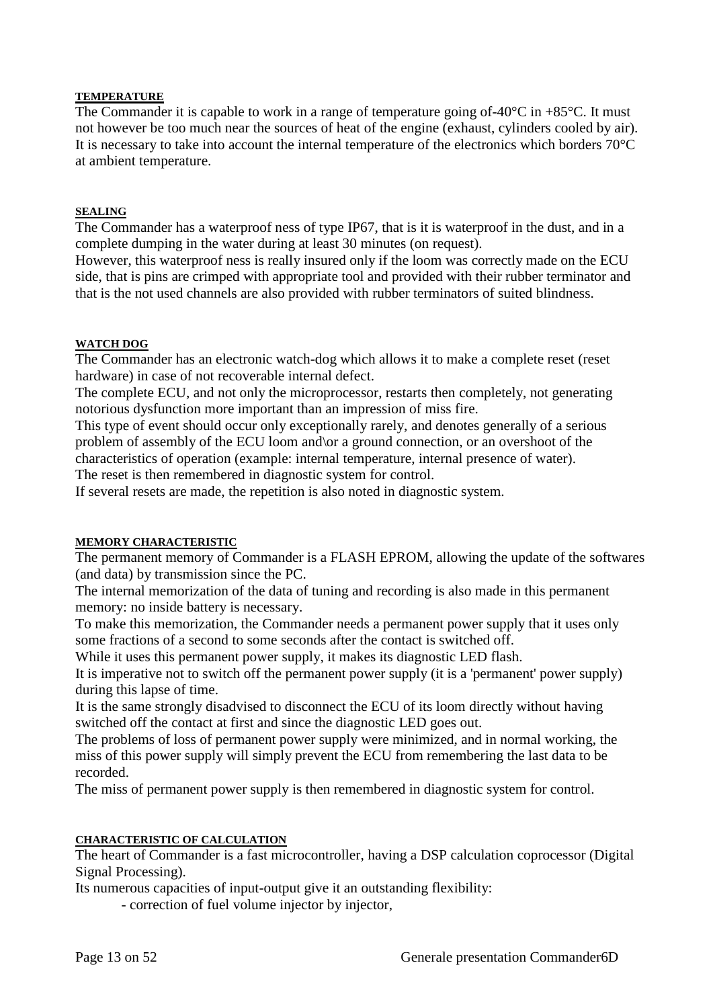#### **TEMPERATURE**

The Commander it is capable to work in a range of temperature going of-40 $\degree$ C in +85 $\degree$ C. It must not however be too much near the sources of heat of the engine (exhaust, cylinders cooled by air). It is necessary to take into account the internal temperature of the electronics which borders 70°C at ambient temperature.

#### **SEALING**

The Commander has a waterproof ness of type IP67, that is it is waterproof in the dust, and in a complete dumping in the water during at least 30 minutes (on request).

However, this waterproof ness is really insured only if the loom was correctly made on the ECU side, that is pins are crimped with appropriate tool and provided with their rubber terminator and that is the not used channels are also provided with rubber terminators of suited blindness.

#### **WATCH DOG**

The Commander has an electronic watch-dog which allows it to make a complete reset (reset hardware) in case of not recoverable internal defect.

The complete ECU, and not only the microprocessor, restarts then completely, not generating notorious dysfunction more important than an impression of miss fire.

This type of event should occur only exceptionally rarely, and denotes generally of a serious problem of assembly of the ECU loom and\or a ground connection, or an overshoot of the characteristics of operation (example: internal temperature, internal presence of water).

The reset is then remembered in diagnostic system for control.

If several resets are made, the repetition is also noted in diagnostic system.

#### **MEMORY CHARACTERISTIC**

The permanent memory of Commander is a FLASH EPROM, allowing the update of the softwares (and data) by transmission since the PC.

The internal memorization of the data of tuning and recording is also made in this permanent memory: no inside battery is necessary.

To make this memorization, the Commander needs a permanent power supply that it uses only some fractions of a second to some seconds after the contact is switched off.

While it uses this permanent power supply, it makes its diagnostic LED flash.

It is imperative not to switch off the permanent power supply (it is a 'permanent' power supply) during this lapse of time.

It is the same strongly disadvised to disconnect the ECU of its loom directly without having switched off the contact at first and since the diagnostic LED goes out.

The problems of loss of permanent power supply were minimized, and in normal working, the miss of this power supply will simply prevent the ECU from remembering the last data to be recorded.

The miss of permanent power supply is then remembered in diagnostic system for control.

#### **CHARACTERISTIC OF CALCULATION**

The heart of Commander is a fast microcontroller, having a DSP calculation coprocessor (Digital Signal Processing).

Its numerous capacities of input-output give it an outstanding flexibility:

- correction of fuel volume injector by injector,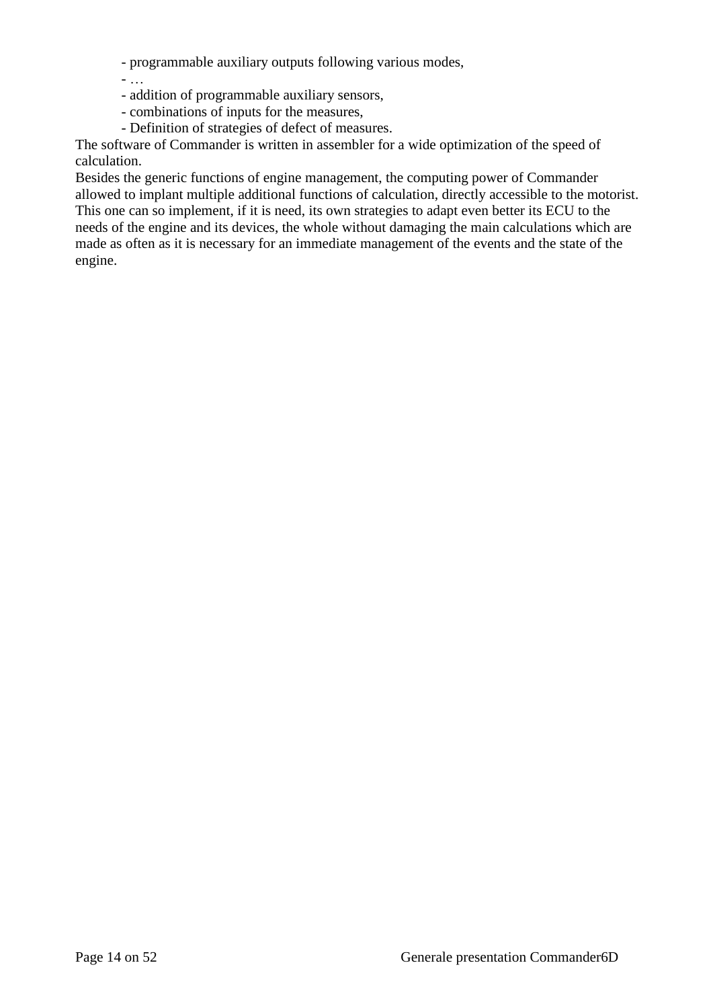- programmable auxiliary outputs following various modes,

- addition of programmable auxiliary sensors,
- combinations of inputs for the measures,

- …

- Definition of strategies of defect of measures.

The software of Commander is written in assembler for a wide optimization of the speed of calculation.

Besides the generic functions of engine management, the computing power of Commander allowed to implant multiple additional functions of calculation, directly accessible to the motorist. This one can so implement, if it is need, its own strategies to adapt even better its ECU to the needs of the engine and its devices, the whole without damaging the main calculations which are made as often as it is necessary for an immediate management of the events and the state of the engine.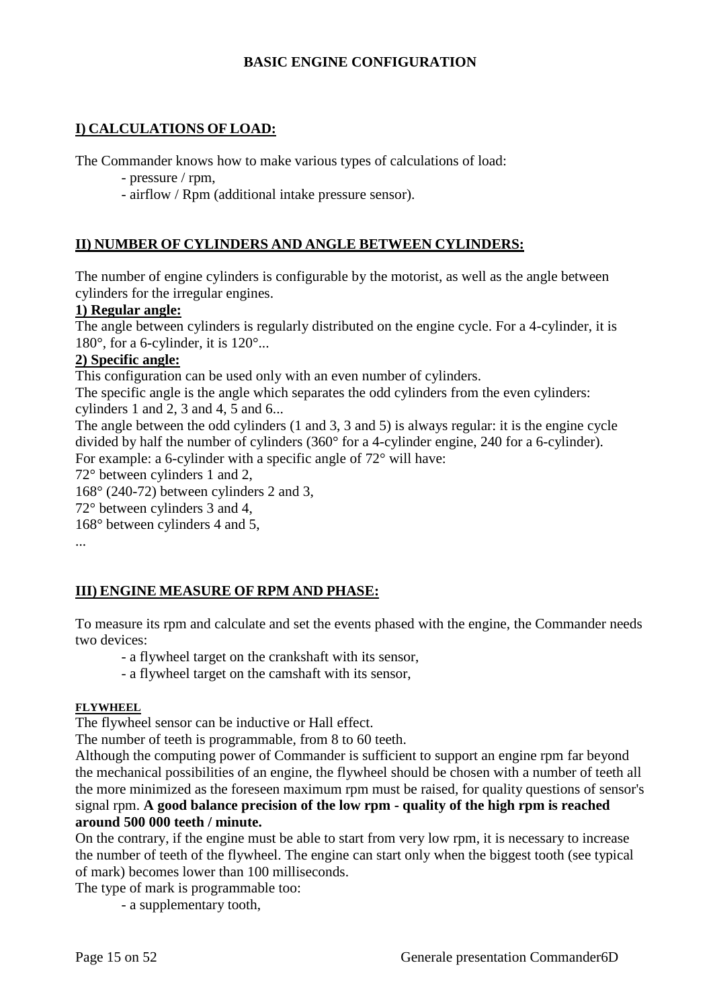# **BASIC ENGINE CONFIGURATION**

# **I) CALCULATIONS OF LOAD:**

The Commander knows how to make various types of calculations of load:

- pressure / rpm,

- airflow / Rpm (additional intake pressure sensor).

# **II) NUMBER OF CYLINDERS AND ANGLE BETWEEN CYLINDERS:**

The number of engine cylinders is configurable by the motorist, as well as the angle between cylinders for the irregular engines.

#### **1) Regular angle:**

The angle between cylinders is regularly distributed on the engine cycle. For a 4-cylinder, it is 180 $^{\circ}$ , for a 6-cylinder, it is 120 $^{\circ}$ ...

# **2) Specific angle:**

This configuration can be used only with an even number of cylinders.

The specific angle is the angle which separates the odd cylinders from the even cylinders: cylinders 1 and 2, 3 and 4, 5 and 6...

The angle between the odd cylinders (1 and 3, 3 and 5) is always regular: it is the engine cycle divided by half the number of cylinders (360° for a 4-cylinder engine, 240 for a 6-cylinder). For example: a 6-cylinder with a specific angle of 72° will have:

72° between cylinders 1 and 2,

168° (240-72) between cylinders 2 and 3,

72° between cylinders 3 and 4,

168° between cylinders 4 and 5,

...

# **III) ENGINE MEASURE OF RPM AND PHASE:**

To measure its rpm and calculate and set the events phased with the engine, the Commander needs two devices:

- a flywheel target on the crankshaft with its sensor,

- a flywheel target on the camshaft with its sensor,

#### **FLYWHEEL**

The flywheel sensor can be inductive or Hall effect.

The number of teeth is programmable, from 8 to 60 teeth.

Although the computing power of Commander is sufficient to support an engine rpm far beyond the mechanical possibilities of an engine, the flywheel should be chosen with a number of teeth all the more minimized as the foreseen maximum rpm must be raised, for quality questions of sensor's signal rpm. **A good balance precision of the low rpm - quality of the high rpm is reached around 500 000 teeth / minute.**

On the contrary, if the engine must be able to start from very low rpm, it is necessary to increase the number of teeth of the flywheel. The engine can start only when the biggest tooth (see typical of mark) becomes lower than 100 milliseconds.

The type of mark is programmable too:

- a supplementary tooth,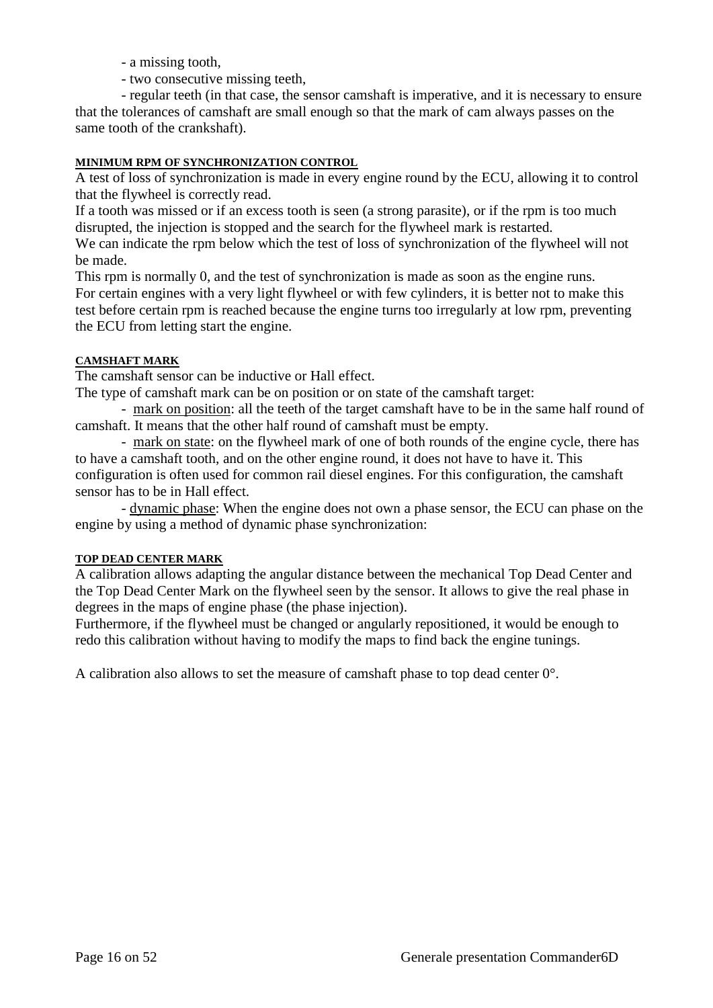- a missing tooth,
- two consecutive missing teeth,

- regular teeth (in that case, the sensor camshaft is imperative, and it is necessary to ensure that the tolerances of camshaft are small enough so that the mark of cam always passes on the same tooth of the crankshaft).

# **MINIMUM RPM OF SYNCHRONIZATION CONTROL**

A test of loss of synchronization is made in every engine round by the ECU, allowing it to control that the flywheel is correctly read.

If a tooth was missed or if an excess tooth is seen (a strong parasite), or if the rpm is too much disrupted, the injection is stopped and the search for the flywheel mark is restarted.

We can indicate the rpm below which the test of loss of synchronization of the flywheel will not be made.

This rpm is normally 0, and the test of synchronization is made as soon as the engine runs. For certain engines with a very light flywheel or with few cylinders, it is better not to make this test before certain rpm is reached because the engine turns too irregularly at low rpm, preventing the ECU from letting start the engine.

# **CAMSHAFT MARK**

The camshaft sensor can be inductive or Hall effect.

The type of camshaft mark can be on position or on state of the camshaft target:

- mark on position: all the teeth of the target camshaft have to be in the same half round of camshaft. It means that the other half round of camshaft must be empty.

- mark on state: on the flywheel mark of one of both rounds of the engine cycle, there has to have a camshaft tooth, and on the other engine round, it does not have to have it. This configuration is often used for common rail diesel engines. For this configuration, the camshaft sensor has to be in Hall effect.

- dynamic phase: When the engine does not own a phase sensor, the ECU can phase on the engine by using a method of dynamic phase synchronization:

#### **TOP DEAD CENTER MARK**

A calibration allows adapting the angular distance between the mechanical Top Dead Center and the Top Dead Center Mark on the flywheel seen by the sensor. It allows to give the real phase in degrees in the maps of engine phase (the phase injection).

Furthermore, if the flywheel must be changed or angularly repositioned, it would be enough to redo this calibration without having to modify the maps to find back the engine tunings.

A calibration also allows to set the measure of camshaft phase to top dead center 0°.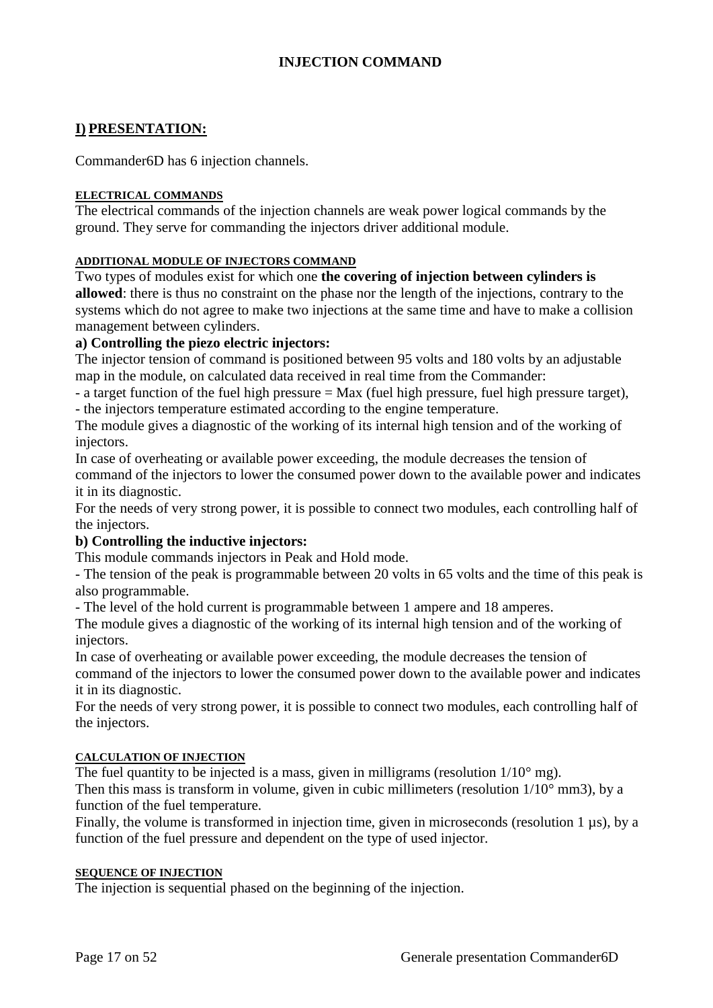# **INJECTION COMMAND**

# **I) PRESENTATION:**

Commander6D has 6 injection channels.

#### **ELECTRICAL COMMANDS**

The electrical commands of the injection channels are weak power logical commands by the ground. They serve for commanding the injectors driver additional module.

#### **ADDITIONAL MODULE OF INJECTORS COMMAND**

Two types of modules exist for which one **the covering of injection between cylinders is allowed**: there is thus no constraint on the phase nor the length of the injections, contrary to the systems which do not agree to make two injections at the same time and have to make a collision management between cylinders.

#### **a) Controlling the piezo electric injectors:**

The injector tension of command is positioned between 95 volts and 180 volts by an adjustable map in the module, on calculated data received in real time from the Commander:

- a target function of the fuel high pressure = Max (fuel high pressure, fuel high pressure target), - the injectors temperature estimated according to the engine temperature.

The module gives a diagnostic of the working of its internal high tension and of the working of injectors.

In case of overheating or available power exceeding, the module decreases the tension of command of the injectors to lower the consumed power down to the available power and indicates it in its diagnostic.

For the needs of very strong power, it is possible to connect two modules, each controlling half of the injectors.

#### **b) Controlling the inductive injectors:**

This module commands injectors in Peak and Hold mode.

- The tension of the peak is programmable between 20 volts in 65 volts and the time of this peak is also programmable.

- The level of the hold current is programmable between 1 ampere and 18 amperes.

The module gives a diagnostic of the working of its internal high tension and of the working of injectors.

In case of overheating or available power exceeding, the module decreases the tension of

command of the injectors to lower the consumed power down to the available power and indicates it in its diagnostic.

For the needs of very strong power, it is possible to connect two modules, each controlling half of the injectors.

#### **CALCULATION OF INJECTION**

The fuel quantity to be injected is a mass, given in milligrams (resolution  $1/10^{\circ}$  mg).

Then this mass is transform in volume, given in cubic millimeters (resolution  $1/10^{\circ}$  mm3), by a function of the fuel temperature.

Finally, the volume is transformed in injection time, given in microseconds (resolution 1 µs), by a function of the fuel pressure and dependent on the type of used injector.

#### **SEQUENCE OF INJECTION**

The injection is sequential phased on the beginning of the injection.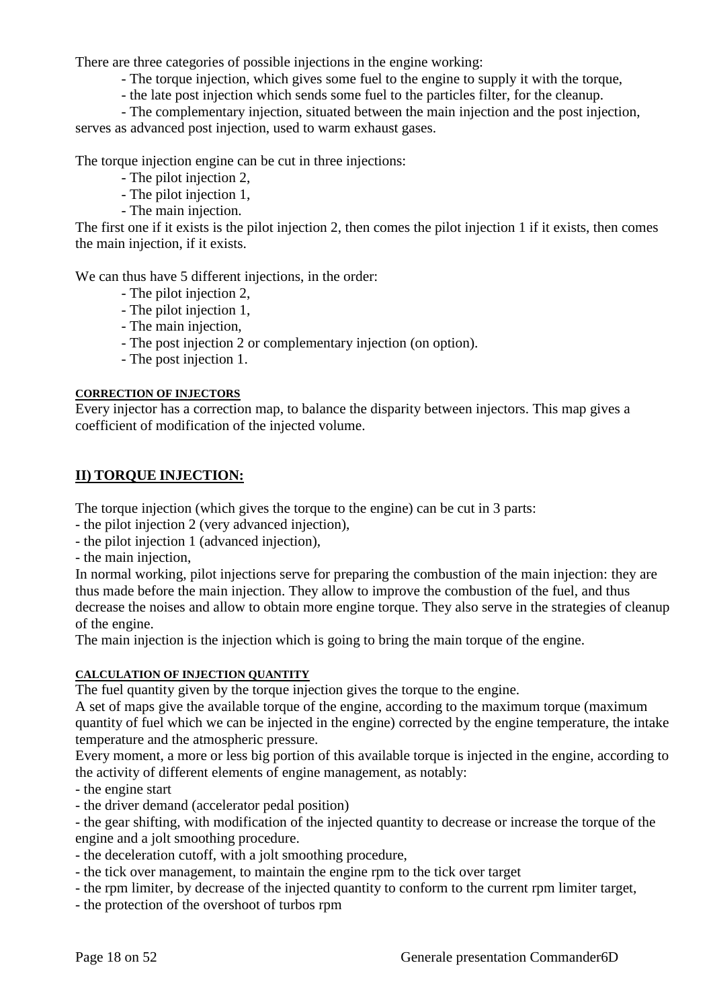There are three categories of possible injections in the engine working:

- The torque injection, which gives some fuel to the engine to supply it with the torque,
- the late post injection which sends some fuel to the particles filter, for the cleanup.

- The complementary injection, situated between the main injection and the post injection,

serves as advanced post injection, used to warm exhaust gases.

The torque injection engine can be cut in three injections:

- The pilot injection 2,
- The pilot injection 1,
- The main injection.

The first one if it exists is the pilot injection 2, then comes the pilot injection 1 if it exists, then comes the main injection, if it exists.

We can thus have 5 different injections, in the order:

- The pilot injection 2,
- The pilot injection 1,
- The main injection,
- The post injection 2 or complementary injection (on option).
- The post injection 1.

# **CORRECTION OF INJECTORS**

Every injector has a correction map, to balance the disparity between injectors. This map gives a coefficient of modification of the injected volume.

# **II) TORQUE INJECTION:**

The torque injection (which gives the torque to the engine) can be cut in 3 parts:

- the pilot injection 2 (very advanced injection),
- the pilot injection 1 (advanced injection),

- the main injection,

In normal working, pilot injections serve for preparing the combustion of the main injection: they are thus made before the main injection. They allow to improve the combustion of the fuel, and thus decrease the noises and allow to obtain more engine torque. They also serve in the strategies of cleanup of the engine.

The main injection is the injection which is going to bring the main torque of the engine.

# **CALCULATION OF INJECTION QUANTITY**

The fuel quantity given by the torque injection gives the torque to the engine.

A set of maps give the available torque of the engine, according to the maximum torque (maximum quantity of fuel which we can be injected in the engine) corrected by the engine temperature, the intake temperature and the atmospheric pressure.

Every moment, a more or less big portion of this available torque is injected in the engine, according to the activity of different elements of engine management, as notably:

- the engine start

- the driver demand (accelerator pedal position)

- the gear shifting, with modification of the injected quantity to decrease or increase the torque of the engine and a jolt smoothing procedure.

- the deceleration cutoff, with a jolt smoothing procedure,
- the tick over management, to maintain the engine rpm to the tick over target
- the rpm limiter, by decrease of the injected quantity to conform to the current rpm limiter target,
- the protection of the overshoot of turbos rpm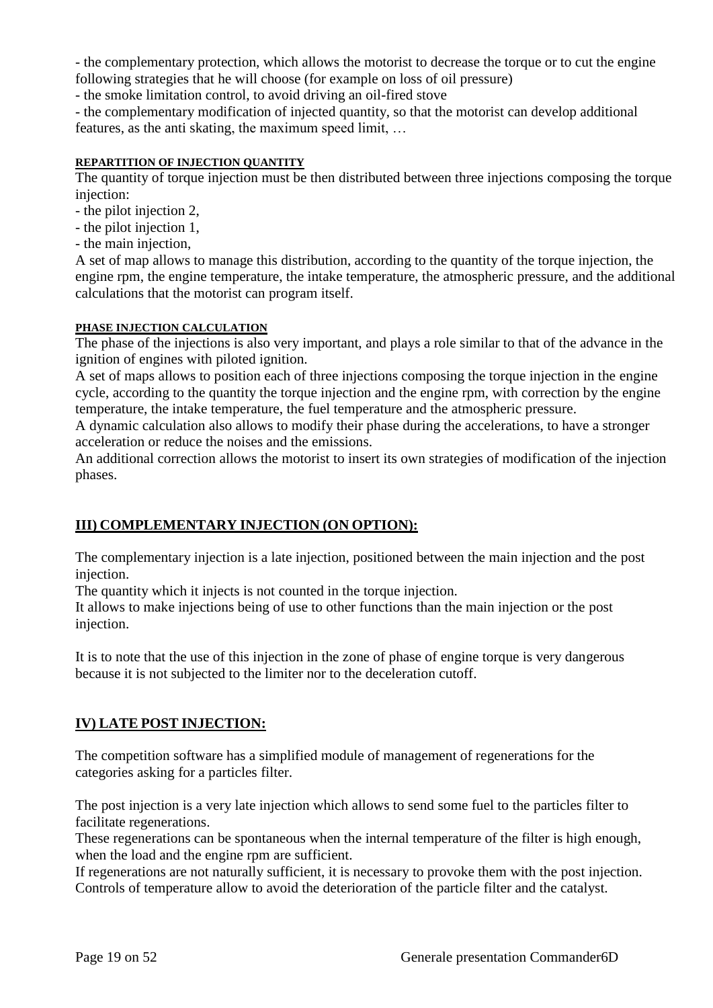- the complementary protection, which allows the motorist to decrease the torque or to cut the engine following strategies that he will choose (for example on loss of oil pressure)

- the smoke limitation control, to avoid driving an oil-fired stove

- the complementary modification of injected quantity, so that the motorist can develop additional features, as the anti skating, the maximum speed limit, …

#### **REPARTITION OF INJECTION QUANTITY**

The quantity of torque injection must be then distributed between three injections composing the torque injection:

- the pilot injection 2,
- the pilot injection 1,
- the main injection,

A set of map allows to manage this distribution, according to the quantity of the torque injection, the engine rpm, the engine temperature, the intake temperature, the atmospheric pressure, and the additional calculations that the motorist can program itself.

#### **PHASE INJECTION CALCULATION**

The phase of the injections is also very important, and plays a role similar to that of the advance in the ignition of engines with piloted ignition.

A set of maps allows to position each of three injections composing the torque injection in the engine cycle, according to the quantity the torque injection and the engine rpm, with correction by the engine temperature, the intake temperature, the fuel temperature and the atmospheric pressure.

A dynamic calculation also allows to modify their phase during the accelerations, to have a stronger acceleration or reduce the noises and the emissions.

An additional correction allows the motorist to insert its own strategies of modification of the injection phases.

# **III) COMPLEMENTARY INJECTION (ON OPTION):**

The complementary injection is a late injection, positioned between the main injection and the post injection.

The quantity which it injects is not counted in the torque injection.

It allows to make injections being of use to other functions than the main injection or the post injection.

It is to note that the use of this injection in the zone of phase of engine torque is very dangerous because it is not subjected to the limiter nor to the deceleration cutoff.

# **IV) LATE POST INJECTION:**

The competition software has a simplified module of management of regenerations for the categories asking for a particles filter.

The post injection is a very late injection which allows to send some fuel to the particles filter to facilitate regenerations.

These regenerations can be spontaneous when the internal temperature of the filter is high enough, when the load and the engine rpm are sufficient.

If regenerations are not naturally sufficient, it is necessary to provoke them with the post injection. Controls of temperature allow to avoid the deterioration of the particle filter and the catalyst.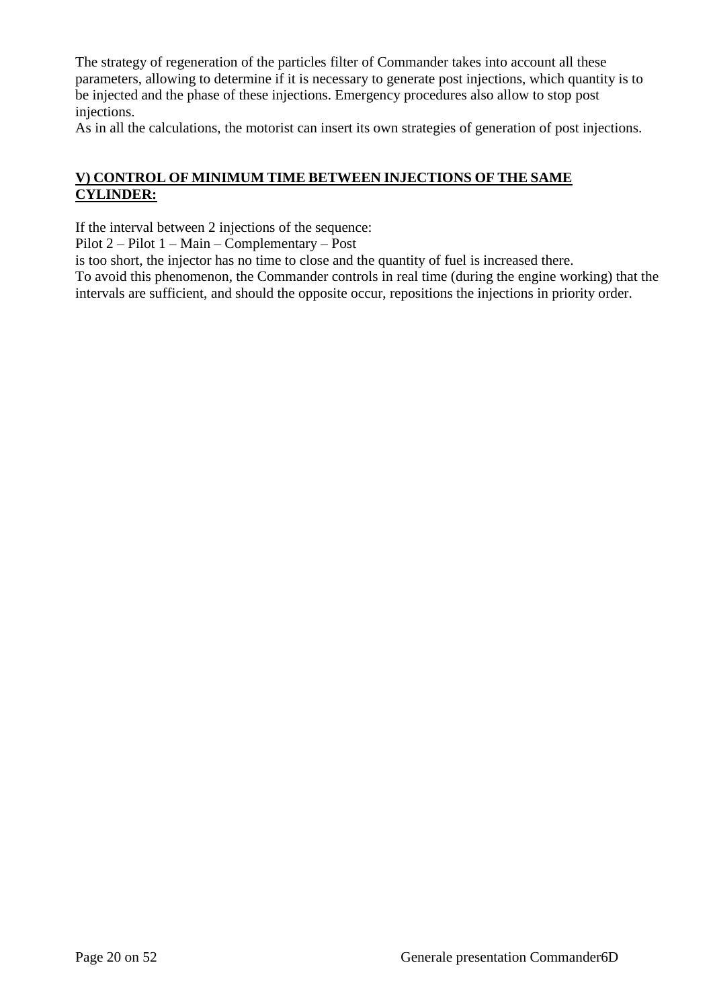The strategy of regeneration of the particles filter of Commander takes into account all these parameters, allowing to determine if it is necessary to generate post injections, which quantity is to be injected and the phase of these injections. Emergency procedures also allow to stop post injections.

As in all the calculations, the motorist can insert its own strategies of generation of post injections.

# **V) CONTROL OF MINIMUM TIME BETWEEN INJECTIONS OF THE SAME CYLINDER:**

If the interval between 2 injections of the sequence:

Pilot 2 – Pilot 1 – Main – Complementary – Post

is too short, the injector has no time to close and the quantity of fuel is increased there.

To avoid this phenomenon, the Commander controls in real time (during the engine working) that the intervals are sufficient, and should the opposite occur, repositions the injections in priority order.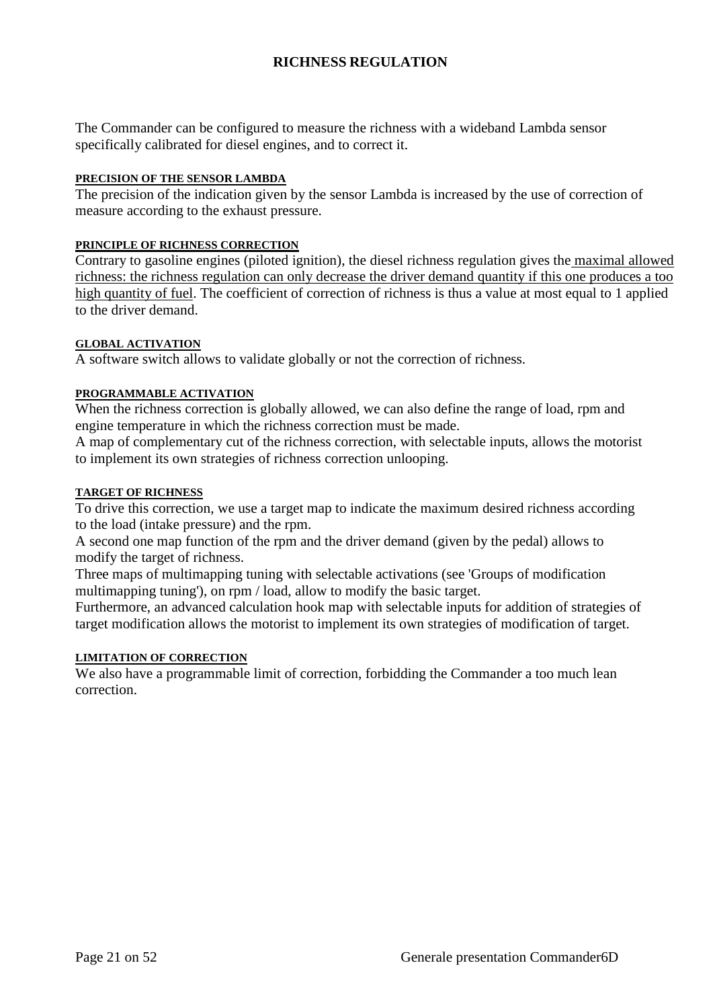# **RICHNESS REGULATION**

The Commander can be configured to measure the richness with a wideband Lambda sensor specifically calibrated for diesel engines, and to correct it.

#### **PRECISION OF THE SENSOR LAMBDA**

The precision of the indication given by the sensor Lambda is increased by the use of correction of measure according to the exhaust pressure.

#### **PRINCIPLE OF RICHNESS CORRECTION**

Contrary to gasoline engines (piloted ignition), the diesel richness regulation gives the maximal allowed richness: the richness regulation can only decrease the driver demand quantity if this one produces a too high quantity of fuel. The coefficient of correction of richness is thus a value at most equal to 1 applied to the driver demand.

#### **GLOBAL ACTIVATION**

A software switch allows to validate globally or not the correction of richness.

#### **PROGRAMMABLE ACTIVATION**

When the richness correction is globally allowed, we can also define the range of load, rpm and engine temperature in which the richness correction must be made.

A map of complementary cut of the richness correction, with selectable inputs, allows the motorist to implement its own strategies of richness correction unlooping.

#### **TARGET OF RICHNESS**

To drive this correction, we use a target map to indicate the maximum desired richness according to the load (intake pressure) and the rpm.

A second one map function of the rpm and the driver demand (given by the pedal) allows to modify the target of richness.

Three maps of multimapping tuning with selectable activations (see 'Groups of modification multimapping tuning'), on rpm / load, allow to modify the basic target.

Furthermore, an advanced calculation hook map with selectable inputs for addition of strategies of target modification allows the motorist to implement its own strategies of modification of target.

#### **LIMITATION OF CORRECTION**

We also have a programmable limit of correction, forbidding the Commander a too much lean correction.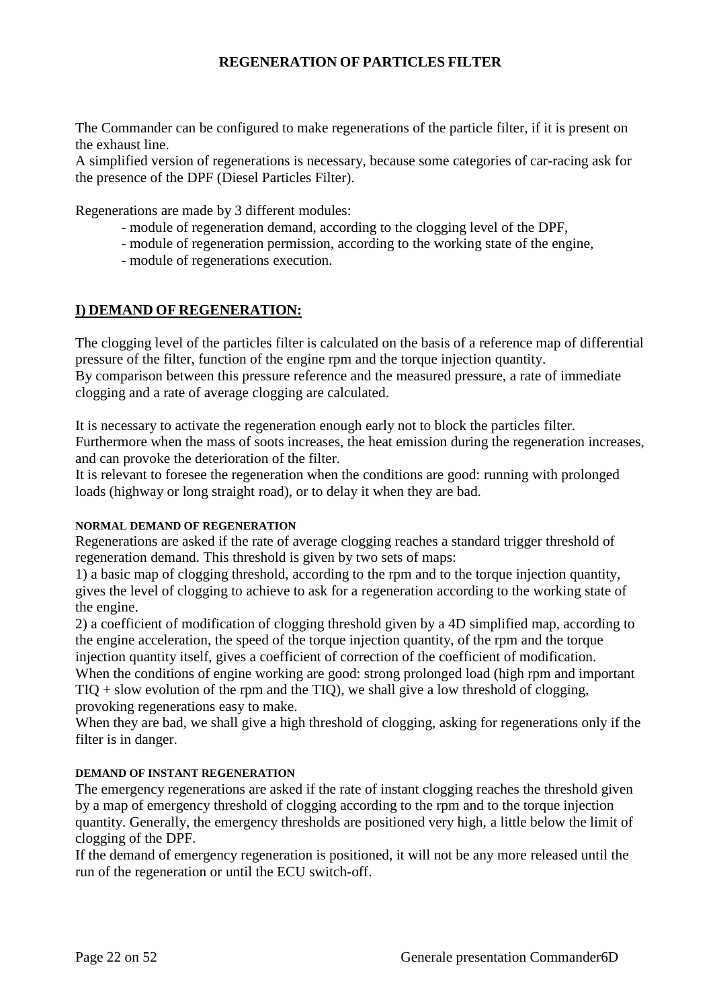# **REGENERATION OF PARTICLES FILTER**

The Commander can be configured to make regenerations of the particle filter, if it is present on the exhaust line.

A simplified version of regenerations is necessary, because some categories of car-racing ask for the presence of the DPF (Diesel Particles Filter).

Regenerations are made by 3 different modules:

- module of regeneration demand, according to the clogging level of the DPF,
- module of regeneration permission, according to the working state of the engine,
- module of regenerations execution.

# **I) DEMAND OF REGENERATION:**

The clogging level of the particles filter is calculated on the basis of a reference map of differential pressure of the filter, function of the engine rpm and the torque injection quantity. By comparison between this pressure reference and the measured pressure, a rate of immediate clogging and a rate of average clogging are calculated.

It is necessary to activate the regeneration enough early not to block the particles filter. Furthermore when the mass of soots increases, the heat emission during the regeneration increases, and can provoke the deterioration of the filter.

It is relevant to foresee the regeneration when the conditions are good: running with prolonged loads (highway or long straight road), or to delay it when they are bad.

#### **NORMAL DEMAND OF REGENERATION**

Regenerations are asked if the rate of average clogging reaches a standard trigger threshold of regeneration demand. This threshold is given by two sets of maps:

1) a basic map of clogging threshold, according to the rpm and to the torque injection quantity, gives the level of clogging to achieve to ask for a regeneration according to the working state of the engine.

2) a coefficient of modification of clogging threshold given by a 4D simplified map, according to the engine acceleration, the speed of the torque injection quantity, of the rpm and the torque injection quantity itself, gives a coefficient of correction of the coefficient of modification. When the conditions of engine working are good: strong prolonged load (high rpm and important  $TIO + slow evolution of the rpm and the TIO$ , we shall give a low threshold of clogging, provoking regenerations easy to make.

When they are bad, we shall give a high threshold of clogging, asking for regenerations only if the filter is in danger.

#### **DEMAND OF INSTANT REGENERATION**

The emergency regenerations are asked if the rate of instant clogging reaches the threshold given by a map of emergency threshold of clogging according to the rpm and to the torque injection quantity. Generally, the emergency thresholds are positioned very high, a little below the limit of clogging of the DPF.

If the demand of emergency regeneration is positioned, it will not be any more released until the run of the regeneration or until the ECU switch-off.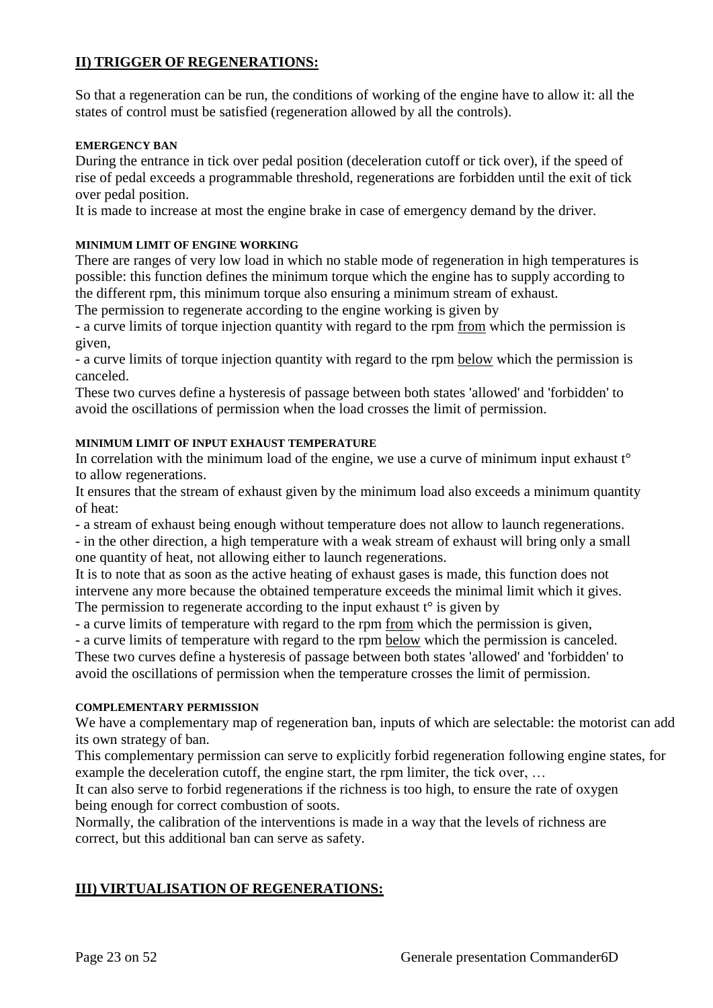# **II) TRIGGER OF REGENERATIONS:**

So that a regeneration can be run, the conditions of working of the engine have to allow it: all the states of control must be satisfied (regeneration allowed by all the controls).

# **EMERGENCY BAN**

During the entrance in tick over pedal position (deceleration cutoff or tick over), if the speed of rise of pedal exceeds a programmable threshold, regenerations are forbidden until the exit of tick over pedal position.

It is made to increase at most the engine brake in case of emergency demand by the driver.

# **MINIMUM LIMIT OF ENGINE WORKING**

There are ranges of very low load in which no stable mode of regeneration in high temperatures is possible: this function defines the minimum torque which the engine has to supply according to the different rpm, this minimum torque also ensuring a minimum stream of exhaust.

The permission to regenerate according to the engine working is given by

- a curve limits of torque injection quantity with regard to the rpm from which the permission is given,

- a curve limits of torque injection quantity with regard to the rpm below which the permission is canceled.

These two curves define a hysteresis of passage between both states 'allowed' and 'forbidden' to avoid the oscillations of permission when the load crosses the limit of permission.

# **MINIMUM LIMIT OF INPUT EXHAUST TEMPERATURE**

In correlation with the minimum load of the engine, we use a curve of minimum input exhaust  $t^{\circ}$ to allow regenerations.

It ensures that the stream of exhaust given by the minimum load also exceeds a minimum quantity of heat:

- a stream of exhaust being enough without temperature does not allow to launch regenerations.

- in the other direction, a high temperature with a weak stream of exhaust will bring only a small one quantity of heat, not allowing either to launch regenerations.

It is to note that as soon as the active heating of exhaust gases is made, this function does not intervene any more because the obtained temperature exceeds the minimal limit which it gives. The permission to regenerate according to the input exhaust  $t^{\circ}$  is given by

- a curve limits of temperature with regard to the rpm from which the permission is given,

- a curve limits of temperature with regard to the rpm below which the permission is canceled.

These two curves define a hysteresis of passage between both states 'allowed' and 'forbidden' to avoid the oscillations of permission when the temperature crosses the limit of permission.

#### **COMPLEMENTARY PERMISSION**

We have a complementary map of regeneration ban, inputs of which are selectable: the motorist can add its own strategy of ban.

This complementary permission can serve to explicitly forbid regeneration following engine states, for example the deceleration cutoff, the engine start, the rpm limiter, the tick over, ...

It can also serve to forbid regenerations if the richness is too high, to ensure the rate of oxygen being enough for correct combustion of soots.

Normally, the calibration of the interventions is made in a way that the levels of richness are correct, but this additional ban can serve as safety.

# **III) VIRTUALISATION OF REGENERATIONS:**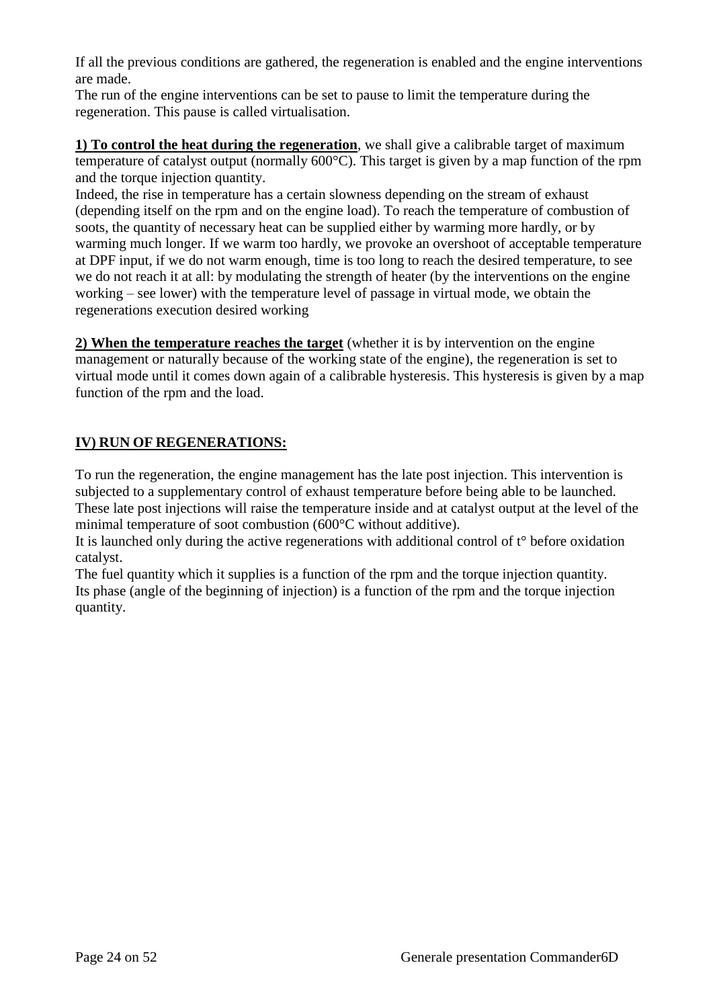If all the previous conditions are gathered, the regeneration is enabled and the engine interventions are made.

The run of the engine interventions can be set to pause to limit the temperature during the regeneration. This pause is called virtualisation.

**1) To control the heat during the regeneration**, we shall give a calibrable target of maximum temperature of catalyst output (normally 600°C). This target is given by a map function of the rpm and the torque injection quantity.

Indeed, the rise in temperature has a certain slowness depending on the stream of exhaust (depending itself on the rpm and on the engine load). To reach the temperature of combustion of soots, the quantity of necessary heat can be supplied either by warming more hardly, or by warming much longer. If we warm too hardly, we provoke an overshoot of acceptable temperature at DPF input, if we do not warm enough, time is too long to reach the desired temperature, to see we do not reach it at all: by modulating the strength of heater (by the interventions on the engine working – see lower) with the temperature level of passage in virtual mode, we obtain the regenerations execution desired working

**2) When the temperature reaches the target** (whether it is by intervention on the engine management or naturally because of the working state of the engine), the regeneration is set to virtual mode until it comes down again of a calibrable hysteresis. This hysteresis is given by a map function of the rpm and the load.

# **IV) RUN OF REGENERATIONS:**

To run the regeneration, the engine management has the late post injection. This intervention is subjected to a supplementary control of exhaust temperature before being able to be launched. These late post injections will raise the temperature inside and at catalyst output at the level of the minimal temperature of soot combustion (600°C without additive).

It is launched only during the active regenerations with additional control of t° before oxidation catalyst.

The fuel quantity which it supplies is a function of the rpm and the torque injection quantity. Its phase (angle of the beginning of injection) is a function of the rpm and the torque injection quantity.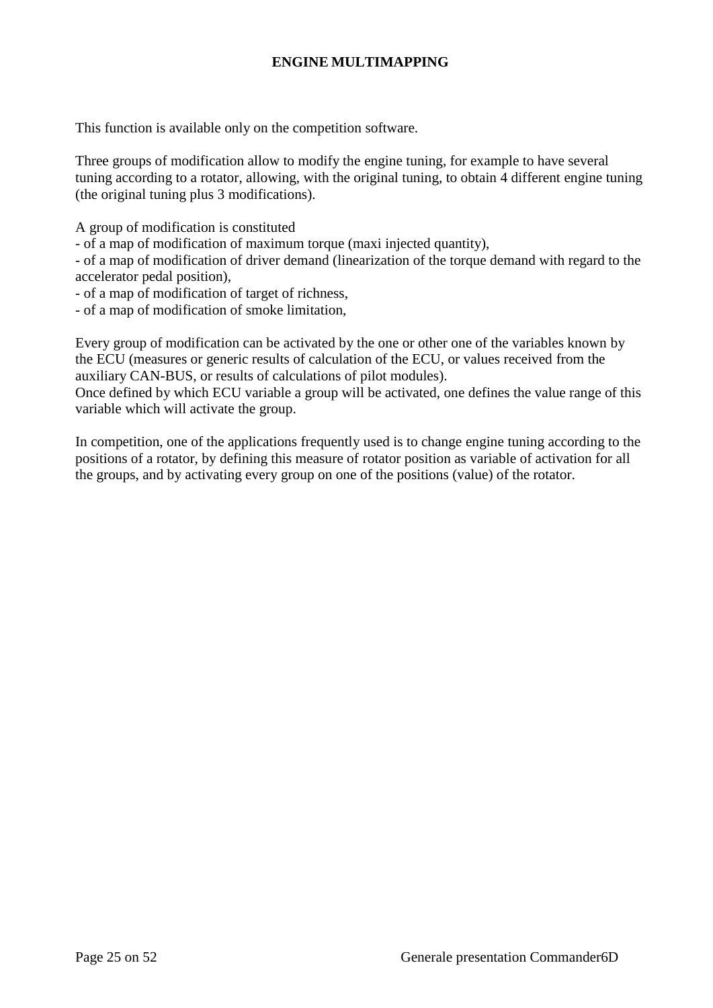# **ENGINE MULTIMAPPING**

This function is available only on the competition software.

Three groups of modification allow to modify the engine tuning, for example to have several tuning according to a rotator, allowing, with the original tuning, to obtain 4 different engine tuning (the original tuning plus 3 modifications).

A group of modification is constituted

- of a map of modification of maximum torque (maxi injected quantity),

- of a map of modification of driver demand (linearization of the torque demand with regard to the accelerator pedal position),

- of a map of modification of target of richness,

- of a map of modification of smoke limitation,

Every group of modification can be activated by the one or other one of the variables known by the ECU (measures or generic results of calculation of the ECU, or values received from the auxiliary CAN-BUS, or results of calculations of pilot modules).

Once defined by which ECU variable a group will be activated, one defines the value range of this variable which will activate the group.

In competition, one of the applications frequently used is to change engine tuning according to the positions of a rotator, by defining this measure of rotator position as variable of activation for all the groups, and by activating every group on one of the positions (value) of the rotator.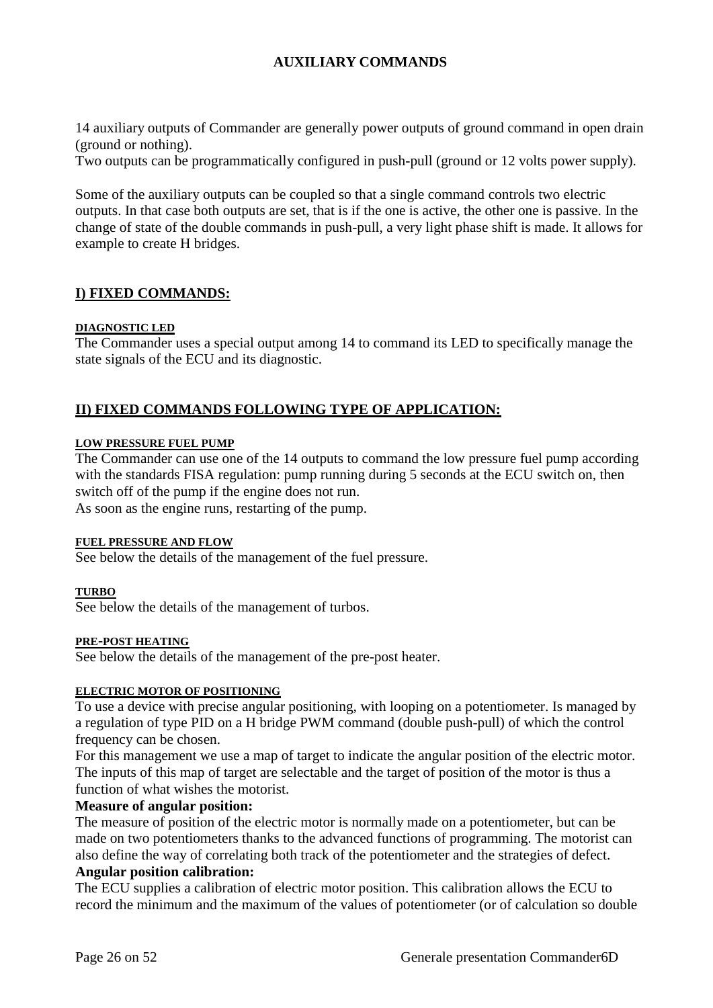# **AUXILIARY COMMANDS**

14 auxiliary outputs of Commander are generally power outputs of ground command in open drain (ground or nothing).

Two outputs can be programmatically configured in push-pull (ground or 12 volts power supply).

Some of the auxiliary outputs can be coupled so that a single command controls two electric outputs. In that case both outputs are set, that is if the one is active, the other one is passive. In the change of state of the double commands in push-pull, a very light phase shift is made. It allows for example to create H bridges.

# **I) FIXED COMMANDS:**

#### **DIAGNOSTIC LED**

The Commander uses a special output among 14 to command its LED to specifically manage the state signals of the ECU and its diagnostic.

# **II) FIXED COMMANDS FOLLOWING TYPE OF APPLICATION:**

#### **LOW PRESSURE FUEL PUMP**

The Commander can use one of the 14 outputs to command the low pressure fuel pump according with the standards FISA regulation: pump running during 5 seconds at the ECU switch on, then switch off of the pump if the engine does not run. As soon as the engine runs, restarting of the pump.

#### **FUEL PRESSURE AND FLOW**

See below the details of the management of the fuel pressure.

#### **TURBO**

See below the details of the management of turbos.

#### **PRE-POST HEATING**

See below the details of the management of the pre-post heater.

#### **ELECTRIC MOTOR OF POSITIONING**

To use a device with precise angular positioning, with looping on a potentiometer. Is managed by a regulation of type PID on a H bridge PWM command (double push-pull) of which the control frequency can be chosen.

For this management we use a map of target to indicate the angular position of the electric motor. The inputs of this map of target are selectable and the target of position of the motor is thus a function of what wishes the motorist.

#### **Measure of angular position:**

The measure of position of the electric motor is normally made on a potentiometer, but can be made on two potentiometers thanks to the advanced functions of programming. The motorist can also define the way of correlating both track of the potentiometer and the strategies of defect.

#### **Angular position calibration:**

The ECU supplies a calibration of electric motor position. This calibration allows the ECU to record the minimum and the maximum of the values of potentiometer (or of calculation so double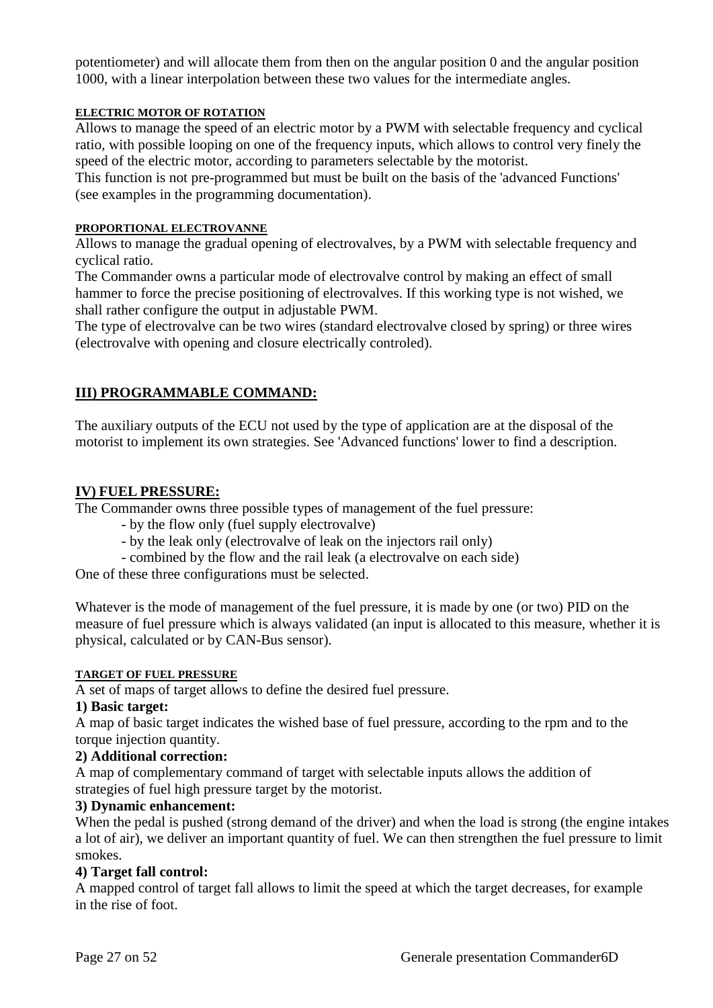potentiometer) and will allocate them from then on the angular position 0 and the angular position 1000, with a linear interpolation between these two values for the intermediate angles.

#### **ELECTRIC MOTOR OF ROTATION**

Allows to manage the speed of an electric motor by a PWM with selectable frequency and cyclical ratio, with possible looping on one of the frequency inputs, which allows to control very finely the speed of the electric motor, according to parameters selectable by the motorist.

This function is not pre-programmed but must be built on the basis of the 'advanced Functions' (see examples in the programming documentation).

#### **PROPORTIONAL ELECTROVANNE**

Allows to manage the gradual opening of electrovalves, by a PWM with selectable frequency and cyclical ratio.

The Commander owns a particular mode of electrovalve control by making an effect of small hammer to force the precise positioning of electrovalves. If this working type is not wished, we shall rather configure the output in adjustable PWM.

The type of electrovalve can be two wires (standard electrovalve closed by spring) or three wires (electrovalve with opening and closure electrically controled).

# **III) PROGRAMMABLE COMMAND:**

The auxiliary outputs of the ECU not used by the type of application are at the disposal of the motorist to implement its own strategies. See 'Advanced functions' lower to find a description.

# **IV) FUEL PRESSURE:**

The Commander owns three possible types of management of the fuel pressure:

- by the flow only (fuel supply electrovalve)
- by the leak only (electrovalve of leak on the injectors rail only)
- combined by the flow and the rail leak (a electrovalve on each side)

One of these three configurations must be selected.

Whatever is the mode of management of the fuel pressure, it is made by one (or two) PID on the measure of fuel pressure which is always validated (an input is allocated to this measure, whether it is physical, calculated or by CAN-Bus sensor).

#### **TARGET OF FUEL PRESSURE**

A set of maps of target allows to define the desired fuel pressure.

#### **1) Basic target:**

A map of basic target indicates the wished base of fuel pressure, according to the rpm and to the torque injection quantity.

#### **2) Additional correction:**

A map of complementary command of target with selectable inputs allows the addition of strategies of fuel high pressure target by the motorist.

#### **3) Dynamic enhancement:**

When the pedal is pushed (strong demand of the driver) and when the load is strong (the engine intakes a lot of air), we deliver an important quantity of fuel. We can then strengthen the fuel pressure to limit smokes.

#### **4) Target fall control:**

A mapped control of target fall allows to limit the speed at which the target decreases, for example in the rise of foot.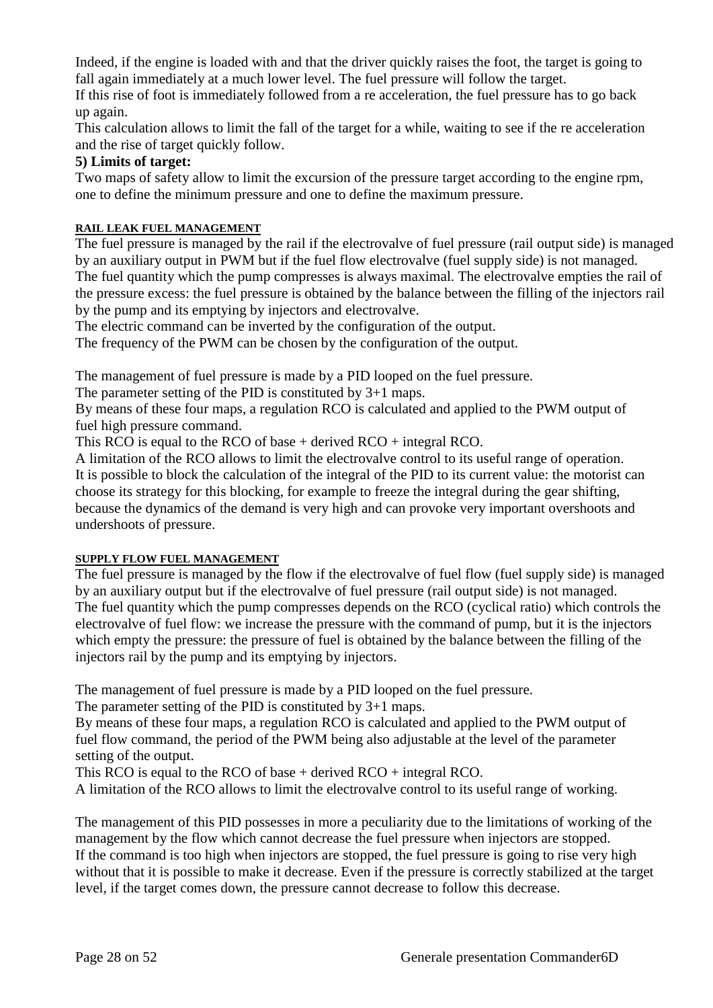Indeed, if the engine is loaded with and that the driver quickly raises the foot, the target is going to fall again immediately at a much lower level. The fuel pressure will follow the target.

If this rise of foot is immediately followed from a re acceleration, the fuel pressure has to go back up again.

This calculation allows to limit the fall of the target for a while, waiting to see if the re acceleration and the rise of target quickly follow.

# **5) Limits of target:**

Two maps of safety allow to limit the excursion of the pressure target according to the engine rpm, one to define the minimum pressure and one to define the maximum pressure.

# **RAIL LEAK FUEL MANAGEMENT**

The fuel pressure is managed by the rail if the electrovalve of fuel pressure (rail output side) is managed by an auxiliary output in PWM but if the fuel flow electrovalve (fuel supply side) is not managed. The fuel quantity which the pump compresses is always maximal. The electrovalve empties the rail of the pressure excess: the fuel pressure is obtained by the balance between the filling of the injectors rail by the pump and its emptying by injectors and electrovalve.

The electric command can be inverted by the configuration of the output.

The frequency of the PWM can be chosen by the configuration of the output.

The management of fuel pressure is made by a PID looped on the fuel pressure.

The parameter setting of the PID is constituted by 3+1 maps.

By means of these four maps, a regulation RCO is calculated and applied to the PWM output of fuel high pressure command.

This RCO is equal to the RCO of base + derived RCO + integral RCO.

A limitation of the RCO allows to limit the electrovalve control to its useful range of operation. It is possible to block the calculation of the integral of the PID to its current value: the motorist can choose its strategy for this blocking, for example to freeze the integral during the gear shifting, because the dynamics of the demand is very high and can provoke very important overshoots and undershoots of pressure.

# **SUPPLY FLOW FUEL MANAGEMENT**

The fuel pressure is managed by the flow if the electrovalve of fuel flow (fuel supply side) is managed by an auxiliary output but if the electrovalve of fuel pressure (rail output side) is not managed. The fuel quantity which the pump compresses depends on the RCO (cyclical ratio) which controls the electrovalve of fuel flow: we increase the pressure with the command of pump, but it is the injectors which empty the pressure: the pressure of fuel is obtained by the balance between the filling of the injectors rail by the pump and its emptying by injectors.

The management of fuel pressure is made by a PID looped on the fuel pressure.

The parameter setting of the PID is constituted by 3+1 maps.

By means of these four maps, a regulation RCO is calculated and applied to the PWM output of fuel flow command, the period of the PWM being also adjustable at the level of the parameter setting of the output.

This RCO is equal to the RCO of base + derived RCO + integral RCO.

A limitation of the RCO allows to limit the electrovalve control to its useful range of working.

The management of this PID possesses in more a peculiarity due to the limitations of working of the management by the flow which cannot decrease the fuel pressure when injectors are stopped. If the command is too high when injectors are stopped, the fuel pressure is going to rise very high without that it is possible to make it decrease. Even if the pressure is correctly stabilized at the target level, if the target comes down, the pressure cannot decrease to follow this decrease.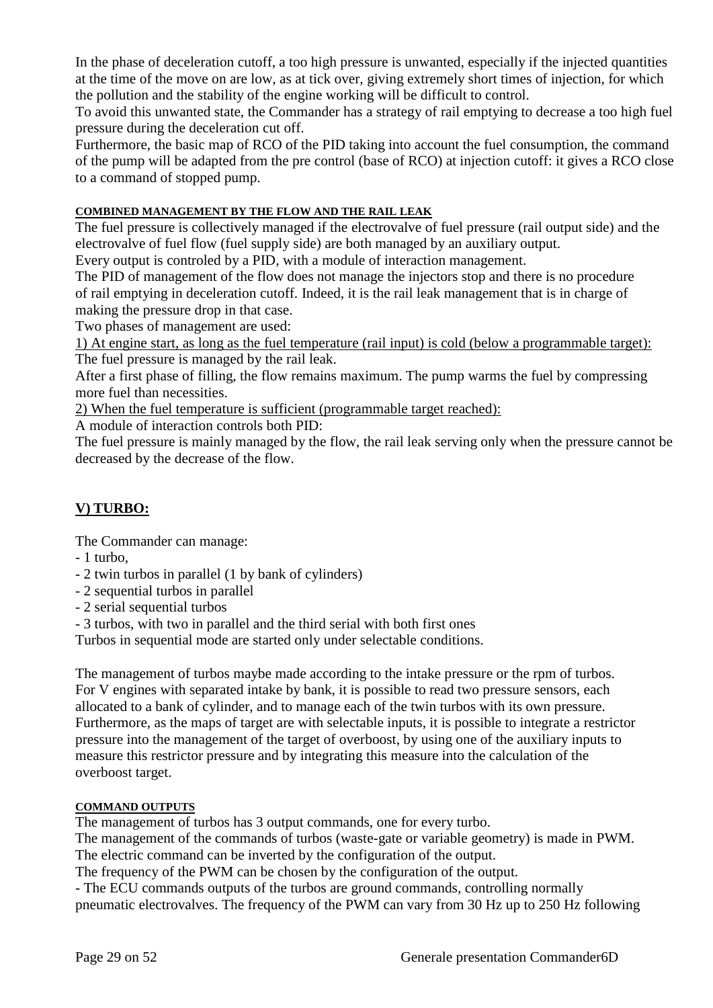In the phase of deceleration cutoff, a too high pressure is unwanted, especially if the injected quantities at the time of the move on are low, as at tick over, giving extremely short times of injection, for which the pollution and the stability of the engine working will be difficult to control.

To avoid this unwanted state, the Commander has a strategy of rail emptying to decrease a too high fuel pressure during the deceleration cut off.

Furthermore, the basic map of RCO of the PID taking into account the fuel consumption, the command of the pump will be adapted from the pre control (base of RCO) at injection cutoff: it gives a RCO close to a command of stopped pump.

# **COMBINED MANAGEMENT BY THE FLOW AND THE RAIL LEAK**

The fuel pressure is collectively managed if the electrovalve of fuel pressure (rail output side) and the electrovalve of fuel flow (fuel supply side) are both managed by an auxiliary output.

Every output is controled by a PID, with a module of interaction management.

The PID of management of the flow does not manage the injectors stop and there is no procedure of rail emptying in deceleration cutoff. Indeed, it is the rail leak management that is in charge of making the pressure drop in that case.

Two phases of management are used:

1) At engine start, as long as the fuel temperature (rail input) is cold (below a programmable target): The fuel pressure is managed by the rail leak.

After a first phase of filling, the flow remains maximum. The pump warms the fuel by compressing more fuel than necessities.

2) When the fuel temperature is sufficient (programmable target reached):

A module of interaction controls both PID:

The fuel pressure is mainly managed by the flow, the rail leak serving only when the pressure cannot be decreased by the decrease of the flow.

# **V) TURBO:**

The Commander can manage:

- 1 turbo,
- 2 twin turbos in parallel (1 by bank of cylinders)
- 2 sequential turbos in parallel
- 2 serial sequential turbos

- 3 turbos, with two in parallel and the third serial with both first ones

Turbos in sequential mode are started only under selectable conditions.

The management of turbos maybe made according to the intake pressure or the rpm of turbos. For V engines with separated intake by bank, it is possible to read two pressure sensors, each allocated to a bank of cylinder, and to manage each of the twin turbos with its own pressure. Furthermore, as the maps of target are with selectable inputs, it is possible to integrate a restrictor pressure into the management of the target of overboost, by using one of the auxiliary inputs to measure this restrictor pressure and by integrating this measure into the calculation of the overboost target.

#### **COMMAND OUTPUTS**

The management of turbos has 3 output commands, one for every turbo.

The management of the commands of turbos (waste-gate or variable geometry) is made in PWM. The electric command can be inverted by the configuration of the output.

The frequency of the PWM can be chosen by the configuration of the output.

- The ECU commands outputs of the turbos are ground commands, controlling normally pneumatic electrovalves. The frequency of the PWM can vary from 30 Hz up to 250 Hz following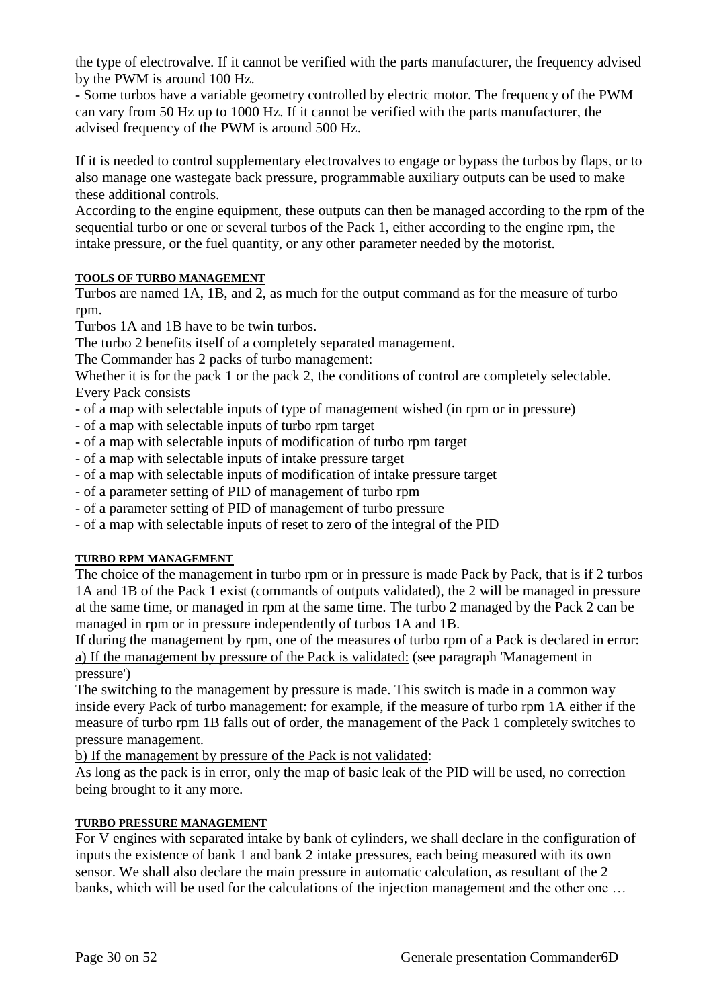the type of electrovalve. If it cannot be verified with the parts manufacturer, the frequency advised by the PWM is around 100 Hz.

- Some turbos have a variable geometry controlled by electric motor. The frequency of the PWM can vary from 50 Hz up to 1000 Hz. If it cannot be verified with the parts manufacturer, the advised frequency of the PWM is around 500 Hz.

If it is needed to control supplementary electrovalves to engage or bypass the turbos by flaps, or to also manage one wastegate back pressure, programmable auxiliary outputs can be used to make these additional controls.

According to the engine equipment, these outputs can then be managed according to the rpm of the sequential turbo or one or several turbos of the Pack 1, either according to the engine rpm, the intake pressure, or the fuel quantity, or any other parameter needed by the motorist.

# **TOOLS OF TURBO MANAGEMENT**

Turbos are named 1A, 1B, and 2, as much for the output command as for the measure of turbo rpm.

Turbos 1A and 1B have to be twin turbos.

The turbo 2 benefits itself of a completely separated management.

The Commander has 2 packs of turbo management:

Whether it is for the pack 1 or the pack 2, the conditions of control are completely selectable. Every Pack consists

- of a map with selectable inputs of type of management wished (in rpm or in pressure)
- of a map with selectable inputs of turbo rpm target
- of a map with selectable inputs of modification of turbo rpm target
- of a map with selectable inputs of intake pressure target
- of a map with selectable inputs of modification of intake pressure target
- of a parameter setting of PID of management of turbo rpm
- of a parameter setting of PID of management of turbo pressure
- of a map with selectable inputs of reset to zero of the integral of the PID

#### **TURBO RPM MANAGEMENT**

The choice of the management in turbo rpm or in pressure is made Pack by Pack, that is if 2 turbos 1A and 1B of the Pack 1 exist (commands of outputs validated), the 2 will be managed in pressure at the same time, or managed in rpm at the same time. The turbo 2 managed by the Pack 2 can be managed in rpm or in pressure independently of turbos 1A and 1B.

If during the management by rpm, one of the measures of turbo rpm of a Pack is declared in error: a) If the management by pressure of the Pack is validated: (see paragraph 'Management in pressure')

The switching to the management by pressure is made. This switch is made in a common way inside every Pack of turbo management: for example, if the measure of turbo rpm 1A either if the measure of turbo rpm 1B falls out of order, the management of the Pack 1 completely switches to pressure management.

b) If the management by pressure of the Pack is not validated:

As long as the pack is in error, only the map of basic leak of the PID will be used, no correction being brought to it any more.

#### **TURBO PRESSURE MANAGEMENT**

For V engines with separated intake by bank of cylinders, we shall declare in the configuration of inputs the existence of bank 1 and bank 2 intake pressures, each being measured with its own sensor. We shall also declare the main pressure in automatic calculation, as resultant of the 2 banks, which will be used for the calculations of the injection management and the other one …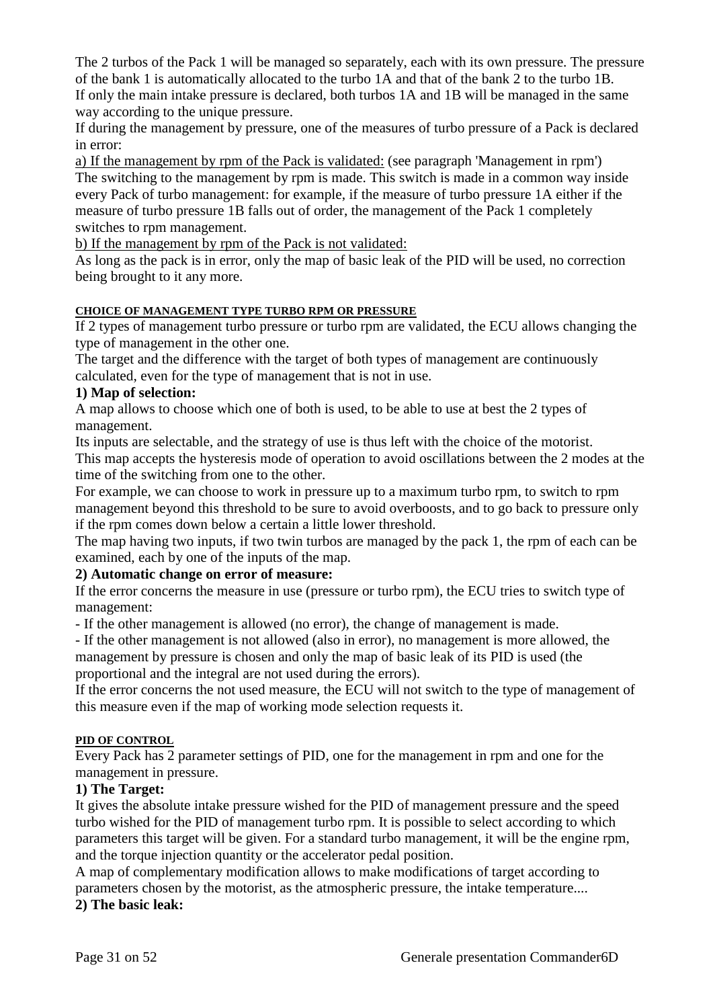The 2 turbos of the Pack 1 will be managed so separately, each with its own pressure. The pressure of the bank 1 is automatically allocated to the turbo 1A and that of the bank 2 to the turbo 1B. If only the main intake pressure is declared, both turbos 1A and 1B will be managed in the same way according to the unique pressure.

If during the management by pressure, one of the measures of turbo pressure of a Pack is declared in error:

a) If the management by rpm of the Pack is validated: (see paragraph 'Management in rpm') The switching to the management by rpm is made. This switch is made in a common way inside every Pack of turbo management: for example, if the measure of turbo pressure 1A either if the measure of turbo pressure 1B falls out of order, the management of the Pack 1 completely switches to rpm management.

b) If the management by rpm of the Pack is not validated:

As long as the pack is in error, only the map of basic leak of the PID will be used, no correction being brought to it any more.

# **CHOICE OF MANAGEMENT TYPE TURBO RPM OR PRESSURE**

If 2 types of management turbo pressure or turbo rpm are validated, the ECU allows changing the type of management in the other one.

The target and the difference with the target of both types of management are continuously calculated, even for the type of management that is not in use.

# **1) Map of selection:**

A map allows to choose which one of both is used, to be able to use at best the 2 types of management.

Its inputs are selectable, and the strategy of use is thus left with the choice of the motorist.

This map accepts the hysteresis mode of operation to avoid oscillations between the 2 modes at the time of the switching from one to the other.

For example, we can choose to work in pressure up to a maximum turbo rpm, to switch to rpm management beyond this threshold to be sure to avoid overboosts, and to go back to pressure only if the rpm comes down below a certain a little lower threshold.

The map having two inputs, if two twin turbos are managed by the pack 1, the rpm of each can be examined, each by one of the inputs of the map.

# **2) Automatic change on error of measure:**

If the error concerns the measure in use (pressure or turbo rpm), the ECU tries to switch type of management:

- If the other management is allowed (no error), the change of management is made.

- If the other management is not allowed (also in error), no management is more allowed, the management by pressure is chosen and only the map of basic leak of its PID is used (the proportional and the integral are not used during the errors).

If the error concerns the not used measure, the ECU will not switch to the type of management of this measure even if the map of working mode selection requests it.

#### **PID OF CONTROL**

Every Pack has 2 parameter settings of PID, one for the management in rpm and one for the management in pressure.

# **1) The Target:**

It gives the absolute intake pressure wished for the PID of management pressure and the speed turbo wished for the PID of management turbo rpm. It is possible to select according to which parameters this target will be given. For a standard turbo management, it will be the engine rpm, and the torque injection quantity or the accelerator pedal position.

A map of complementary modification allows to make modifications of target according to parameters chosen by the motorist, as the atmospheric pressure, the intake temperature....

**2) The basic leak:**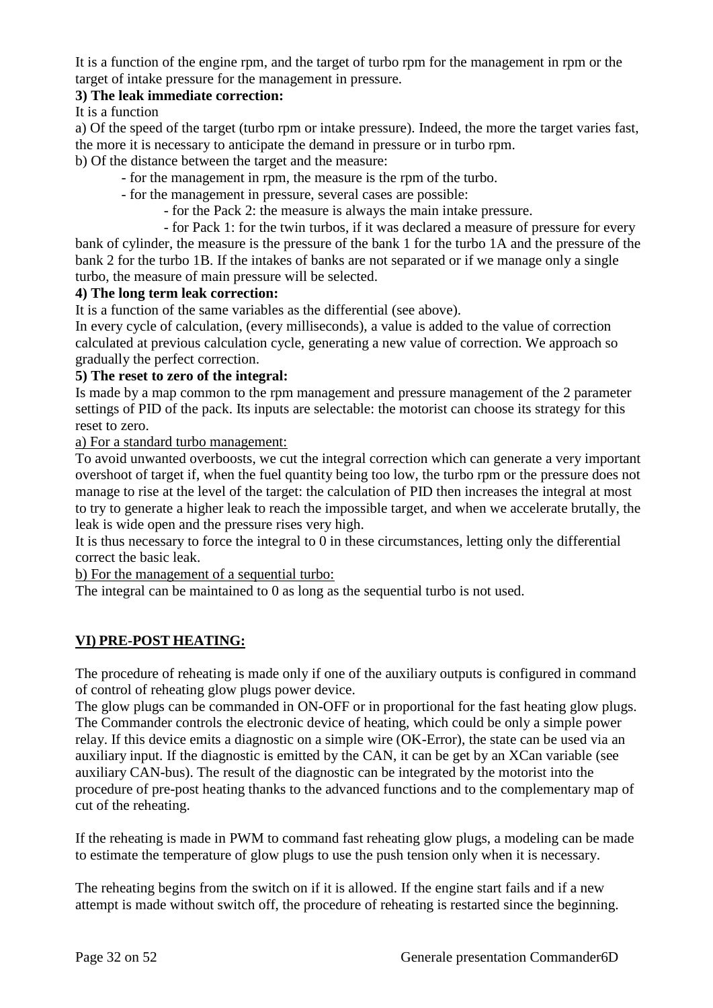It is a function of the engine rpm, and the target of turbo rpm for the management in rpm or the target of intake pressure for the management in pressure.

# **3) The leak immediate correction:**

It is a function

a) Of the speed of the target (turbo rpm or intake pressure). Indeed, the more the target varies fast, the more it is necessary to anticipate the demand in pressure or in turbo rpm.

b) Of the distance between the target and the measure:

- for the management in rpm, the measure is the rpm of the turbo.
- for the management in pressure, several cases are possible:
	- for the Pack 2: the measure is always the main intake pressure.
	- for Pack 1: for the twin turbos, if it was declared a measure of pressure for every

bank of cylinder, the measure is the pressure of the bank 1 for the turbo 1A and the pressure of the bank 2 for the turbo 1B. If the intakes of banks are not separated or if we manage only a single turbo, the measure of main pressure will be selected.

#### **4) The long term leak correction:**

It is a function of the same variables as the differential (see above).

In every cycle of calculation, (every milliseconds), a value is added to the value of correction calculated at previous calculation cycle, generating a new value of correction. We approach so gradually the perfect correction.

#### **5) The reset to zero of the integral:**

Is made by a map common to the rpm management and pressure management of the 2 parameter settings of PID of the pack. Its inputs are selectable: the motorist can choose its strategy for this reset to zero.

a) For a standard turbo management:

To avoid unwanted overboosts, we cut the integral correction which can generate a very important overshoot of target if, when the fuel quantity being too low, the turbo rpm or the pressure does not manage to rise at the level of the target: the calculation of PID then increases the integral at most to try to generate a higher leak to reach the impossible target, and when we accelerate brutally, the leak is wide open and the pressure rises very high.

It is thus necessary to force the integral to 0 in these circumstances, letting only the differential correct the basic leak.

b) For the management of a sequential turbo:

The integral can be maintained to 0 as long as the sequential turbo is not used.

# **VI) PRE-POST HEATING:**

The procedure of reheating is made only if one of the auxiliary outputs is configured in command of control of reheating glow plugs power device.

The glow plugs can be commanded in ON-OFF or in proportional for the fast heating glow plugs. The Commander controls the electronic device of heating, which could be only a simple power relay. If this device emits a diagnostic on a simple wire (OK-Error), the state can be used via an auxiliary input. If the diagnostic is emitted by the CAN, it can be get by an XCan variable (see auxiliary CAN-bus). The result of the diagnostic can be integrated by the motorist into the procedure of pre-post heating thanks to the advanced functions and to the complementary map of cut of the reheating.

If the reheating is made in PWM to command fast reheating glow plugs, a modeling can be made to estimate the temperature of glow plugs to use the push tension only when it is necessary.

The reheating begins from the switch on if it is allowed. If the engine start fails and if a new attempt is made without switch off, the procedure of reheating is restarted since the beginning.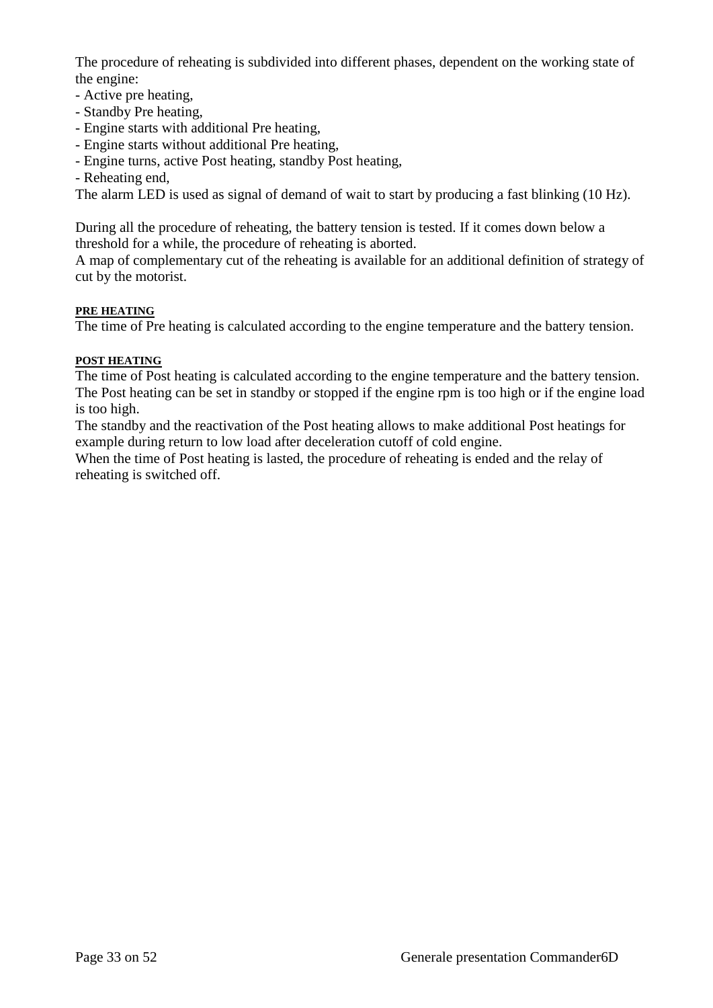The procedure of reheating is subdivided into different phases, dependent on the working state of the engine:

- Active pre heating,
- Standby Pre heating,
- Engine starts with additional Pre heating,
- Engine starts without additional Pre heating,
- Engine turns, active Post heating, standby Post heating,
- Reheating end,

The alarm LED is used as signal of demand of wait to start by producing a fast blinking (10 Hz).

During all the procedure of reheating, the battery tension is tested. If it comes down below a threshold for a while, the procedure of reheating is aborted.

A map of complementary cut of the reheating is available for an additional definition of strategy of cut by the motorist.

#### **PRE HEATING**

The time of Pre heating is calculated according to the engine temperature and the battery tension.

#### **POST HEATING**

The time of Post heating is calculated according to the engine temperature and the battery tension. The Post heating can be set in standby or stopped if the engine rpm is too high or if the engine load is too high.

The standby and the reactivation of the Post heating allows to make additional Post heatings for example during return to low load after deceleration cutoff of cold engine.

When the time of Post heating is lasted, the procedure of reheating is ended and the relay of reheating is switched off.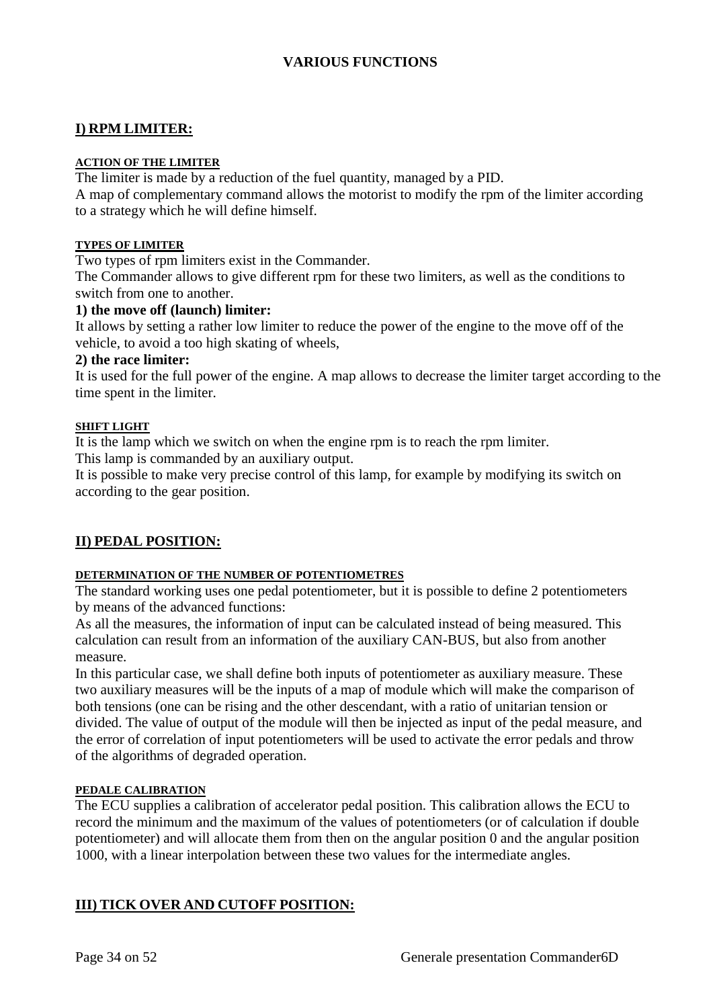# **VARIOUS FUNCTIONS**

# **I) RPM LIMITER:**

#### **ACTION OF THE LIMITER**

The limiter is made by a reduction of the fuel quantity, managed by a PID.

A map of complementary command allows the motorist to modify the rpm of the limiter according to a strategy which he will define himself.

#### **TYPES OF LIMITER**

Two types of rpm limiters exist in the Commander.

The Commander allows to give different rpm for these two limiters, as well as the conditions to switch from one to another.

#### **1) the move off (launch) limiter:**

It allows by setting a rather low limiter to reduce the power of the engine to the move off of the vehicle, to avoid a too high skating of wheels,

#### **2) the race limiter:**

It is used for the full power of the engine. A map allows to decrease the limiter target according to the time spent in the limiter.

#### **SHIFT LIGHT**

It is the lamp which we switch on when the engine rpm is to reach the rpm limiter.

This lamp is commanded by an auxiliary output.

It is possible to make very precise control of this lamp, for example by modifying its switch on according to the gear position.

# **II) PEDAL POSITION:**

#### **DETERMINATION OF THE NUMBER OF POTENTIOMETRES**

The standard working uses one pedal potentiometer, but it is possible to define 2 potentiometers by means of the advanced functions:

As all the measures, the information of input can be calculated instead of being measured. This calculation can result from an information of the auxiliary CAN-BUS, but also from another measure.

In this particular case, we shall define both inputs of potentiometer as auxiliary measure. These two auxiliary measures will be the inputs of a map of module which will make the comparison of both tensions (one can be rising and the other descendant, with a ratio of unitarian tension or divided. The value of output of the module will then be injected as input of the pedal measure, and the error of correlation of input potentiometers will be used to activate the error pedals and throw of the algorithms of degraded operation.

#### **PEDALE CALIBRATION**

The ECU supplies a calibration of accelerator pedal position. This calibration allows the ECU to record the minimum and the maximum of the values of potentiometers (or of calculation if double potentiometer) and will allocate them from then on the angular position 0 and the angular position 1000, with a linear interpolation between these two values for the intermediate angles.

# **III) TICK OVER AND CUTOFF POSITION:**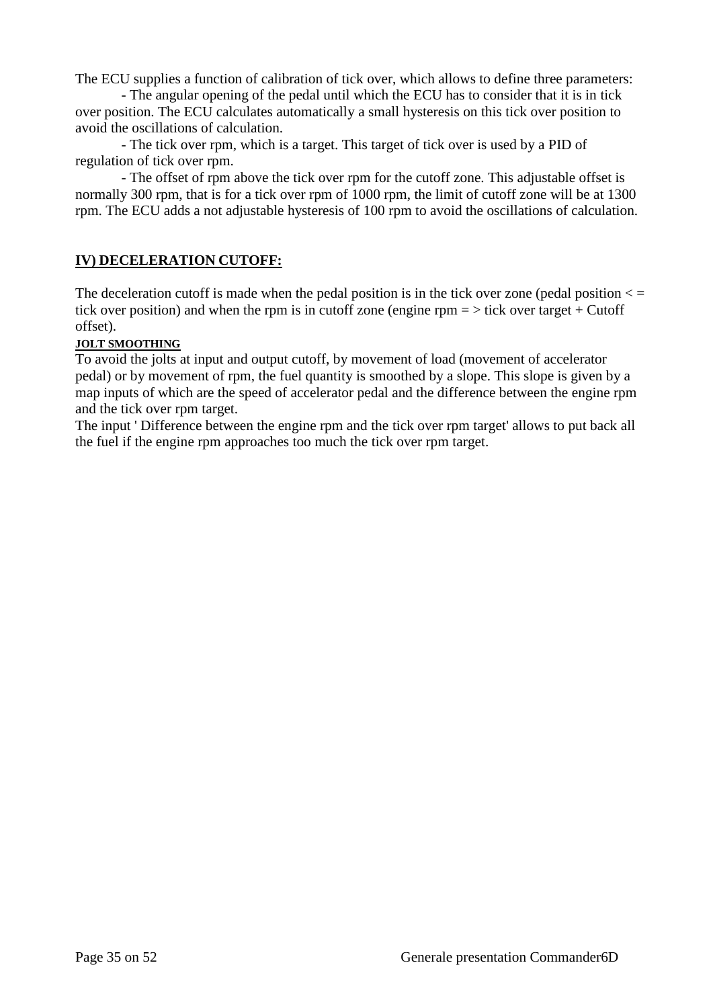The ECU supplies a function of calibration of tick over, which allows to define three parameters:

- The angular opening of the pedal until which the ECU has to consider that it is in tick over position. The ECU calculates automatically a small hysteresis on this tick over position to avoid the oscillations of calculation.

- The tick over rpm, which is a target. This target of tick over is used by a PID of regulation of tick over rpm.

- The offset of rpm above the tick over rpm for the cutoff zone. This adjustable offset is normally 300 rpm, that is for a tick over rpm of 1000 rpm, the limit of cutoff zone will be at 1300 rpm. The ECU adds a not adjustable hysteresis of 100 rpm to avoid the oscillations of calculation.

# **IV) DECELERATION CUTOFF:**

The deceleration cutoff is made when the pedal position is in the tick over zone (pedal position  $\lt$  = tick over position) and when the rpm is in cutoff zone (engine rpm  $=$   $>$  tick over target + Cutoff offset).

#### **JOLT SMOOTHING**

To avoid the jolts at input and output cutoff, by movement of load (movement of accelerator pedal) or by movement of rpm, the fuel quantity is smoothed by a slope. This slope is given by a map inputs of which are the speed of accelerator pedal and the difference between the engine rpm and the tick over rpm target.

The input ' Difference between the engine rpm and the tick over rpm target' allows to put back all the fuel if the engine rpm approaches too much the tick over rpm target.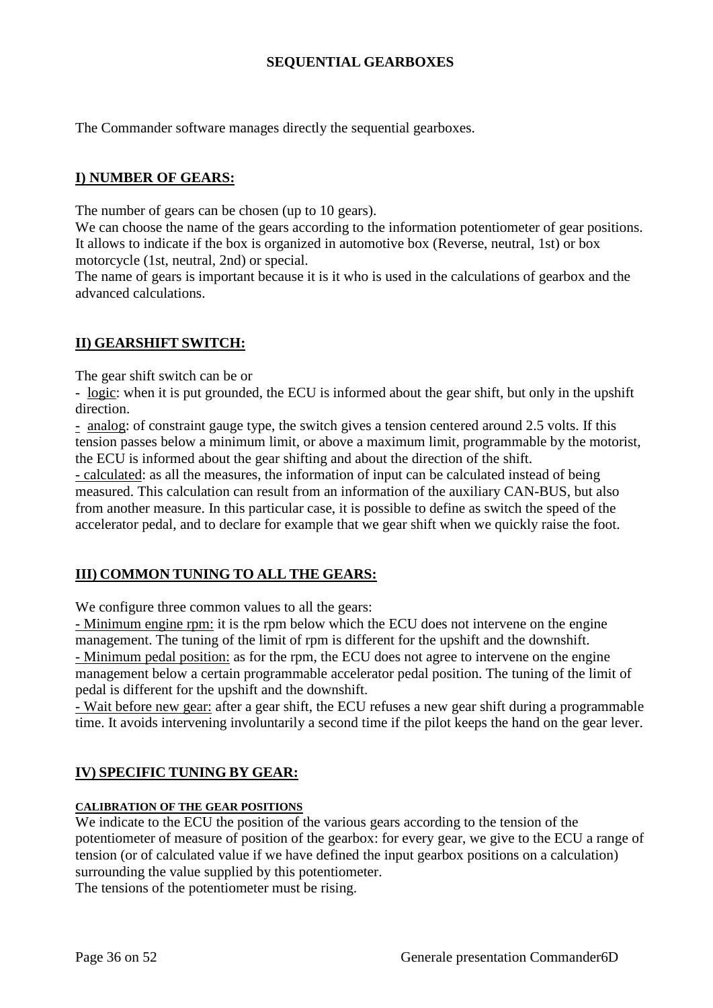# **SEQUENTIAL GEARBOXES**

The Commander software manages directly the sequential gearboxes.

# **I) NUMBER OF GEARS:**

The number of gears can be chosen (up to 10 gears).

We can choose the name of the gears according to the information potentiometer of gear positions. It allows to indicate if the box is organized in automotive box (Reverse, neutral, 1st) or box motorcycle (1st, neutral, 2nd) or special.

The name of gears is important because it is it who is used in the calculations of gearbox and the advanced calculations.

#### **II) GEARSHIFT SWITCH:**

The gear shift switch can be or

- logic: when it is put grounded, the ECU is informed about the gear shift, but only in the upshift direction.

- analog: of constraint gauge type, the switch gives a tension centered around 2.5 volts. If this tension passes below a minimum limit, or above a maximum limit, programmable by the motorist, the ECU is informed about the gear shifting and about the direction of the shift.

- calculated: as all the measures, the information of input can be calculated instead of being measured. This calculation can result from an information of the auxiliary CAN-BUS, but also from another measure. In this particular case, it is possible to define as switch the speed of the accelerator pedal, and to declare for example that we gear shift when we quickly raise the foot.

# **III) COMMON TUNING TO ALL THE GEARS:**

We configure three common values to all the gears:

- Minimum engine rpm: it is the rpm below which the ECU does not intervene on the engine management. The tuning of the limit of rpm is different for the upshift and the downshift. - Minimum pedal position: as for the rpm, the ECU does not agree to intervene on the engine management below a certain programmable accelerator pedal position. The tuning of the limit of pedal is different for the upshift and the downshift.

- Wait before new gear: after a gear shift, the ECU refuses a new gear shift during a programmable time. It avoids intervening involuntarily a second time if the pilot keeps the hand on the gear lever.

#### **IV) SPECIFIC TUNING BY GEAR:**

#### **CALIBRATION OF THE GEAR POSITIONS**

We indicate to the ECU the position of the various gears according to the tension of the potentiometer of measure of position of the gearbox: for every gear, we give to the ECU a range of tension (or of calculated value if we have defined the input gearbox positions on a calculation) surrounding the value supplied by this potentiometer.

The tensions of the potentiometer must be rising.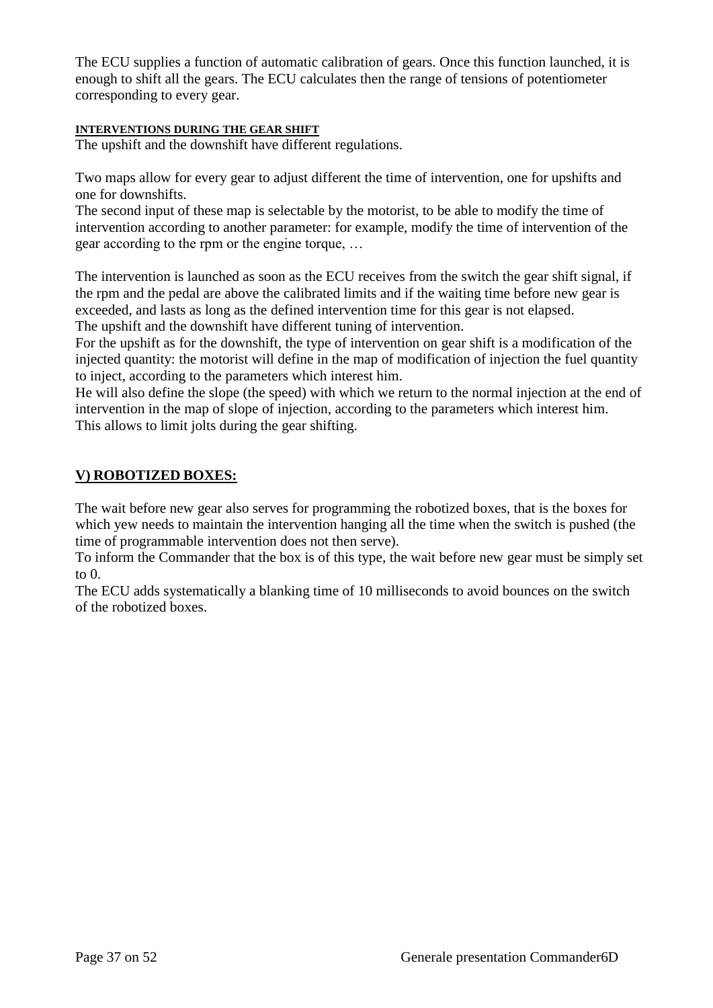The ECU supplies a function of automatic calibration of gears. Once this function launched, it is enough to shift all the gears. The ECU calculates then the range of tensions of potentiometer corresponding to every gear.

#### **INTERVENTIONS DURING THE GEAR SHIFT**

The upshift and the downshift have different regulations.

Two maps allow for every gear to adjust different the time of intervention, one for upshifts and one for downshifts.

The second input of these map is selectable by the motorist, to be able to modify the time of intervention according to another parameter: for example, modify the time of intervention of the gear according to the rpm or the engine torque, …

The intervention is launched as soon as the ECU receives from the switch the gear shift signal, if the rpm and the pedal are above the calibrated limits and if the waiting time before new gear is exceeded, and lasts as long as the defined intervention time for this gear is not elapsed. The upshift and the downshift have different tuning of intervention.

For the upshift as for the downshift, the type of intervention on gear shift is a modification of the injected quantity: the motorist will define in the map of modification of injection the fuel quantity to inject, according to the parameters which interest him.

He will also define the slope (the speed) with which we return to the normal injection at the end of intervention in the map of slope of injection, according to the parameters which interest him. This allows to limit jolts during the gear shifting.

# **V) ROBOTIZED BOXES:**

The wait before new gear also serves for programming the robotized boxes, that is the boxes for which yew needs to maintain the intervention hanging all the time when the switch is pushed (the time of programmable intervention does not then serve).

To inform the Commander that the box is of this type, the wait before new gear must be simply set to  $0$ .

The ECU adds systematically a blanking time of 10 milliseconds to avoid bounces on the switch of the robotized boxes.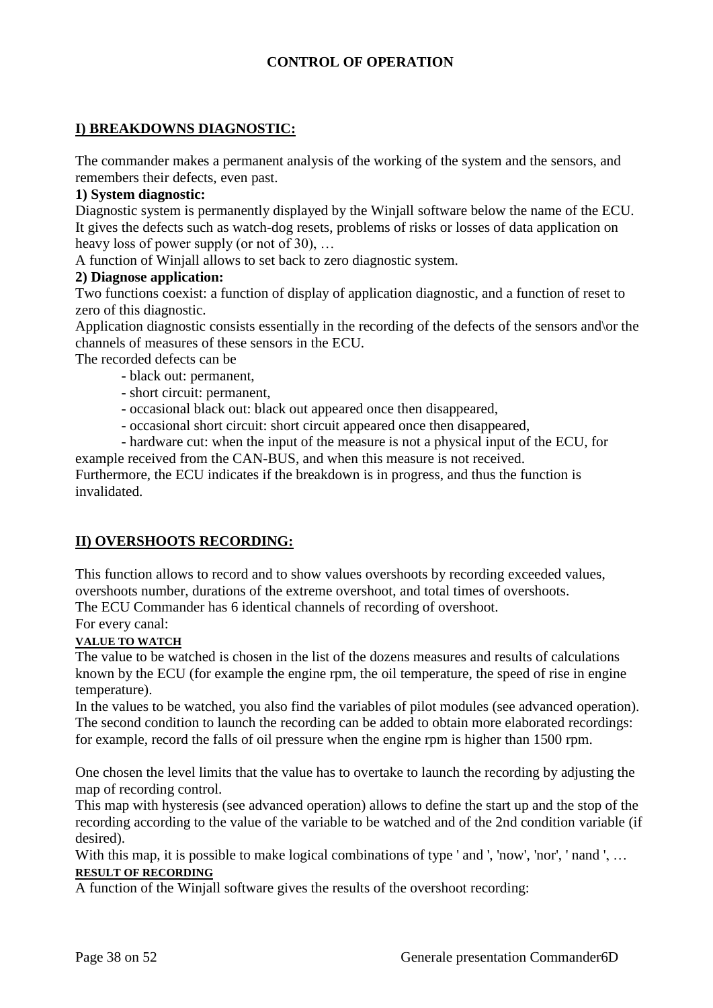# **CONTROL OF OPERATION**

# **I) BREAKDOWNS DIAGNOSTIC:**

The commander makes a permanent analysis of the working of the system and the sensors, and remembers their defects, even past.

#### **1) System diagnostic:**

Diagnostic system is permanently displayed by the Winjall software below the name of the ECU. It gives the defects such as watch-dog resets, problems of risks or losses of data application on heavy loss of power supply (or not of 30), …

A function of Winjall allows to set back to zero diagnostic system.

#### **2) Diagnose application:**

Two functions coexist: a function of display of application diagnostic, and a function of reset to zero of this diagnostic.

Application diagnostic consists essentially in the recording of the defects of the sensors and\or the channels of measures of these sensors in the ECU.

The recorded defects can be

- black out: permanent,
- short circuit: permanent,
- occasional black out: black out appeared once then disappeared,
- occasional short circuit: short circuit appeared once then disappeared,

- hardware cut: when the input of the measure is not a physical input of the ECU, for example received from the CAN-BUS, and when this measure is not received. Furthermore, the ECU indicates if the breakdown is in progress, and thus the function is invalidated.

# **II) OVERSHOOTS RECORDING:**

This function allows to record and to show values overshoots by recording exceeded values, overshoots number, durations of the extreme overshoot, and total times of overshoots. The ECU Commander has 6 identical channels of recording of overshoot.

For every canal:

#### **VALUE TO WATCH**

The value to be watched is chosen in the list of the dozens measures and results of calculations known by the ECU (for example the engine rpm, the oil temperature, the speed of rise in engine temperature).

In the values to be watched, you also find the variables of pilot modules (see advanced operation). The second condition to launch the recording can be added to obtain more elaborated recordings: for example, record the falls of oil pressure when the engine rpm is higher than 1500 rpm.

One chosen the level limits that the value has to overtake to launch the recording by adjusting the map of recording control.

This map with hysteresis (see advanced operation) allows to define the start up and the stop of the recording according to the value of the variable to be watched and of the 2nd condition variable (if desired).

With this map, it is possible to make logical combinations of type ' and ', 'now', 'nor', ' nand ', ... **RESULT OF RECORDING**

A function of the Winjall software gives the results of the overshoot recording: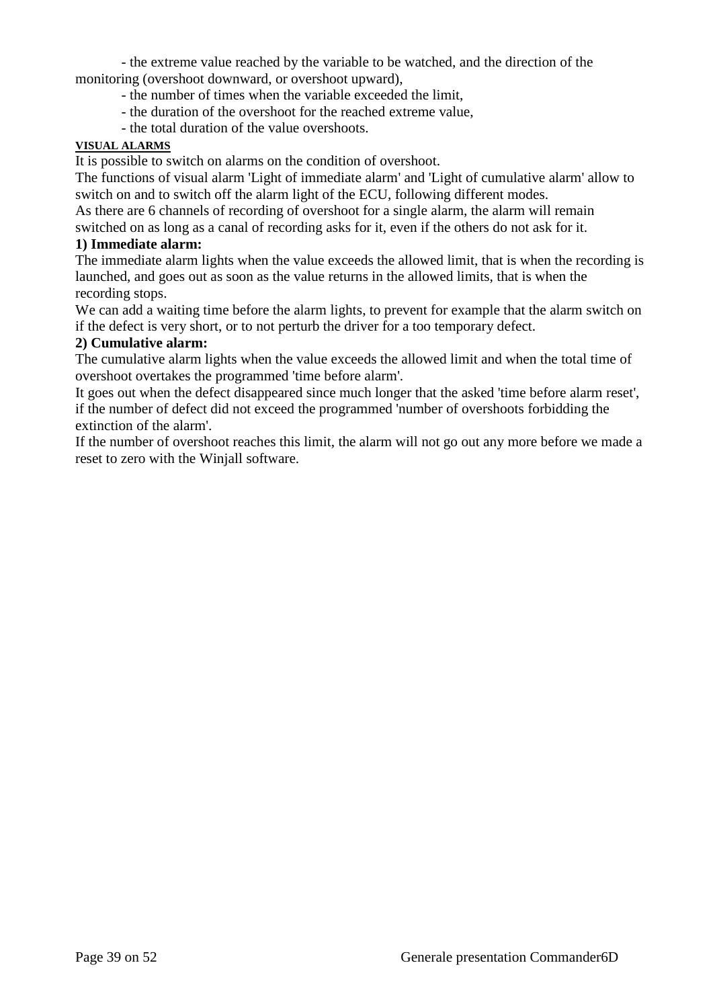- the extreme value reached by the variable to be watched, and the direction of the monitoring (overshoot downward, or overshoot upward),

- the number of times when the variable exceeded the limit,
- the duration of the overshoot for the reached extreme value,
- the total duration of the value overshoots.

#### **VISUAL ALARMS**

It is possible to switch on alarms on the condition of overshoot.

The functions of visual alarm 'Light of immediate alarm' and 'Light of cumulative alarm' allow to switch on and to switch off the alarm light of the ECU, following different modes.

As there are 6 channels of recording of overshoot for a single alarm, the alarm will remain

switched on as long as a canal of recording asks for it, even if the others do not ask for it.

# **1) Immediate alarm:**

The immediate alarm lights when the value exceeds the allowed limit, that is when the recording is launched, and goes out as soon as the value returns in the allowed limits, that is when the recording stops.

We can add a waiting time before the alarm lights, to prevent for example that the alarm switch on if the defect is very short, or to not perturb the driver for a too temporary defect.

# **2) Cumulative alarm:**

The cumulative alarm lights when the value exceeds the allowed limit and when the total time of overshoot overtakes the programmed 'time before alarm'.

It goes out when the defect disappeared since much longer that the asked 'time before alarm reset', if the number of defect did not exceed the programmed 'number of overshoots forbidding the extinction of the alarm'.

If the number of overshoot reaches this limit, the alarm will not go out any more before we made a reset to zero with the Winjall software.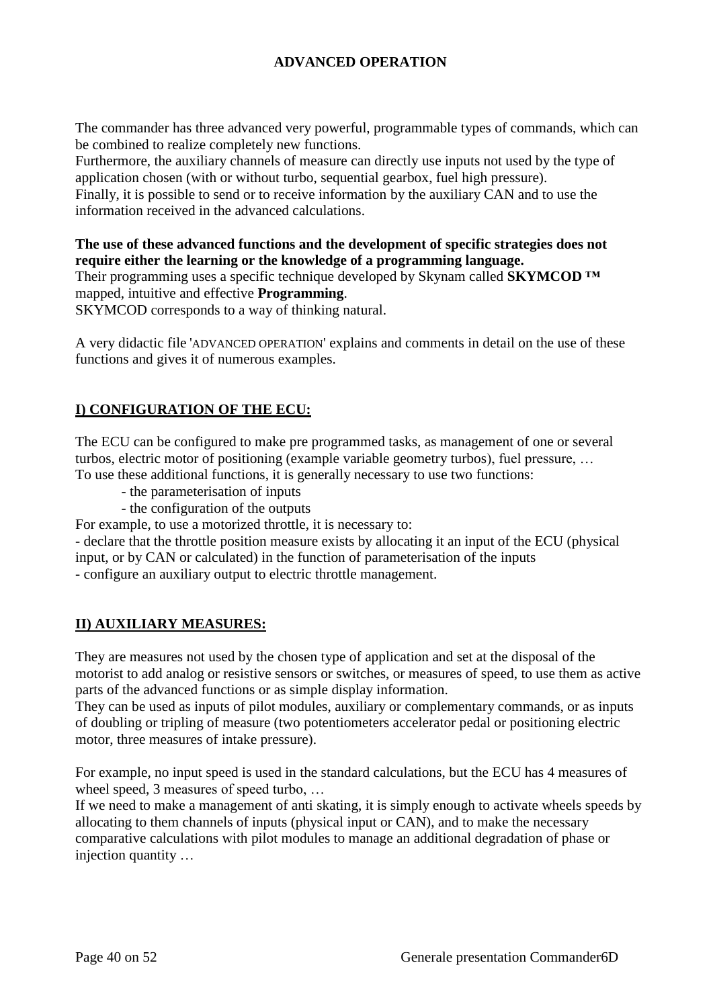# **ADVANCED OPERATION**

The commander has three advanced very powerful, programmable types of commands, which can be combined to realize completely new functions.

Furthermore, the auxiliary channels of measure can directly use inputs not used by the type of application chosen (with or without turbo, sequential gearbox, fuel high pressure).

Finally, it is possible to send or to receive information by the auxiliary CAN and to use the information received in the advanced calculations.

# **The use of these advanced functions and the development of specific strategies does not require either the learning or the knowledge of a programming language.**

Their programming uses a specific technique developed by Skynam called **SKYMCOD ™** mapped, intuitive and effective **Programming**.

SKYMCOD corresponds to a way of thinking natural.

A very didactic file 'ADVANCED OPERATION' explains and comments in detail on the use of these functions and gives it of numerous examples.

# **I) CONFIGURATION OF THE ECU:**

The ECU can be configured to make pre programmed tasks, as management of one or several turbos, electric motor of positioning (example variable geometry turbos), fuel pressure, … To use these additional functions, it is generally necessary to use two functions:

- the parameterisation of inputs
- the configuration of the outputs

For example, to use a motorized throttle, it is necessary to:

- declare that the throttle position measure exists by allocating it an input of the ECU (physical input, or by CAN or calculated) in the function of parameterisation of the inputs - configure an auxiliary output to electric throttle management.

# **II) AUXILIARY MEASURES:**

They are measures not used by the chosen type of application and set at the disposal of the motorist to add analog or resistive sensors or switches, or measures of speed, to use them as active parts of the advanced functions or as simple display information.

They can be used as inputs of pilot modules, auxiliary or complementary commands, or as inputs of doubling or tripling of measure (two potentiometers accelerator pedal or positioning electric motor, three measures of intake pressure).

For example, no input speed is used in the standard calculations, but the ECU has 4 measures of wheel speed, 3 measures of speed turbo, ...

If we need to make a management of anti skating, it is simply enough to activate wheels speeds by allocating to them channels of inputs (physical input or CAN), and to make the necessary comparative calculations with pilot modules to manage an additional degradation of phase or injection quantity …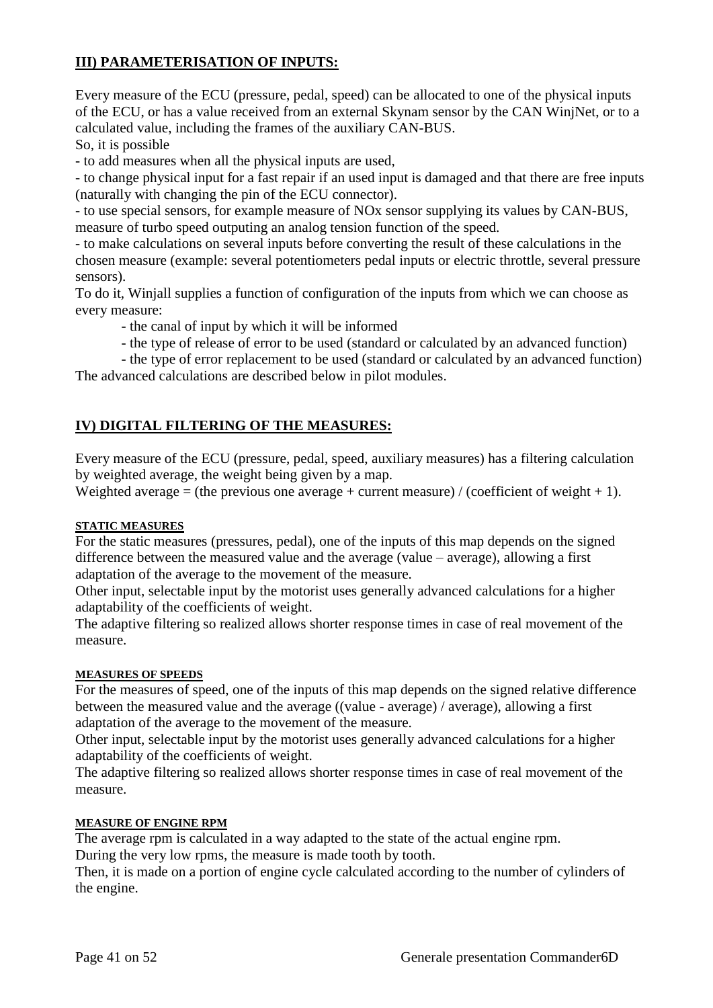# **III) PARAMETERISATION OF INPUTS:**

Every measure of the ECU (pressure, pedal, speed) can be allocated to one of the physical inputs of the ECU, or has a value received from an external Skynam sensor by the CAN WinjNet, or to a calculated value, including the frames of the auxiliary CAN-BUS.

So, it is possible

- to add measures when all the physical inputs are used,

- to change physical input for a fast repair if an used input is damaged and that there are free inputs (naturally with changing the pin of the ECU connector).

- to use special sensors, for example measure of NOx sensor supplying its values by CAN-BUS, measure of turbo speed outputing an analog tension function of the speed.

- to make calculations on several inputs before converting the result of these calculations in the chosen measure (example: several potentiometers pedal inputs or electric throttle, several pressure sensors).

To do it, Winjall supplies a function of configuration of the inputs from which we can choose as every measure:

- the canal of input by which it will be informed

- the type of release of error to be used (standard or calculated by an advanced function)

- the type of error replacement to be used (standard or calculated by an advanced function) The advanced calculations are described below in pilot modules.

# **IV) DIGITAL FILTERING OF THE MEASURES:**

Every measure of the ECU (pressure, pedal, speed, auxiliary measures) has a filtering calculation by weighted average, the weight being given by a map.

Weighted average = (the previous one average + current measure) / (coefficient of weight + 1).

#### **STATIC MEASURES**

For the static measures (pressures, pedal), one of the inputs of this map depends on the signed difference between the measured value and the average (value – average), allowing a first adaptation of the average to the movement of the measure.

Other input, selectable input by the motorist uses generally advanced calculations for a higher adaptability of the coefficients of weight.

The adaptive filtering so realized allows shorter response times in case of real movement of the measure.

#### **MEASURES OF SPEEDS**

For the measures of speed, one of the inputs of this map depends on the signed relative difference between the measured value and the average ((value - average) / average), allowing a first adaptation of the average to the movement of the measure.

Other input, selectable input by the motorist uses generally advanced calculations for a higher adaptability of the coefficients of weight.

The adaptive filtering so realized allows shorter response times in case of real movement of the measure.

#### **MEASURE OF ENGINE RPM**

The average rpm is calculated in a way adapted to the state of the actual engine rpm. During the very low rpms, the measure is made tooth by tooth.

Then, it is made on a portion of engine cycle calculated according to the number of cylinders of the engine.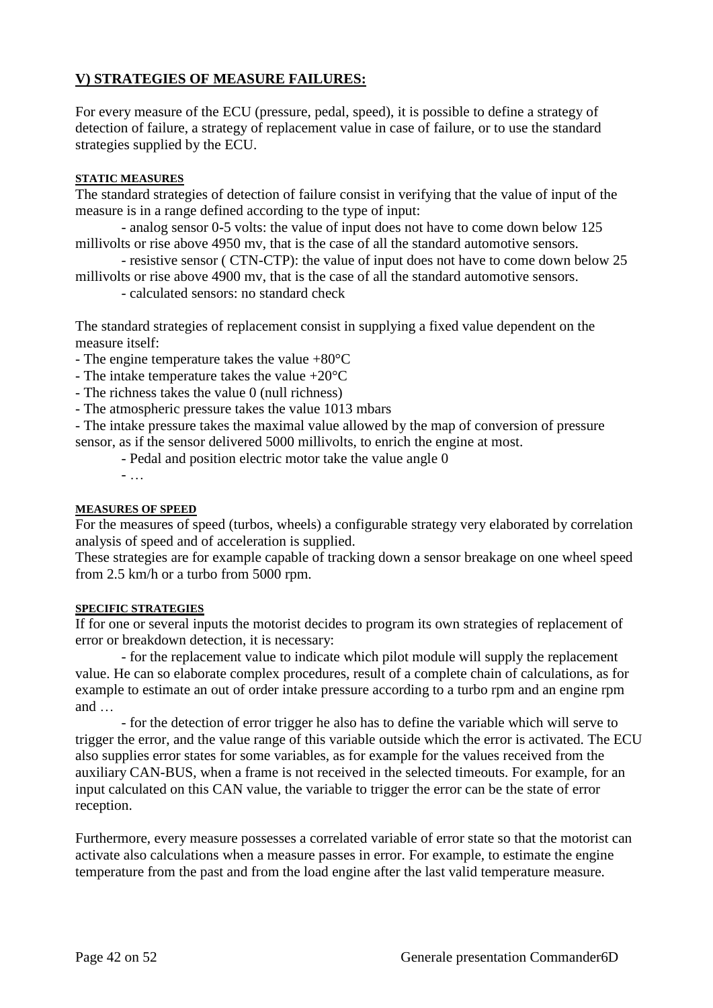# **V) STRATEGIES OF MEASURE FAILURES:**

For every measure of the ECU (pressure, pedal, speed), it is possible to define a strategy of detection of failure, a strategy of replacement value in case of failure, or to use the standard strategies supplied by the ECU.

#### **STATIC MEASURES**

The standard strategies of detection of failure consist in verifying that the value of input of the measure is in a range defined according to the type of input:

- analog sensor 0-5 volts: the value of input does not have to come down below 125 millivolts or rise above 4950 mv, that is the case of all the standard automotive sensors.

- resistive sensor ( CTN-CTP): the value of input does not have to come down below 25 millivolts or rise above 4900 mv, that is the case of all the standard automotive sensors.

- calculated sensors: no standard check

The standard strategies of replacement consist in supplying a fixed value dependent on the measure itself:

- The engine temperature takes the value +80°C

- The intake temperature takes the value +20°C

- The richness takes the value 0 (null richness)

- The atmospheric pressure takes the value 1013 mbars

- The intake pressure takes the maximal value allowed by the map of conversion of pressure sensor, as if the sensor delivered 5000 millivolts, to enrich the engine at most.

- Pedal and position electric motor take the value angle 0

- …

#### **MEASURES OF SPEED**

For the measures of speed (turbos, wheels) a configurable strategy very elaborated by correlation analysis of speed and of acceleration is supplied.

These strategies are for example capable of tracking down a sensor breakage on one wheel speed from 2.5 km/h or a turbo from 5000 rpm.

#### **SPECIFIC STRATEGIES**

If for one or several inputs the motorist decides to program its own strategies of replacement of error or breakdown detection, it is necessary:

- for the replacement value to indicate which pilot module will supply the replacement value. He can so elaborate complex procedures, result of a complete chain of calculations, as for example to estimate an out of order intake pressure according to a turbo rpm and an engine rpm and …

- for the detection of error trigger he also has to define the variable which will serve to trigger the error, and the value range of this variable outside which the error is activated. The ECU also supplies error states for some variables, as for example for the values received from the auxiliary CAN-BUS, when a frame is not received in the selected timeouts. For example, for an input calculated on this CAN value, the variable to trigger the error can be the state of error reception.

Furthermore, every measure possesses a correlated variable of error state so that the motorist can activate also calculations when a measure passes in error. For example, to estimate the engine temperature from the past and from the load engine after the last valid temperature measure.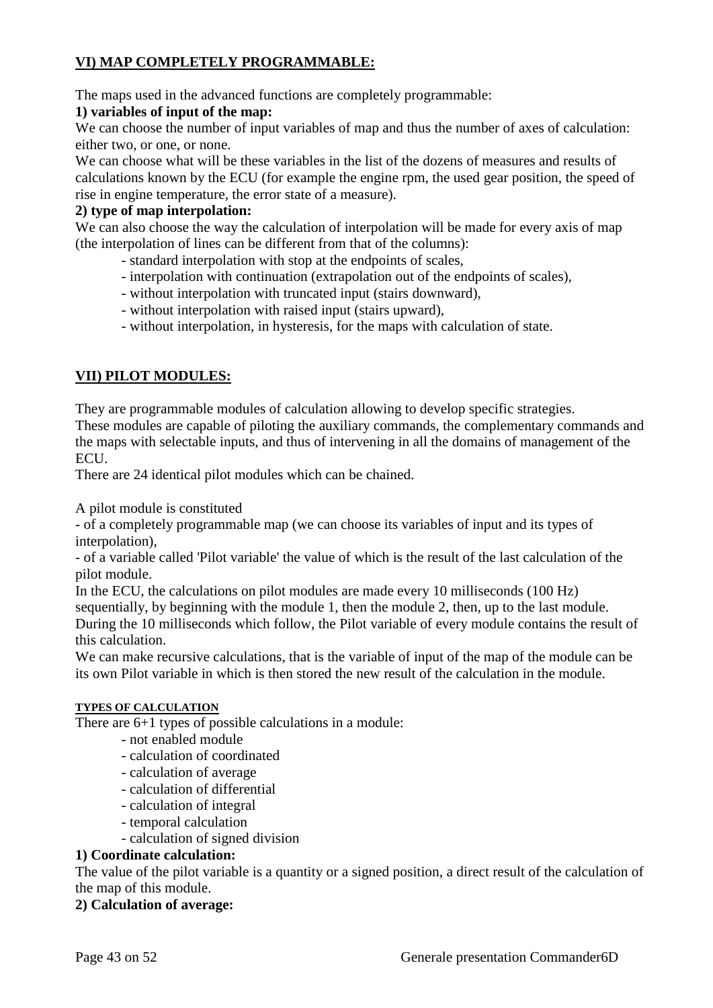# **VI) MAP COMPLETELY PROGRAMMABLE:**

The maps used in the advanced functions are completely programmable:

# **1) variables of input of the map:**

We can choose the number of input variables of map and thus the number of axes of calculation: either two, or one, or none.

We can choose what will be these variables in the list of the dozens of measures and results of calculations known by the ECU (for example the engine rpm, the used gear position, the speed of rise in engine temperature, the error state of a measure).

# **2) type of map interpolation:**

We can also choose the way the calculation of interpolation will be made for every axis of map (the interpolation of lines can be different from that of the columns):

- standard interpolation with stop at the endpoints of scales,
- interpolation with continuation (extrapolation out of the endpoints of scales),
- without interpolation with truncated input (stairs downward),
- without interpolation with raised input (stairs upward),
- without interpolation, in hysteresis, for the maps with calculation of state.

# **VII) PILOT MODULES:**

They are programmable modules of calculation allowing to develop specific strategies.

These modules are capable of piloting the auxiliary commands, the complementary commands and the maps with selectable inputs, and thus of intervening in all the domains of management of the ECU.

There are 24 identical pilot modules which can be chained.

A pilot module is constituted

- of a completely programmable map (we can choose its variables of input and its types of interpolation),

- of a variable called 'Pilot variable' the value of which is the result of the last calculation of the pilot module.

In the ECU, the calculations on pilot modules are made every 10 milliseconds (100 Hz) sequentially, by beginning with the module 1, then the module 2, then, up to the last module. During the 10 milliseconds which follow, the Pilot variable of every module contains the result of this calculation.

We can make recursive calculations, that is the variable of input of the map of the module can be its own Pilot variable in which is then stored the new result of the calculation in the module.

#### **TYPES OF CALCULATION**

There are 6+1 types of possible calculations in a module:

- not enabled module
- calculation of coordinated
- calculation of average
- calculation of differential
- calculation of integral
- temporal calculation
- calculation of signed division

#### **1) Coordinate calculation:**

The value of the pilot variable is a quantity or a signed position, a direct result of the calculation of the map of this module.

# **2) Calculation of average:**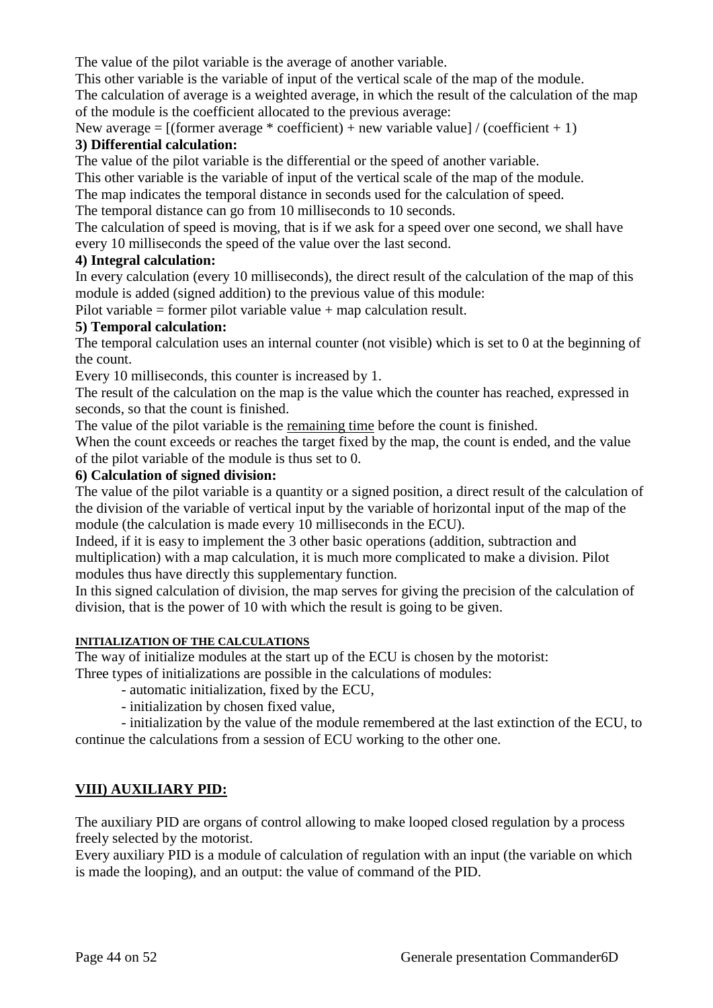The value of the pilot variable is the average of another variable.

This other variable is the variable of input of the vertical scale of the map of the module.

The calculation of average is a weighted average, in which the result of the calculation of the map of the module is the coefficient allocated to the previous average:

New average =  $[(\text{former average} * \text{coefficient}) + \text{new variable value}] / (\text{coefficient} + 1)$ **3) Differential calculation:**

The value of the pilot variable is the differential or the speed of another variable.

This other variable is the variable of input of the vertical scale of the map of the module.

The map indicates the temporal distance in seconds used for the calculation of speed.

The temporal distance can go from 10 milliseconds to 10 seconds.

The calculation of speed is moving, that is if we ask for a speed over one second, we shall have every 10 milliseconds the speed of the value over the last second.

# **4) Integral calculation:**

In every calculation (every 10 milliseconds), the direct result of the calculation of the map of this module is added (signed addition) to the previous value of this module:

Pilot variable = former pilot variable value + map calculation result.

# **5) Temporal calculation:**

The temporal calculation uses an internal counter (not visible) which is set to 0 at the beginning of the count.

Every 10 milliseconds, this counter is increased by 1.

The result of the calculation on the map is the value which the counter has reached, expressed in seconds, so that the count is finished.

The value of the pilot variable is the remaining time before the count is finished.

When the count exceeds or reaches the target fixed by the map, the count is ended, and the value of the pilot variable of the module is thus set to 0.

# **6) Calculation of signed division:**

The value of the pilot variable is a quantity or a signed position, a direct result of the calculation of the division of the variable of vertical input by the variable of horizontal input of the map of the module (the calculation is made every 10 milliseconds in the ECU).

Indeed, if it is easy to implement the 3 other basic operations (addition, subtraction and multiplication) with a map calculation, it is much more complicated to make a division. Pilot modules thus have directly this supplementary function.

In this signed calculation of division, the map serves for giving the precision of the calculation of division, that is the power of 10 with which the result is going to be given.

# **INITIALIZATION OF THE CALCULATIONS**

The way of initialize modules at the start up of the ECU is chosen by the motorist: Three types of initializations are possible in the calculations of modules:

- automatic initialization, fixed by the ECU,

- initialization by chosen fixed value,

- initialization by the value of the module remembered at the last extinction of the ECU, to continue the calculations from a session of ECU working to the other one.

# **VIII) AUXILIARY PID:**

The auxiliary PID are organs of control allowing to make looped closed [regulation](http://fr.wikipedia.org/wiki/R%C3%A9gulation) by a process freely selected by the motorist.

Every auxiliary PID is a module of calculation of regulation with an input (the variable on which is made the looping), and an output: the value of command of the PID.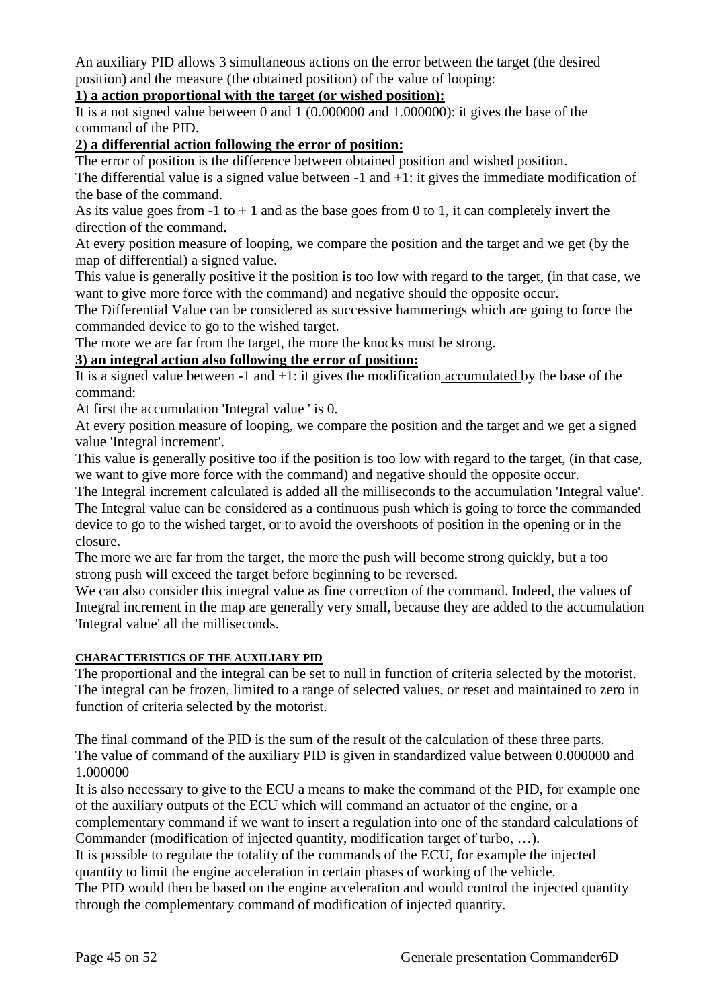An auxiliary PID allows 3 simultaneous actions on the error between the target (the desired position) and the measure (the obtained position) of the value of looping:

# **1) a action proportional with the target (or wished position):**

It is a not signed value between 0 and 1 (0.000000 and 1.000000): it gives the base of the command of the PID.

# **2) a differential action following the error of position:**

The error of position is the difference between obtained position and wished position.

The differential value is a signed value between -1 and  $+1$ : it gives the immediate modification of the base of the command.

As its value goes from  $-1$  to  $+1$  and as the base goes from 0 to 1, it can completely invert the direction of the command.

At every position measure of looping, we compare the position and the target and we get (by the map of differential) a signed value.

This value is generally positive if the position is too low with regard to the target, (in that case, we want to give more force with the command) and negative should the opposite occur.

The Differential Value can be considered as successive hammerings which are going to force the commanded device to go to the wished target.

The more we are far from the target, the more the knocks must be strong.

# **3) an integral action also following the error of position:**

It is a signed value between  $-1$  and  $+1$ : it gives the modification accumulated by the base of the command:

At first the accumulation 'Integral value ' is 0.

At every position measure of looping, we compare the position and the target and we get a signed value 'Integral increment'.

This value is generally positive too if the position is too low with regard to the target, (in that case, we want to give more force with the command) and negative should the opposite occur.

The Integral increment calculated is added all the milliseconds to the accumulation 'Integral value'. The Integral value can be considered as a continuous push which is going to force the commanded device to go to the wished target, or to avoid the overshoots of position in the opening or in the closure.

The more we are far from the target, the more the push will become strong quickly, but a too strong push will exceed the target before beginning to be reversed.

We can also consider this integral value as fine correction of the command. Indeed, the values of Integral increment in the map are generally very small, because they are added to the accumulation 'Integral value' all the milliseconds.

#### **CHARACTERISTICS OF THE AUXILIARY PID**

The proportional and the integral can be set to null in function of criteria selected by the motorist. The integral can be frozen, limited to a range of selected values, or reset and maintained to zero in function of criteria selected by the motorist.

The final command of the PID is the sum of the result of the calculation of these three parts. The value of command of the auxiliary PID is given in standardized value between 0.000000 and 1.000000

It is also necessary to give to the ECU a means to make the command of the PID, for example one of the auxiliary outputs of the ECU which will command an actuator of the engine, or a

complementary command if we want to insert a regulation into one of the standard calculations of Commander (modification of injected quantity, modification target of turbo, …).

It is possible to regulate the totality of the commands of the ECU, for example the injected quantity to limit the engine acceleration in certain phases of working of the vehicle.

The PID would then be based on the engine acceleration and would control the injected quantity through the complementary command of modification of injected quantity.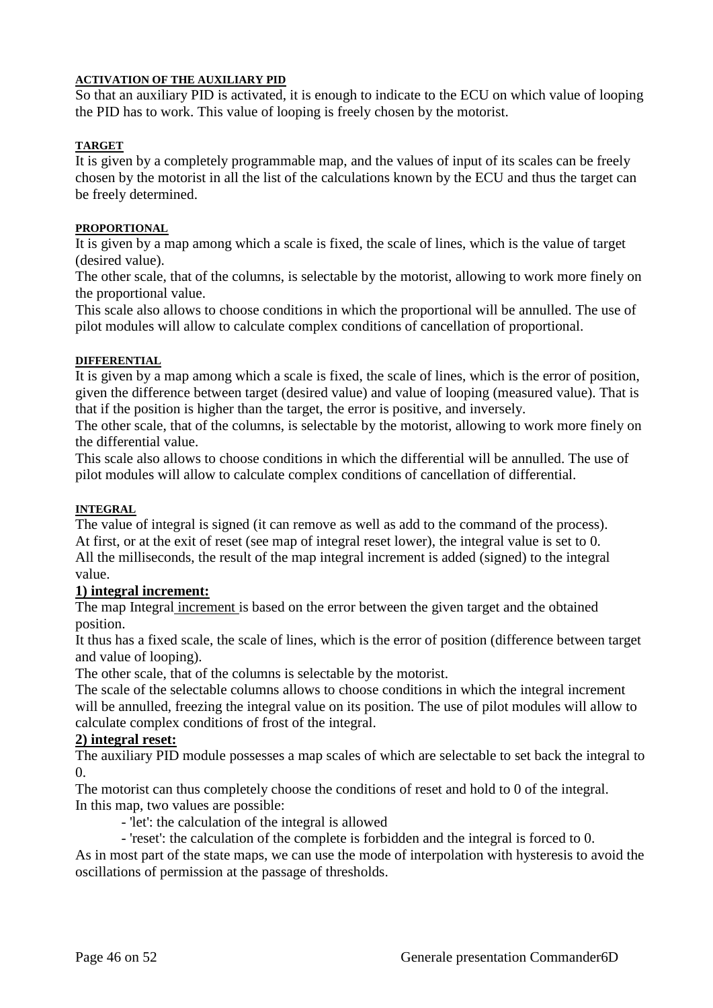# **ACTIVATION OF THE AUXILIARY PID**

So that an auxiliary PID is activated, it is enough to indicate to the ECU on which value of looping the PID has to work. This value of looping is freely chosen by the motorist.

#### **TARGET**

It is given by a completely programmable map, and the values of input of its scales can be freely chosen by the motorist in all the list of the calculations known by the ECU and thus the target can be freely determined.

#### **PROPORTIONAL**

It is given by a map among which a scale is fixed, the scale of lines, which is the value of target (desired value).

The other scale, that of the columns, is selectable by the motorist, allowing to work more finely on the proportional value.

This scale also allows to choose conditions in which the proportional will be annulled. The use of pilot modules will allow to calculate complex conditions of cancellation of proportional.

# **DIFFERENTIAL**

It is given by a map among which a scale is fixed, the scale of lines, which is the error of position, given the difference between target (desired value) and value of looping (measured value). That is that if the position is higher than the target, the error is positive, and inversely.

The other scale, that of the columns, is selectable by the motorist, allowing to work more finely on the differential value.

This scale also allows to choose conditions in which the differential will be annulled. The use of pilot modules will allow to calculate complex conditions of cancellation of differential.

#### **INTEGRAL**

The value of integral is signed (it can remove as well as add to the command of the process). At first, or at the exit of reset (see map of integral reset lower), the integral value is set to 0. All the milliseconds, the result of the map integral increment is added (signed) to the integral value.

# **1) integral increment:**

The map Integral increment is based on the error between the given target and the obtained position.

It thus has a fixed scale, the scale of lines, which is the error of position (difference between target and value of looping).

The other scale, that of the columns is selectable by the motorist.

The scale of the selectable columns allows to choose conditions in which the integral increment will be annulled, freezing the integral value on its position. The use of pilot modules will allow to calculate complex conditions of frost of the integral.

# **2) integral reset:**

The auxiliary PID module possesses a map scales of which are selectable to set back the integral to  $\Omega$ 

The motorist can thus completely choose the conditions of reset and hold to 0 of the integral. In this map, two values are possible:

- 'let': the calculation of the integral is allowed

- 'reset': the calculation of the complete is forbidden and the integral is forced to 0.

As in most part of the state maps, we can use the mode of interpolation with hysteresis to avoid the oscillations of permission at the passage of thresholds.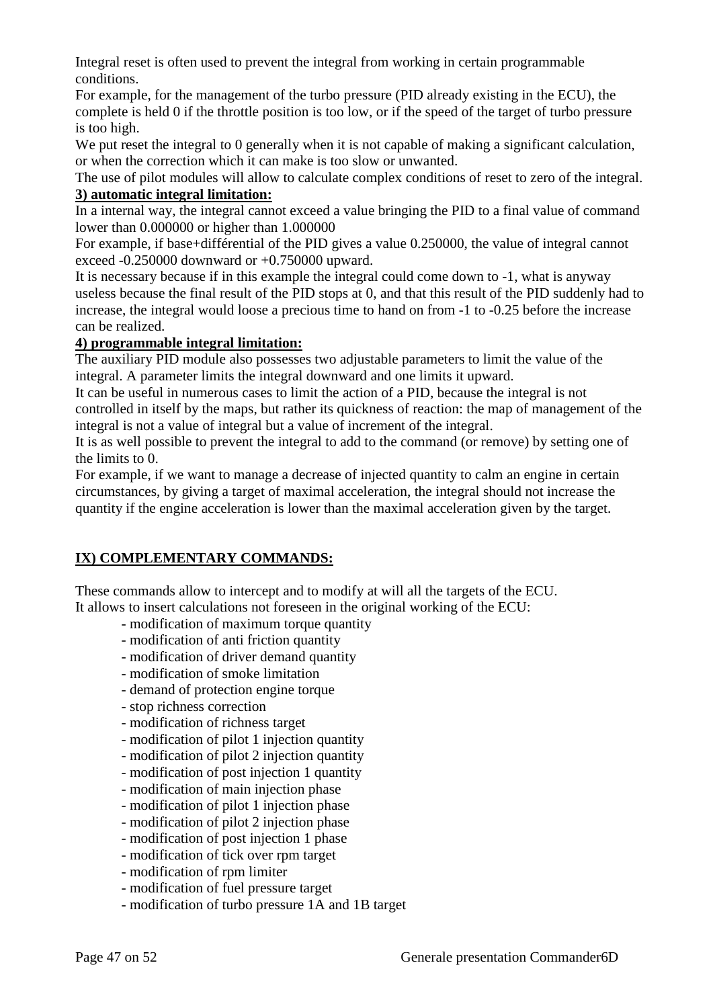Integral reset is often used to prevent the integral from working in certain programmable conditions.

For example, for the management of the turbo pressure (PID already existing in the ECU), the complete is held 0 if the throttle position is too low, or if the speed of the target of turbo pressure is too high.

We put reset the integral to 0 generally when it is not capable of making a significant calculation, or when the correction which it can make is too slow or unwanted.

The use of pilot modules will allow to calculate complex conditions of reset to zero of the integral. **3) automatic integral limitation:**

In a internal way, the integral cannot exceed a value bringing the PID to a final value of command lower than 0.000000 or higher than 1.000000

For example, if base+différential of the PID gives a value 0.250000, the value of integral cannot exceed -0.250000 downward or +0.750000 upward.

It is necessary because if in this example the integral could come down to -1, what is anyway useless because the final result of the PID stops at 0, and that this result of the PID suddenly had to increase, the integral would loose a precious time to hand on from -1 to -0.25 before the increase can be realized.

# **4) programmable integral limitation:**

The auxiliary PID module also possesses two adjustable parameters to limit the value of the integral. A parameter limits the integral downward and one limits it upward.

It can be useful in numerous cases to limit the action of a PID, because the integral is not controlled in itself by the maps, but rather its quickness of reaction: the map of management of the integral is not a value of integral but a value of increment of the integral.

It is as well possible to prevent the integral to add to the command (or remove) by setting one of the limits to 0.

For example, if we want to manage a decrease of injected quantity to calm an engine in certain circumstances, by giving a target of maximal acceleration, the integral should not increase the quantity if the engine acceleration is lower than the maximal acceleration given by the target.

# **IX) COMPLEMENTARY COMMANDS:**

These commands allow to intercept and to modify at will all the targets of the ECU.

It allows to insert calculations not foreseen in the original working of the ECU:

- modification of maximum torque quantity
- modification of anti friction quantity
- modification of driver demand quantity
- modification of smoke limitation
- demand of protection engine torque
- stop richness correction
- modification of richness target
- modification of pilot 1 injection quantity
- modification of pilot 2 injection quantity
- modification of post injection 1 quantity
- modification of main injection phase
- modification of pilot 1 injection phase
- modification of pilot 2 injection phase
- modification of post injection 1 phase
- modification of tick over rpm target
- modification of rpm limiter
- modification of fuel pressure target
- modification of turbo pressure 1A and 1B target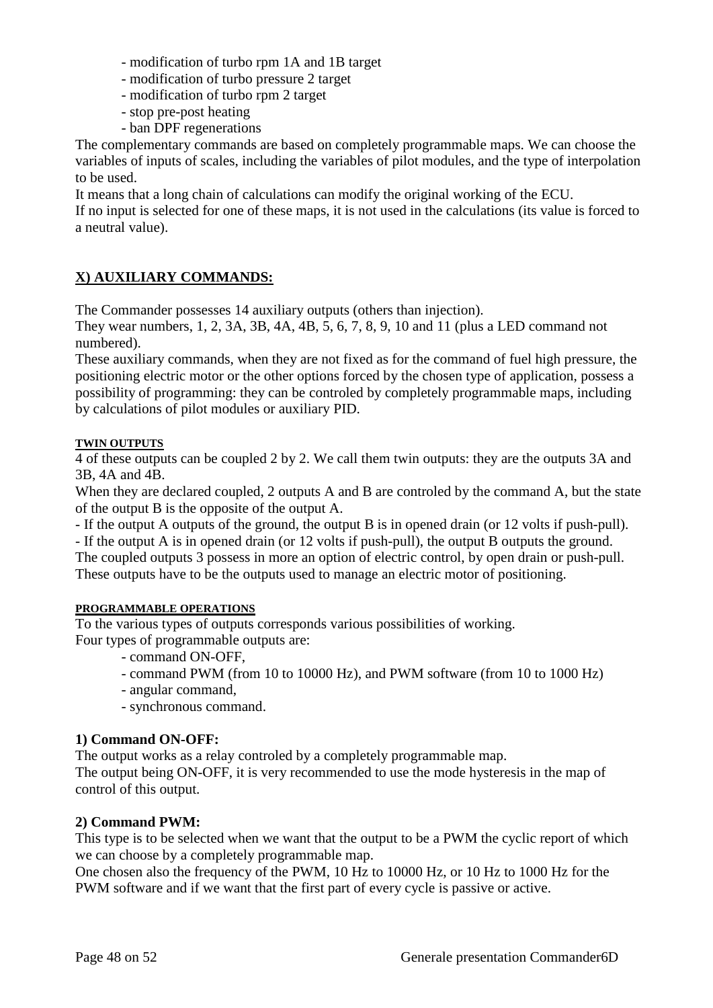- modification of turbo rpm 1A and 1B target
- modification of turbo pressure 2 target
- modification of turbo rpm 2 target
- stop pre-post heating
- ban DPF regenerations

The complementary commands are based on completely programmable maps. We can choose the variables of inputs of scales, including the variables of pilot modules, and the type of interpolation to be used.

It means that a long chain of calculations can modify the original working of the ECU.

If no input is selected for one of these maps, it is not used in the calculations (its value is forced to a neutral value).

# **X) AUXILIARY COMMANDS:**

The Commander possesses 14 auxiliary outputs (others than injection).

They wear numbers, 1, 2, 3A, 3B, 4A, 4B, 5, 6, 7, 8, 9, 10 and 11 (plus a LED command not numbered).

These auxiliary commands, when they are not fixed as for the command of fuel high pressure, the positioning electric motor or the other options forced by the chosen type of application, possess a possibility of programming: they can be controled by completely programmable maps, including by calculations of pilot modules or auxiliary PID.

# **TWIN OUTPUTS**

4 of these outputs can be coupled 2 by 2. We call them twin outputs: they are the outputs 3A and 3B, 4A and 4B.

When they are declared coupled, 2 outputs A and B are controled by the command A, but the state of the output B is the opposite of the output A.

- If the output A outputs of the ground, the output B is in opened drain (or 12 volts if push-pull).

- If the output A is in opened drain (or 12 volts if push-pull), the output B outputs the ground.

The coupled outputs 3 possess in more an option of electric control, by open drain or push-pull. These outputs have to be the outputs used to manage an electric motor of positioning.

# **PROGRAMMABLE OPERATIONS**

To the various types of outputs corresponds various possibilities of working. Four types of programmable outputs are:

- command ON-OFF,
- command PWM (from 10 to 10000 Hz), and PWM software (from 10 to 1000 Hz)
- angular command,
- synchronous command.

# **1) Command ON-OFF:**

The output works as a relay controled by a completely programmable map.

The output being ON-OFF, it is very recommended to use the mode hysteresis in the map of control of this output.

# **2) Command PWM:**

This type is to be selected when we want that the output to be a PWM the cyclic report of which we can choose by a completely programmable map.

One chosen also the frequency of the PWM, 10 Hz to 10000 Hz, or 10 Hz to 1000 Hz for the PWM software and if we want that the first part of every cycle is passive or active.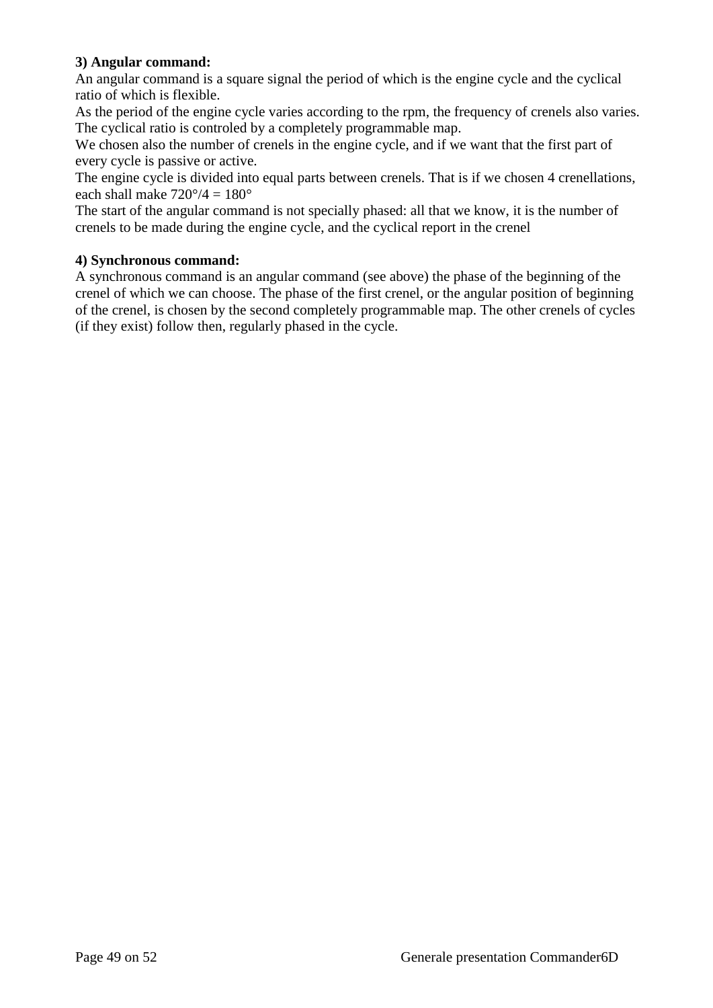# **3) Angular command:**

An angular command is a square signal the period of which is the engine cycle and the cyclical ratio of which is flexible.

As the period of the engine cycle varies according to the rpm, the frequency of crenels also varies. The cyclical ratio is controled by a completely programmable map.

We chosen also the number of crenels in the engine cycle, and if we want that the first part of every cycle is passive or active.

The engine cycle is divided into equal parts between crenels. That is if we chosen 4 crenellations, each shall make  $720^{\circ}/4 = 180^{\circ}$ 

The start of the angular command is not specially phased: all that we know, it is the number of crenels to be made during the engine cycle, and the cyclical report in the crenel

# **4) Synchronous command:**

A synchronous command is an angular command (see above) the phase of the beginning of the crenel of which we can choose. The phase of the first crenel, or the angular position of beginning of the crenel, is chosen by the second completely programmable map. The other crenels of cycles (if they exist) follow then, regularly phased in the cycle.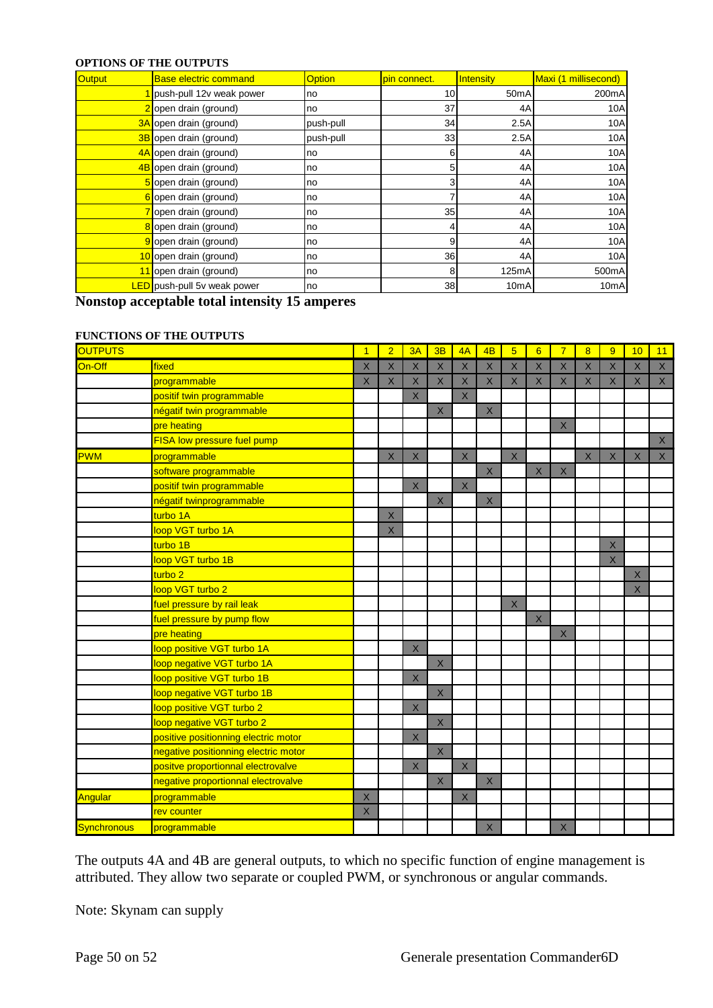#### **OPTIONS OF THE OUTPUTS**

| Output | <b>Base electric command</b>       | <b>Option</b> | pin connect. | Intensity         | Maxi (1 millisecond) |
|--------|------------------------------------|---------------|--------------|-------------------|----------------------|
|        | push-pull 12v weak power           | no            | 10           | 50 <sub>m</sub> A | 200mA                |
|        | 2 open drain (ground)              | no            | 37           | 4A                | 10A                  |
|        | 3A open drain (ground)             | push-pull     | 34           | 2.5A              | 10A                  |
|        | 3B open drain (ground)             | push-pull     | 33           | 2.5A              | 10A                  |
|        | 4A open drain (ground)             | no            | 6            | 4A                | 10A                  |
|        | 4B open drain (ground)             | no            | 5            | 4A                | 10A                  |
|        | 5 open drain (ground)              | no            | 3            | 4A                | 10A                  |
|        | 6 open drain (ground)              | no            |              | 4A                | 10A                  |
|        | open drain (ground)                | no            | 35           | 4A                | 10A                  |
|        | open drain (ground)                | no            | 4            | 4A                | 10A                  |
|        | open drain (ground)                | no            | 9            | 4A                | 10A                  |
|        | 10 open drain (ground)             | no            | 36           | 4A                | 10A                  |
|        | 11 open drain (ground)             | no            | 8            | 125mA             | 500mA                |
|        | <b>LED</b> push-pull 5v weak power | no            | 38           | 10 <sub>m</sub> A | 10 <sub>m</sub> A    |

**Nonstop acceptable total intensity 15 amperes**

#### **FUNCTIONS OF THE OUTPUTS**

| <b>OUTPUTS</b> |                                      | $\overline{1}$ | $\overline{2}$ | 3A                      | 3B                      | 4A                      | 4B                      | $\overline{5}$          | $6\overline{6}$ | $\overline{7}$ | $\overline{8}$     | 9              | 10                 | 11             |
|----------------|--------------------------------------|----------------|----------------|-------------------------|-------------------------|-------------------------|-------------------------|-------------------------|-----------------|----------------|--------------------|----------------|--------------------|----------------|
| On-Off         | fixed                                | $\sf X$        | X              | $\overline{X}$          | $\overline{\mathsf{X}}$ | $\overline{\mathsf{X}}$ | $\overline{\mathsf{X}}$ | $\overline{\mathsf{X}}$ | $\mathsf{X}$    | $\overline{X}$ | $\times$           | $\overline{X}$ | $\times$           | $\overline{X}$ |
|                | programmable                         | $\mathsf X$    | $\mathsf X$    | $\mathsf X$             | $\mathsf X$             | $\mathsf X$             | $\mathsf{X}$            | $\mathsf X$             | $\mathsf X$     | $\mathsf X$    | $\mathsf{X}% _{0}$ | $\mathsf X$    | $\mathsf X$        | $\mathsf X$    |
|                | positif twin programmable            |                |                | $\times$                |                         | $\times$                |                         |                         |                 |                |                    |                |                    |                |
|                | négatif twin programmable            |                |                |                         | $\mathsf X$             |                         | $\mathsf{X}$            |                         |                 |                |                    |                |                    |                |
|                | pre heating                          |                |                |                         |                         |                         |                         |                         |                 | $\mathsf X$    |                    |                |                    |                |
|                | FISA low pressure fuel pump          |                |                |                         |                         |                         |                         |                         |                 |                |                    |                |                    | $\mathsf X$    |
| <b>PWM</b>     | programmable                         |                | $\mathsf X$    | $\mathsf X$             |                         | $\times$                |                         | $\times$                |                 |                | $\mathsf X$        | $\mathsf X$    | $\mathsf X$        | $\mathsf X$    |
|                | software programmable                |                |                |                         |                         |                         | $\mathsf X$             |                         | $\mathsf{X}$    | $\mathsf X$    |                    |                |                    |                |
|                | positif twin programmable            |                |                | $\times$                |                         | $\times$                |                         |                         |                 |                |                    |                |                    |                |
|                | négatif twinprogrammable             |                |                |                         | $\mathsf X$             |                         | $\mathsf{X}$            |                         |                 |                |                    |                |                    |                |
|                | turbo 1A                             |                | $\mathsf X$    |                         |                         |                         |                         |                         |                 |                |                    |                |                    |                |
|                | loop VGT turbo 1A                    |                | $\times$       |                         |                         |                         |                         |                         |                 |                |                    |                |                    |                |
|                | turbo 1B                             |                |                |                         |                         |                         |                         |                         |                 |                |                    | $\mathsf X$    |                    |                |
|                | loop VGT turbo 1B                    |                |                |                         |                         |                         |                         |                         |                 |                |                    | $\mathsf{X}$   |                    |                |
|                | turbo <sub>2</sub>                   |                |                |                         |                         |                         |                         |                         |                 |                |                    |                | $\mathsf{X}% _{0}$ |                |
|                | loop VGT turbo 2                     |                |                |                         |                         |                         |                         |                         |                 |                |                    |                | $\times$           |                |
|                | fuel pressure by rail leak           |                |                |                         |                         |                         |                         | $\mathsf X$             |                 |                |                    |                |                    |                |
|                | fuel pressure by pump flow           |                |                |                         |                         |                         |                         |                         | $\mathsf X$     |                |                    |                |                    |                |
|                | pre heating                          |                |                |                         |                         |                         |                         |                         |                 | $\mathsf X$    |                    |                |                    |                |
|                | loop positive VGT turbo 1A           |                |                | $\overline{\mathsf{X}}$ |                         |                         |                         |                         |                 |                |                    |                |                    |                |
|                | loop negative VGT turbo 1A           |                |                |                         | $\overline{\mathsf{x}}$ |                         |                         |                         |                 |                |                    |                |                    |                |
|                | loop positive VGT turbo 1B           |                |                | $\overline{X}$          |                         |                         |                         |                         |                 |                |                    |                |                    |                |
|                | loop negative VGT turbo 1B           |                |                |                         | $\mathsf X$             |                         |                         |                         |                 |                |                    |                |                    |                |
|                | loop positive VGT turbo 2            |                |                | $\mathsf X$             |                         |                         |                         |                         |                 |                |                    |                |                    |                |
|                | loop negative VGT turbo 2            |                |                |                         | $\mathsf X$             |                         |                         |                         |                 |                |                    |                |                    |                |
|                | positive positionning electric motor |                |                | $\mathsf X$             |                         |                         |                         |                         |                 |                |                    |                |                    |                |
|                | negative positionning electric motor |                |                |                         | $\times$                |                         |                         |                         |                 |                |                    |                |                    |                |
|                | positve proportionnal electrovalve   |                |                | $\times$                |                         | $\times$                |                         |                         |                 |                |                    |                |                    |                |
|                | negative proportionnal electrovalve  |                |                |                         | $\overline{\mathsf{x}}$ |                         | $\overline{X}$          |                         |                 |                |                    |                |                    |                |
| Angular        | programmable                         | $\mathsf X$    |                |                         |                         | $\mathsf X$             |                         |                         |                 |                |                    |                |                    |                |
|                | rev counter                          | $\mathsf X$    |                |                         |                         |                         |                         |                         |                 |                |                    |                |                    |                |
| Synchronous    | programmable                         |                |                |                         |                         |                         | $\times$                |                         |                 | X              |                    |                |                    |                |

The outputs 4A and 4B are general outputs, to which no specific function of engine management is attributed. They allow two separate or coupled PWM, or synchronous or angular commands.

Note: Skynam can supply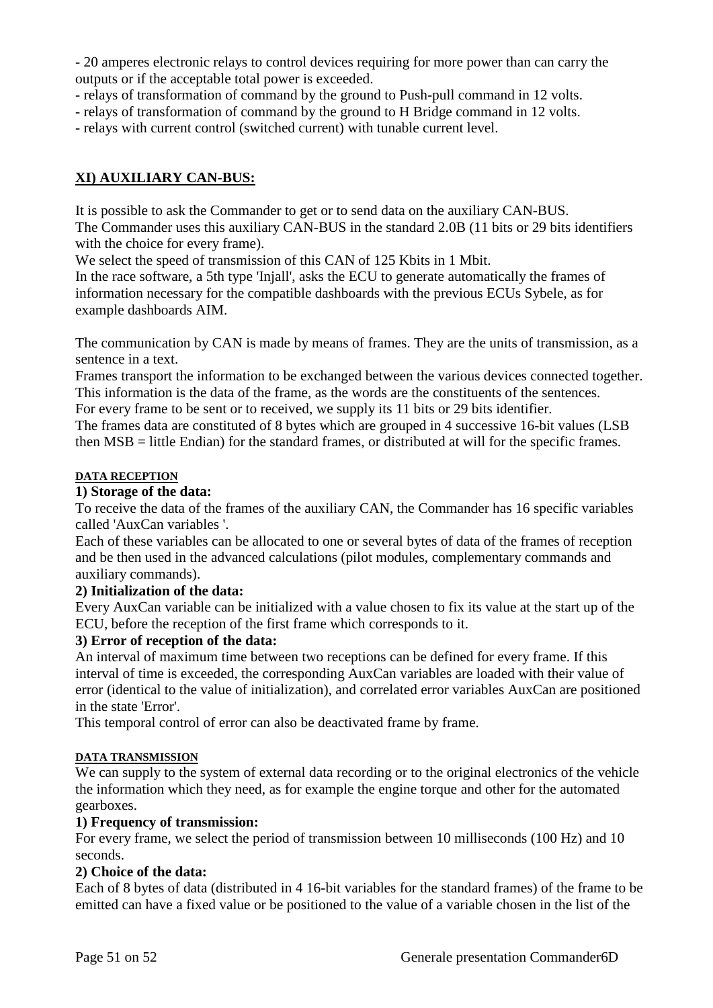- 20 amperes electronic relays to control devices requiring for more power than can carry the outputs or if the acceptable total power is exceeded.

- relays of transformation of command by the ground to Push-pull command in 12 volts.
- relays of transformation of command by the ground to H Bridge command in 12 volts.
- relays with current control (switched current) with tunable current level.

# **XI) AUXILIARY CAN-BUS:**

It is possible to ask the Commander to get or to send data on the auxiliary CAN-BUS. The Commander uses this auxiliary CAN-BUS in the standard 2.0B (11 bits or 29 bits identifiers with the choice for every frame).

We select the speed of transmission of this CAN of 125 Kbits in 1 Mbit.

In the race software, a 5th type 'Injall', asks the ECU to generate automatically the frames of information necessary for the compatible dashboards with the previous ECUs Sybele, as for example dashboards AIM.

The communication by CAN is made by means of frames. They are the units of transmission, as a sentence in a text.

Frames transport the information to be exchanged between the various devices connected together. This information is the data of the frame, as the words are the constituents of the sentences.

For every frame to be sent or to received, we supply its 11 bits or 29 bits identifier.

The frames data are constituted of 8 bytes which are grouped in 4 successive 16-bit values (LSB then MSB = little Endian) for the standard frames, or distributed at will for the specific frames.

# **DATA RECEPTION**

# **1) Storage of the data:**

To receive the data of the frames of the auxiliary CAN, the Commander has 16 specific variables called 'AuxCan variables '.

Each of these variables can be allocated to one or several bytes of data of the frames of reception and be then used in the advanced calculations (pilot modules, complementary commands and auxiliary commands).

# **2) Initialization of the data:**

Every AuxCan variable can be initialized with a value chosen to fix its value at the start up of the ECU, before the reception of the first frame which corresponds to it.

# **3) Error of reception of the data:**

An interval of maximum time between two receptions can be defined for every frame. If this interval of time is exceeded, the corresponding AuxCan variables are loaded with their value of error (identical to the value of initialization), and correlated error variables AuxCan are positioned in the state 'Error'.

This temporal control of error can also be deactivated frame by frame.

# **DATA TRANSMISSION**

We can supply to the system of external data recording or to the original electronics of the vehicle the information which they need, as for example the engine torque and other for the automated gearboxes.

# **1) Frequency of transmission:**

For every frame, we select the period of transmission between 10 milliseconds (100 Hz) and 10 seconds.

# **2) Choice of the data:**

Each of 8 bytes of data (distributed in 4 16-bit variables for the standard frames) of the frame to be emitted can have a fixed value or be positioned to the value of a variable chosen in the list of the